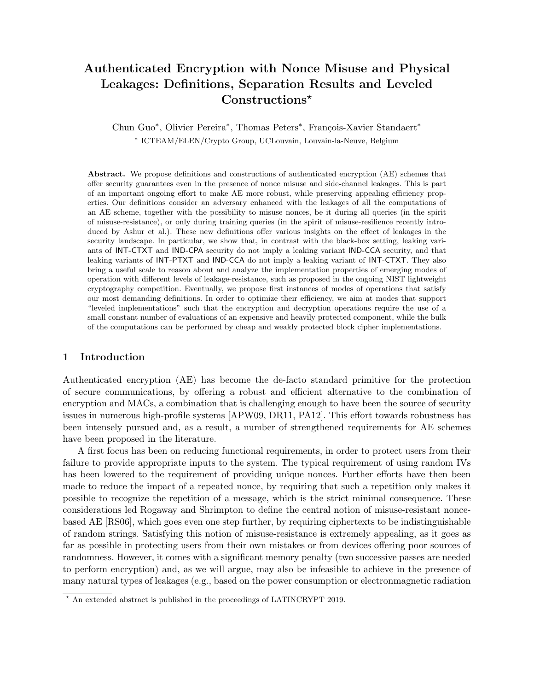## Authenticated Encryption with Nonce Misuse and Physical Leakages: Definitions, Separation Results and Leveled Constructions<sup>\*</sup>

Chun Guo<sup>\*</sup>, Olivier Pereira<sup>\*</sup>, Thomas Peters<sup>\*</sup>, François-Xavier Standaert<sup>\*</sup> ∗ ICTEAM/ELEN/Crypto Group, UCLouvain, Louvain-la-Neuve, Belgium

Abstract. We propose definitions and constructions of authenticated encryption (AE) schemes that offer security guarantees even in the presence of nonce misuse and side-channel leakages. This is part of an important ongoing effort to make AE more robust, while preserving appealing efficiency properties. Our definitions consider an adversary enhanced with the leakages of all the computations of an AE scheme, together with the possibility to misuse nonces, be it during all queries (in the spirit of misuse-resistance), or only during training queries (in the spirit of misuse-resilience recently introduced by Ashur et al.). These new definitions offer various insights on the effect of leakages in the security landscape. In particular, we show that, in contrast with the black-box setting, leaking variants of INT-CTXT and IND-CPA security do not imply a leaking variant IND-CCA security, and that leaking variants of INT-PTXT and IND-CCA do not imply a leaking variant of INT-CTXT. They also bring a useful scale to reason about and analyze the implementation properties of emerging modes of operation with different levels of leakage-resistance, such as proposed in the ongoing NIST lightweight cryptography competition. Eventually, we propose first instances of modes of operations that satisfy our most demanding definitions. In order to optimize their efficiency, we aim at modes that support "leveled implementations" such that the encryption and decryption operations require the use of a small constant number of evaluations of an expensive and heavily protected component, while the bulk of the computations can be performed by cheap and weakly protected block cipher implementations.

## 1 Introduction

Authenticated encryption (AE) has become the de-facto standard primitive for the protection of secure communications, by offering a robust and efficient alternative to the combination of encryption and MACs, a combination that is challenging enough to have been the source of security issues in numerous high-profile systems [APW09, DR11, PA12]. This effort towards robustness has been intensely pursued and, as a result, a number of strengthened requirements for AE schemes have been proposed in the literature.

A first focus has been on reducing functional requirements, in order to protect users from their failure to provide appropriate inputs to the system. The typical requirement of using random IVs has been lowered to the requirement of providing unique nonces. Further efforts have then been made to reduce the impact of a repeated nonce, by requiring that such a repetition only makes it possible to recognize the repetition of a message, which is the strict minimal consequence. These considerations led Rogaway and Shrimpton to define the central notion of misuse-resistant noncebased AE [RS06], which goes even one step further, by requiring ciphertexts to be indistinguishable of random strings. Satisfying this notion of misuse-resistance is extremely appealing, as it goes as far as possible in protecting users from their own mistakes or from devices offering poor sources of randomness. However, it comes with a significant memory penalty (two successive passes are needed to perform encryption) and, as we will argue, may also be infeasible to achieve in the presence of many natural types of leakages (e.g., based on the power consumption or electronmagnetic radiation

<sup>?</sup> An extended abstract is published in the proceedings of LATINCRYPT 2019.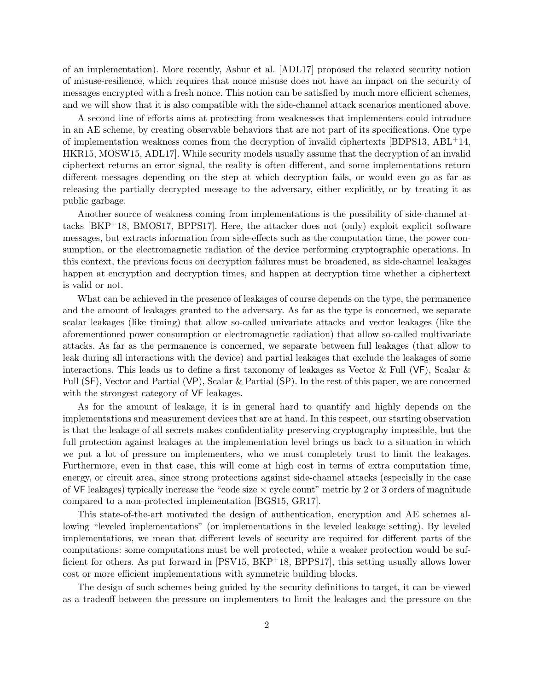of an implementation). More recently, Ashur et al. [ADL17] proposed the relaxed security notion of misuse-resilience, which requires that nonce misuse does not have an impact on the security of messages encrypted with a fresh nonce. This notion can be satisfied by much more efficient schemes, and we will show that it is also compatible with the side-channel attack scenarios mentioned above.

A second line of efforts aims at protecting from weaknesses that implementers could introduce in an AE scheme, by creating observable behaviors that are not part of its specifications. One type of implementation weakness comes from the decryption of invalid ciphertexts [BDPS13, ABL+14, HKR15, MOSW15, ADL17]. While security models usually assume that the decryption of an invalid ciphertext returns an error signal, the reality is often different, and some implementations return different messages depending on the step at which decryption fails, or would even go as far as releasing the partially decrypted message to the adversary, either explicitly, or by treating it as public garbage.

Another source of weakness coming from implementations is the possibility of side-channel attacks [BKP+18, BMOS17, BPPS17]. Here, the attacker does not (only) exploit explicit software messages, but extracts information from side-effects such as the computation time, the power consumption, or the electromagnetic radiation of the device performing cryptographic operations. In this context, the previous focus on decryption failures must be broadened, as side-channel leakages happen at encryption and decryption times, and happen at decryption time whether a ciphertext is valid or not.

What can be achieved in the presence of leakages of course depends on the type, the permanence and the amount of leakages granted to the adversary. As far as the type is concerned, we separate scalar leakages (like timing) that allow so-called univariate attacks and vector leakages (like the aforementioned power consumption or electromagnetic radiation) that allow so-called multivariate attacks. As far as the permanence is concerned, we separate between full leakages (that allow to leak during all interactions with the device) and partial leakages that exclude the leakages of some interactions. This leads us to define a first taxonomy of leakages as Vector & Full (VF), Scalar & Full (SF), Vector and Partial (VP), Scalar & Partial (SP). In the rest of this paper, we are concerned with the strongest category of VF leakages.

As for the amount of leakage, it is in general hard to quantify and highly depends on the implementations and measurement devices that are at hand. In this respect, our starting observation is that the leakage of all secrets makes confidentiality-preserving cryptography impossible, but the full protection against leakages at the implementation level brings us back to a situation in which we put a lot of pressure on implementers, who we must completely trust to limit the leakages. Furthermore, even in that case, this will come at high cost in terms of extra computation time, energy, or circuit area, since strong protections against side-channel attacks (especially in the case of VF leakages) typically increase the "code size  $\times$  cycle count" metric by 2 or 3 orders of magnitude compared to a non-protected implementation [BGS15, GR17].

This state-of-the-art motivated the design of authentication, encryption and AE schemes allowing "leveled implementations" (or implementations in the leveled leakage setting). By leveled implementations, we mean that different levels of security are required for different parts of the computations: some computations must be well protected, while a weaker protection would be sufficient for others. As put forward in [PSV15, BKP<sup>+</sup>18, BPPS17], this setting usually allows lower cost or more efficient implementations with symmetric building blocks.

The design of such schemes being guided by the security definitions to target, it can be viewed as a tradeoff between the pressure on implementers to limit the leakages and the pressure on the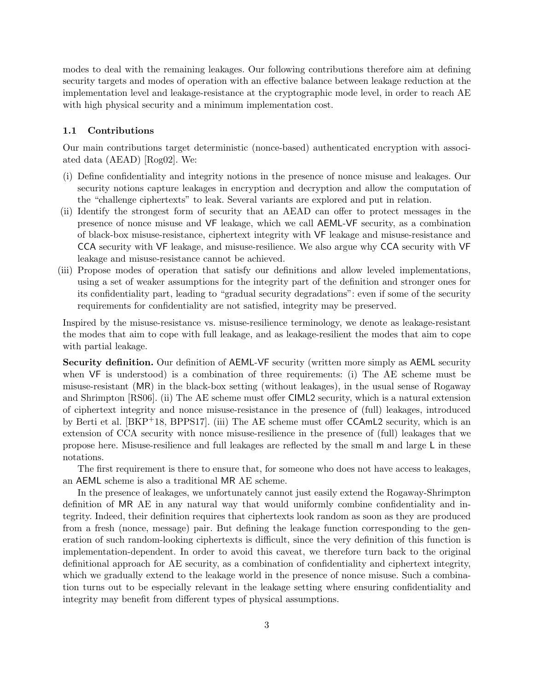modes to deal with the remaining leakages. Our following contributions therefore aim at defining security targets and modes of operation with an effective balance between leakage reduction at the implementation level and leakage-resistance at the cryptographic mode level, in order to reach AE with high physical security and a minimum implementation cost.

#### 1.1 Contributions

Our main contributions target deterministic (nonce-based) authenticated encryption with associated data (AEAD) [Rog02]. We:

- (i) Define confidentiality and integrity notions in the presence of nonce misuse and leakages. Our security notions capture leakages in encryption and decryption and allow the computation of the "challenge ciphertexts" to leak. Several variants are explored and put in relation.
- (ii) Identify the strongest form of security that an AEAD can offer to protect messages in the presence of nonce misuse and VF leakage, which we call AEML-VF security, as a combination of black-box misuse-resistance, ciphertext integrity with VF leakage and misuse-resistance and CCA security with VF leakage, and misuse-resilience. We also argue why CCA security with VF leakage and misuse-resistance cannot be achieved.
- (iii) Propose modes of operation that satisfy our definitions and allow leveled implementations, using a set of weaker assumptions for the integrity part of the definition and stronger ones for its confidentiality part, leading to "gradual security degradations": even if some of the security requirements for confidentiality are not satisfied, integrity may be preserved.

Inspired by the misuse-resistance vs. misuse-resilience terminology, we denote as leakage-resistant the modes that aim to cope with full leakage, and as leakage-resilient the modes that aim to cope with partial leakage.

Security definition. Our definition of AEML-VF security (written more simply as AEML security when  $VF$  is understood) is a combination of three requirements: (i) The AE scheme must be misuse-resistant (MR) in the black-box setting (without leakages), in the usual sense of Rogaway and Shrimpton [RS06]. (ii) The AE scheme must offer CIML2 security, which is a natural extension of ciphertext integrity and nonce misuse-resistance in the presence of (full) leakages, introduced by Berti et al. [BKP+18, BPPS17]. (iii) The AE scheme must offer CCAmL2 security, which is an extension of CCA security with nonce misuse-resilience in the presence of (full) leakages that we propose here. Misuse-resilience and full leakages are reflected by the small m and large L in these notations.

The first requirement is there to ensure that, for someone who does not have access to leakages, an AEML scheme is also a traditional MR AE scheme.

In the presence of leakages, we unfortunately cannot just easily extend the Rogaway-Shrimpton definition of MR AE in any natural way that would uniformly combine confidentiality and integrity. Indeed, their definition requires that ciphertexts look random as soon as they are produced from a fresh (nonce, message) pair. But defining the leakage function corresponding to the generation of such random-looking ciphertexts is difficult, since the very definition of this function is implementation-dependent. In order to avoid this caveat, we therefore turn back to the original definitional approach for AE security, as a combination of confidentiality and ciphertext integrity, which we gradually extend to the leakage world in the presence of nonce misuse. Such a combination turns out to be especially relevant in the leakage setting where ensuring confidentiality and integrity may benefit from different types of physical assumptions.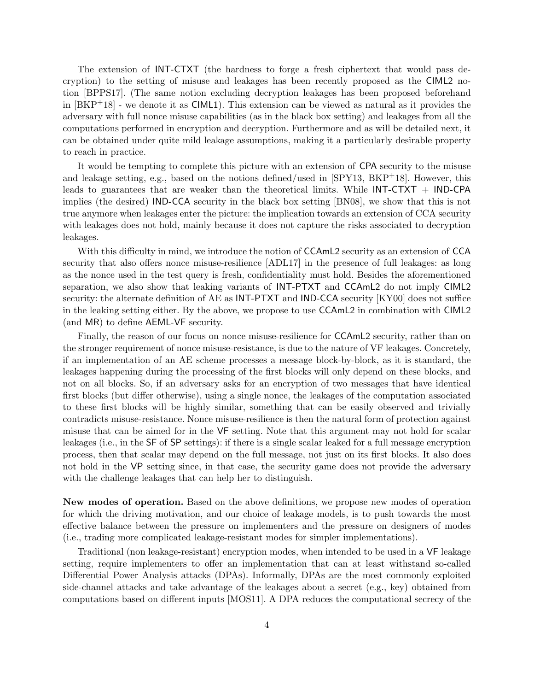The extension of INT-CTXT (the hardness to forge a fresh ciphertext that would pass decryption) to the setting of misuse and leakages has been recently proposed as the CIML2 notion [BPPS17]. (The same notion excluding decryption leakages has been proposed beforehand in  $[BKP^+18]$  - we denote it as CIML1). This extension can be viewed as natural as it provides the adversary with full nonce misuse capabilities (as in the black box setting) and leakages from all the computations performed in encryption and decryption. Furthermore and as will be detailed next, it can be obtained under quite mild leakage assumptions, making it a particularly desirable property to reach in practice.

It would be tempting to complete this picture with an extension of CPA security to the misuse and leakage setting, e.g., based on the notions defined/used in  $SPY13$ ,  $BKP+18$ . However, this leads to guarantees that are weaker than the theoretical limits. While  $INT-CTXT + IND-CPA$ implies (the desired) IND-CCA security in the black box setting [BN08], we show that this is not true anymore when leakages enter the picture: the implication towards an extension of CCA security with leakages does not hold, mainly because it does not capture the risks associated to decryption leakages.

With this difficulty in mind, we introduce the notion of CCAmL2 security as an extension of CCA security that also offers nonce misuse-resilience [ADL17] in the presence of full leakages: as long as the nonce used in the test query is fresh, confidentiality must hold. Besides the aforementioned separation, we also show that leaking variants of INT-PTXT and CCAmL2 do not imply CIML2 security: the alternate definition of AE as INT-PTXT and IND-CCA security [KY00] does not suffice in the leaking setting either. By the above, we propose to use CCAmL2 in combination with CIML2 (and MR) to define AEML-VF security.

Finally, the reason of our focus on nonce misuse-resilience for CCAmL2 security, rather than on the stronger requirement of nonce misuse-resistance, is due to the nature of VF leakages. Concretely, if an implementation of an AE scheme processes a message block-by-block, as it is standard, the leakages happening during the processing of the first blocks will only depend on these blocks, and not on all blocks. So, if an adversary asks for an encryption of two messages that have identical first blocks (but differ otherwise), using a single nonce, the leakages of the computation associated to these first blocks will be highly similar, something that can be easily observed and trivially contradicts misuse-resistance. Nonce misuse-resilience is then the natural form of protection against misuse that can be aimed for in the VF setting. Note that this argument may not hold for scalar leakages (i.e., in the SF of SP settings): if there is a single scalar leaked for a full message encryption process, then that scalar may depend on the full message, not just on its first blocks. It also does not hold in the VP setting since, in that case, the security game does not provide the adversary with the challenge leakages that can help her to distinguish.

New modes of operation. Based on the above definitions, we propose new modes of operation for which the driving motivation, and our choice of leakage models, is to push towards the most effective balance between the pressure on implementers and the pressure on designers of modes (i.e., trading more complicated leakage-resistant modes for simpler implementations).

Traditional (non leakage-resistant) encryption modes, when intended to be used in a VF leakage setting, require implementers to offer an implementation that can at least withstand so-called Differential Power Analysis attacks (DPAs). Informally, DPAs are the most commonly exploited side-channel attacks and take advantage of the leakages about a secret (e.g., key) obtained from computations based on different inputs [MOS11]. A DPA reduces the computational secrecy of the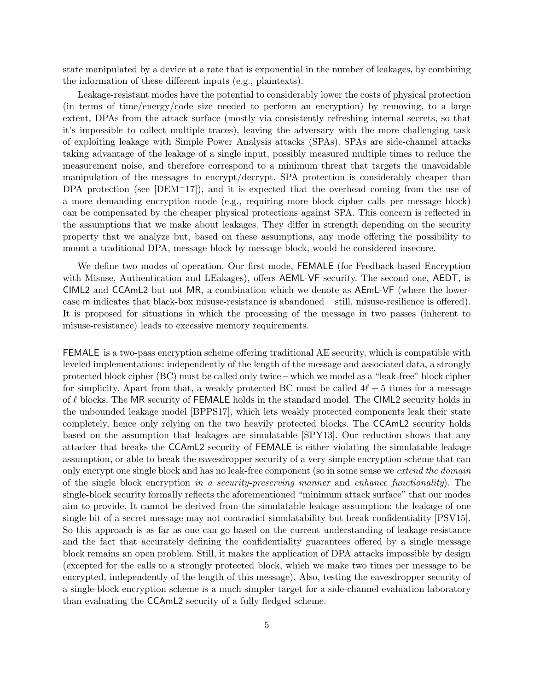state manipulated by a device at a rate that is exponential in the number of leakages, by combining the information of these different inputs (e.g., plaintexts).

Leakage-resistant modes have the potential to considerably lower the costs of physical protection (in terms of time/energy/code size needed to perform an encryption) by removing, to a large extent, DPAs from the attack surface (mostly via consistently refreshing internal secrets, so that it's impossible to collect multiple traces), leaving the adversary with the more challenging task of exploiting leakage with Simple Power Analysis attacks (SPAs). SPAs are side-channel attacks taking advantage of the leakage of a single input, possibly measured multiple times to reduce the measurement noise, and therefore correspond to a minimum threat that targets the unavoidable manipulation of the messages to encrypt/decrypt. SPA protection is considerably cheaper than DPA protection (see  $[DEM+17]$ ), and it is expected that the overhead coming from the use of a more demanding encryption mode (e.g., requiring more block cipher calls per message block) can be compensated by the cheaper physical protections against SPA. This concern is reflected in the assumptions that we make about leakages. They differ in strength depending on the security property that we analyze but, based on these assumptions, any mode offering the possibility to mount a traditional DPA, message block by message block, would be considered insecure.

We define two modes of operation. Our first mode, FEMALE (for Feedback-based Encryption with Misuse, Authentication and LEakages), offers AEML-VF security. The second one, AEDT, is CIML2 and CCAmL2 but not MR, a combination which we denote as AEmL-VF (where the lowercase m indicates that black-box misuse-resistance is abandoned – still, misuse-resilience is offered). It is proposed for situations in which the processing of the message in two passes (inherent to misuse-resistance) leads to excessive memory requirements.

FEMALE is a two-pass encryption scheme offering traditional AE security, which is compatible with leveled implementations: independently of the length of the message and associated data, a strongly protected block cipher (BC) must be called only twice – which we model as a "leak-free" block cipher for simplicity. Apart from that, a weakly protected BC must be called  $4\ell + 5$  times for a message of  $\ell$  blocks. The MR security of FEMALE holds in the standard model. The CIML2 security holds in the unbounded leakage model [BPPS17], which lets weakly protected components leak their state completely, hence only relying on the two heavily protected blocks. The CCAmL2 security holds based on the assumption that leakages are simulatable [SPY13]. Our reduction shows that any attacker that breaks the CCAmL2 security of FEMALE is either violating the simulatable leakage assumption, or able to break the eavesdropper security of a very simple encryption scheme that can only encrypt one single block and has no leak-free component (so in some sense we extend the domain of the single block encryption in a security-preserving manner and enhance functionality). The single-block security formally reflects the aforementioned "minimum attack surface" that our modes aim to provide. It cannot be derived from the simulatable leakage assumption: the leakage of one single bit of a secret message may not contradict simulatability but break confidentiality [PSV15]. So this approach is as far as one can go based on the current understanding of leakage-resistance and the fact that accurately defining the confidentiality guarantees offered by a single message block remains an open problem. Still, it makes the application of DPA attacks impossible by design (excepted for the calls to a strongly protected block, which we make two times per message to be encrypted, independently of the length of this message). Also, testing the eavesdropper security of a single-block encryption scheme is a much simpler target for a side-channel evaluation laboratory than evaluating the CCAmL2 security of a fully fledged scheme.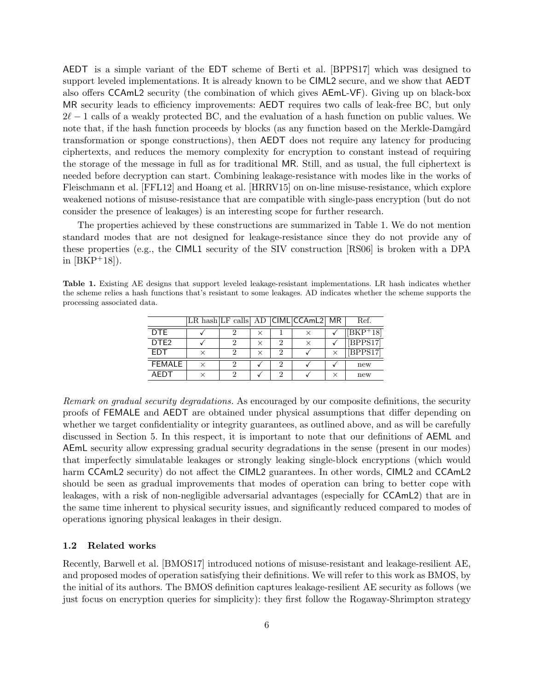AEDT is a simple variant of the EDT scheme of Berti et al. [BPPS17] which was designed to support leveled implementations. It is already known to be CIML2 secure, and we show that AEDT also offers CCAmL2 security (the combination of which gives AEmL-VF). Giving up on black-box MR security leads to efficiency improvements: AEDT requires two calls of leak-free BC, but only  $2\ell - 1$  calls of a weakly protected BC, and the evaluation of a hash function on public values. We note that, if the hash function proceeds by blocks (as any function based on the Merkle-Damgård transformation or sponge constructions), then AEDT does not require any latency for producing ciphertexts, and reduces the memory complexity for encryption to constant instead of requiring the storage of the message in full as for traditional MR. Still, and as usual, the full ciphertext is needed before decryption can start. Combining leakage-resistance with modes like in the works of Fleischmann et al. [FFL12] and Hoang et al. [HRRV15] on on-line misuse-resistance, which explore weakened notions of misuse-resistance that are compatible with single-pass encryption (but do not consider the presence of leakages) is an interesting scope for further research.

The properties achieved by these constructions are summarized in Table 1. We do not mention standard modes that are not designed for leakage-resistance since they do not provide any of these properties (e.g., the CIML1 security of the SIV construction [RS06] is broken with a DPA in  $[BKP^+18]$ .

Table 1. Existing AE designs that support leveled leakage-resistant implementations. LR hash indicates whether the scheme relies a hash functions that's resistant to some leakages. AD indicates whether the scheme supports the processing associated data.

|                  |  |   |   | LR hash LF calls AD CIML CCAmL2 MR | Ref.        |
|------------------|--|---|---|------------------------------------|-------------|
| <b>DTE</b>       |  | × |   |                                    | $[BKP^+18]$ |
| DTE <sub>2</sub> |  | × | 2 | $\times$                           | [BPPS17]    |
| <b>FDT</b>       |  |   | 2 |                                    | [BPPS17]    |
| <b>FEMALE</b>    |  |   | 2 |                                    | new         |
| AFDT             |  |   | っ |                                    | new         |

Remark on gradual security degradations. As encouraged by our composite definitions, the security proofs of FEMALE and AEDT are obtained under physical assumptions that differ depending on whether we target confidentiality or integrity guarantees, as outlined above, and as will be carefully discussed in Section 5. In this respect, it is important to note that our definitions of AEML and AEmL security allow expressing gradual security degradations in the sense (present in our modes) that imperfectly simulatable leakages or strongly leaking single-block encryptions (which would harm CCAmL2 security) do not affect the CIML2 guarantees. In other words, CIML2 and CCAmL2 should be seen as gradual improvements that modes of operation can bring to better cope with leakages, with a risk of non-negligible adversarial advantages (especially for CCAmL2) that are in the same time inherent to physical security issues, and significantly reduced compared to modes of operations ignoring physical leakages in their design.

## 1.2 Related works

Recently, Barwell et al. [BMOS17] introduced notions of misuse-resistant and leakage-resilient AE, and proposed modes of operation satisfying their definitions. We will refer to this work as BMOS, by the initial of its authors. The BMOS definition captures leakage-resilient AE security as follows (we just focus on encryption queries for simplicity): they first follow the Rogaway-Shrimpton strategy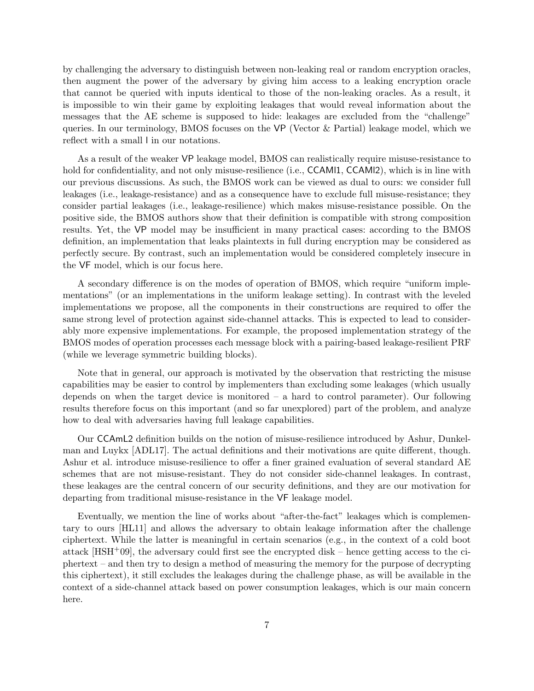by challenging the adversary to distinguish between non-leaking real or random encryption oracles, then augment the power of the adversary by giving him access to a leaking encryption oracle that cannot be queried with inputs identical to those of the non-leaking oracles. As a result, it is impossible to win their game by exploiting leakages that would reveal information about the messages that the AE scheme is supposed to hide: leakages are excluded from the "challenge" queries. In our terminology, BMOS focuses on the VP (Vector & Partial) leakage model, which we reflect with a small l in our notations.

As a result of the weaker VP leakage model, BMOS can realistically require misuse-resistance to hold for confidentiality, and not only misuse-resilience (i.e., CCAMI1, CCAMI2), which is in line with our previous discussions. As such, the BMOS work can be viewed as dual to ours: we consider full leakages (i.e., leakage-resistance) and as a consequence have to exclude full misuse-resistance; they consider partial leakages (i.e., leakage-resilience) which makes misuse-resistance possible. On the positive side, the BMOS authors show that their definition is compatible with strong composition results. Yet, the VP model may be insufficient in many practical cases: according to the BMOS definition, an implementation that leaks plaintexts in full during encryption may be considered as perfectly secure. By contrast, such an implementation would be considered completely insecure in the VF model, which is our focus here.

A secondary difference is on the modes of operation of BMOS, which require "uniform implementations" (or an implementations in the uniform leakage setting). In contrast with the leveled implementations we propose, all the components in their constructions are required to offer the same strong level of protection against side-channel attacks. This is expected to lead to considerably more expensive implementations. For example, the proposed implementation strategy of the BMOS modes of operation processes each message block with a pairing-based leakage-resilient PRF (while we leverage symmetric building blocks).

Note that in general, our approach is motivated by the observation that restricting the misuse capabilities may be easier to control by implementers than excluding some leakages (which usually depends on when the target device is monitored – a hard to control parameter). Our following results therefore focus on this important (and so far unexplored) part of the problem, and analyze how to deal with adversaries having full leakage capabilities.

Our CCAmL2 definition builds on the notion of misuse-resilience introduced by Ashur, Dunkelman and Luykx [ADL17]. The actual definitions and their motivations are quite different, though. Ashur et al. introduce misuse-resilience to offer a finer grained evaluation of several standard AE schemes that are not misuse-resistant. They do not consider side-channel leakages. In contrast, these leakages are the central concern of our security definitions, and they are our motivation for departing from traditional misuse-resistance in the VF leakage model.

Eventually, we mention the line of works about "after-the-fact" leakages which is complementary to ours [HL11] and allows the adversary to obtain leakage information after the challenge ciphertext. While the latter is meaningful in certain scenarios (e.g., in the context of a cold boot attack  $[HSH<sup>+</sup>09]$ , the adversary could first see the encrypted disk – hence getting access to the ciphertext – and then try to design a method of measuring the memory for the purpose of decrypting this ciphertext), it still excludes the leakages during the challenge phase, as will be available in the context of a side-channel attack based on power consumption leakages, which is our main concern here.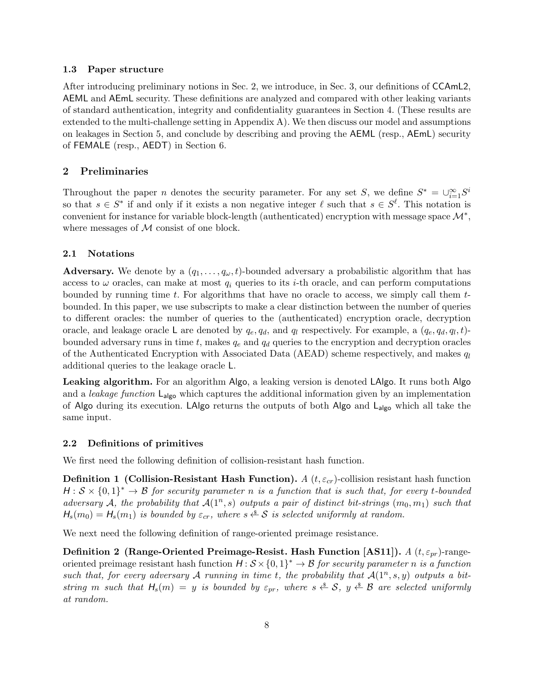#### 1.3 Paper structure

After introducing preliminary notions in Sec. 2, we introduce, in Sec. 3, our definitions of CCAmL2, AEML and AEmL security. These definitions are analyzed and compared with other leaking variants of standard authentication, integrity and confidentiality guarantees in Section 4. (These results are extended to the multi-challenge setting in Appendix A). We then discuss our model and assumptions on leakages in Section 5, and conclude by describing and proving the AEML (resp., AEmL) security of FEMALE (resp., AEDT) in Section 6.

## 2 Preliminaries

Throughout the paper *n* denotes the security parameter. For any set S, we define  $S^* = \bigcup_{i=1}^{\infty} S^i$ so that  $s \in S^*$  if and only if it exists a non negative integer  $\ell$  such that  $s \in S^{\ell}$ . This notation is convenient for instance for variable block-length (authenticated) encryption with message space  $\mathcal{M}^*$ , where messages of  $M$  consist of one block.

## 2.1 Notations

**Adversary.** We denote by a  $(q_1, \ldots, q_\omega, t)$ -bounded adversary a probabilistic algorithm that has access to  $\omega$  oracles, can make at most  $q_i$  queries to its *i*-th oracle, and can perform computations bounded by running time  $t$ . For algorithms that have no oracle to access, we simply call them  $t$ bounded. In this paper, we use subscripts to make a clear distinction between the number of queries to different oracles: the number of queries to the (authenticated) encryption oracle, decryption oracle, and leakage oracle L are denoted by  $q_e, q_d$ , and  $q_l$  respectively. For example, a  $(q_e, q_d, q_l, t)$ bounded adversary runs in time t, makes  $q_e$  and  $q_d$  queries to the encryption and decryption oracles of the Authenticated Encryption with Associated Data (AEAD) scheme respectively, and makes  $q_l$ additional queries to the leakage oracle L.

Leaking algorithm. For an algorithm Algo, a leaking version is denoted LAlgo. It runs both Algo and a *leakage function*  $L_{\text{algo}}$  which captures the additional information given by an implementation of Algo during its execution. LAlgo returns the outputs of both Algo and  $L_{\text{algo}}$  which all take the same input.

## 2.2 Definitions of primitives

We first need the following definition of collision-resistant hash function.

**Definition 1 (Collision-Resistant Hash Function).** A  $(t, \varepsilon_{cr})$ -collision resistant hash function  $H: \mathcal{S} \times \{0,1\}^* \to \mathcal{B}$  for security parameter n is a function that is such that, for every t-bounded adversary A, the probability that  $\mathcal{A}(1^n, s)$  outputs a pair of distinct bit-strings  $(m_0, m_1)$  such that  $H_s(m_0) = H_s(m_1)$  is bounded by  $\varepsilon_{cr}$ , where  $s \stackrel{\text{d}}{\leftarrow} S$  is selected uniformly at random.

We next need the following definition of range-oriented preimage resistance.

Definition 2 (Range-Oriented Preimage-Resist. Hash Function [AS11]).  $A(t, \varepsilon_{pr})$ -rangeoriented preimage resistant hash function  $H : \mathcal{S} \times \{0,1\}^* \to \mathcal{B}$  for security parameter n is a function such that, for every adversary A running in time t, the probability that  $A(1^n, s, y)$  outputs a bitstring m such that  $H_s(m) = y$  is bounded by  $\varepsilon_{pr}$ , where  $s \stackrel{\$}{\leftarrow} S$ ,  $y \stackrel{\$}{\leftarrow} B$  are selected uniformly at random.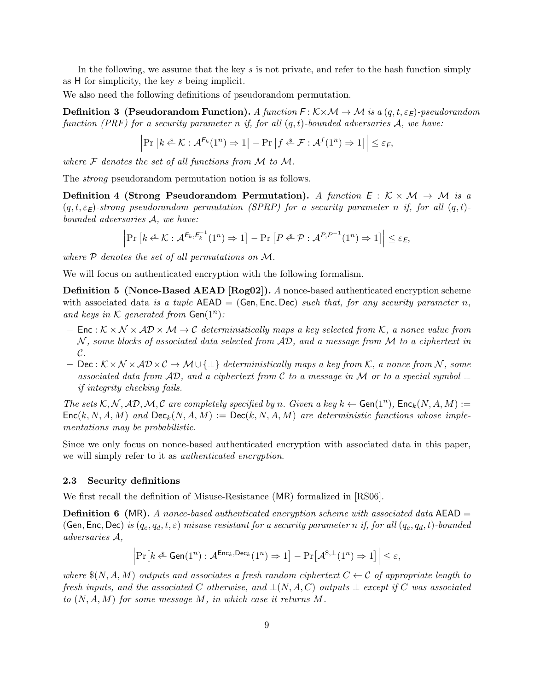In the following, we assume that the key s is not private, and refer to the hash function simply as H for simplicity, the key s being implicit.

We also need the following definitions of pseudorandom permutation.

**Definition 3** (Pseudorandom Function). A function  $F : K \times \mathcal{M} \rightarrow \mathcal{M}$  is a  $(q, t, \varepsilon_F)$ -pseudorandom function (PRF) for a security parameter n if, for all  $(q, t)$ -bounded adversaries A, we have:

$$
\left|\Pr\left[k \stackrel{\$}{\leftarrow} \mathcal{K}: \mathcal{A}^{F_k}(1^n) \Rightarrow 1\right] - \Pr\left[f \stackrel{\$}{\leftarrow} \mathcal{F}: \mathcal{A}^f(1^n) \Rightarrow 1\right]\right| \leq \varepsilon_F,
$$

where  $\mathcal F$  denotes the set of all functions from  $\mathcal M$  to  $\mathcal M$ .

The strong pseudorandom permutation notion is as follows.

**Definition 4 (Strong Pseudorandom Permutation).** A function  $E : K \times M \rightarrow M$  is a  $(q, t, \varepsilon_F)$ -strong pseudorandom permutation (SPRP) for a security parameter n if, for all  $(q, t)$ bounded adversaries A, we have:

$$
\left|\Pr\left[k \stackrel{\$}{\leftarrow} \mathcal{K}: \mathcal{A}^{E_k, E_k^{-1}}(1^n) \Rightarrow 1\right] - \Pr\left[P \stackrel{\$}{\leftarrow} \mathcal{P}: \mathcal{A}^{P, P^{-1}}(1^n) \Rightarrow 1\right]\right| \leq \varepsilon_E,
$$

where  $P$  denotes the set of all permutations on  $M$ .

We will focus on authenticated encryption with the following formalism.

Definition 5 (Nonce-Based AEAD [Rog02]). A nonce-based authenticated encryption scheme with associated data is a tuple  $AED = (Gen, Enc, Dec)$  such that, for any security parameter n, and keys in  $K$  generated from  $Gen(1^n)$ :

- Enc :  $K \times N \times AD \times M \rightarrow C$  deterministically maps a key selected from K, a nonce value from  $N$ , some blocks of associated data selected from  $AD$ , and a message from  $M$  to a ciphertext in  $\mathcal{C}$ .
- Dec :  $K \times N \times AD \times C$  →  $M \cup \{\perp\}$  deterministically maps a key from K, a nonce from N, some associated data from AD, and a ciphertext from C to a message in M or to a special symbol  $\perp$ if integrity checking fails.

The sets K, N, AD, M, C are completely specified by n. Given a key  $k \leftarrow$  Gen $(1^n)$ , Enc $_k(N, A, M) :=$  $Enc(k, N, A, M)$  and  $Dec_k(N, A, M) := Dec(k, N, A, M)$  are deterministic functions whose implementations may be probabilistic.

Since we only focus on nonce-based authenticated encryption with associated data in this paper, we will simply refer to it as *authenticated encryption*.

#### 2.3 Security definitions

We first recall the definition of Misuse-Resistance (MR) formalized in [RS06].

**Definition 6** (MR). A nonce-based authenticated encryption scheme with associated data  $AEAD =$ (Gen, Enc, Dec) is  $(q_e, q_d, t, \varepsilon)$  misuse resistant for a security parameter n if, for all  $(q_e, q_d, t)$ -bounded adversaries A,

$$
\left|\Pr\left[k \stackrel{\$}{\leftarrow} \mathsf{Gen}(1^n): \mathcal{A}^{\mathsf{Enc}_k, \mathsf{Dec}_k}(1^n) \Rightarrow 1\right] - \Pr\left[\mathcal{A}^{\$,\perp}(1^n) \Rightarrow 1\right]\right| \leq \varepsilon,
$$

where  $\mathcal{S}(N, A, M)$  outputs and associates a fresh random ciphertext  $C \leftarrow C$  of appropriate length to fresh inputs, and the associated C otherwise, and  $\bot(N, A, C)$  outputs  $\bot$  except if C was associated to  $(N, A, M)$  for some message M, in which case it returns M.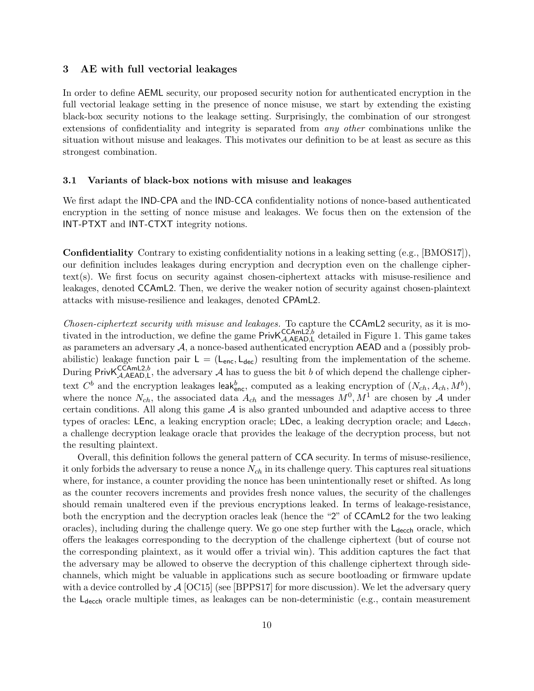## 3 AE with full vectorial leakages

In order to define AEML security, our proposed security notion for authenticated encryption in the full vectorial leakage setting in the presence of nonce misuse, we start by extending the existing black-box security notions to the leakage setting. Surprisingly, the combination of our strongest extensions of confidentiality and integrity is separated from any other combinations unlike the situation without misuse and leakages. This motivates our definition to be at least as secure as this strongest combination.

#### 3.1 Variants of black-box notions with misuse and leakages

We first adapt the IND-CPA and the IND-CCA confidentiality notions of nonce-based authenticated encryption in the setting of nonce misuse and leakages. We focus then on the extension of the INT-PTXT and INT-CTXT integrity notions.

Confidentiality Contrary to existing confidentiality notions in a leaking setting (e.g., [BMOS17]), our definition includes leakages during encryption and decryption even on the challenge ciphertext(s). We first focus on security against chosen-ciphertext attacks with misuse-resilience and leakages, denoted CCAmL2. Then, we derive the weaker notion of security against chosen-plaintext attacks with misuse-resilience and leakages, denoted CPAmL2.

Chosen-ciphertext security with misuse and leakages. To capture the CCAmL2 security, as it is motivated in the introduction, we define the game  $PrivK_{\mathcal{A},AEAD,L}^{CCAmL2,b}$  detailed in Figure 1. This game takes as parameters an adversary  $A$ , a nonce-based authenticated encryption  $AEAD$  and a (possibly probabilistic) leakage function pair  $L = (L_{\text{enc}}, L_{\text{dec}})$  resulting from the implementation of the scheme. During Priv $\mathsf{K}_{\mathcal{A},\mathsf{A}\mathsf{E}\mathsf{A}\mathsf{D},\mathsf{L}}^{\mathsf{CCAml2},b}$ , the adversary  $\mathcal A$  has to guess the bit b of which depend the challenge ciphertext  $C^b$  and the encryption leakages leak<sup>b</sup><sub>enc</sub>, computed as a leaking encryption of  $(N_{ch}, A_{ch}, M^b)$ , where the nonce  $N_{ch}$ , the associated data  $A_{ch}$  and the messages  $M^0, M^1$  are chosen by A under certain conditions. All along this game  $A$  is also granted unbounded and adaptive access to three types of oracles: LEnc, a leaking encryption oracle; LDec, a leaking decryption oracle; and L<sub>decch</sub>, a challenge decryption leakage oracle that provides the leakage of the decryption process, but not the resulting plaintext.

Overall, this definition follows the general pattern of CCA security. In terms of misuse-resilience, it only forbids the adversary to reuse a nonce  $N_{ch}$  in its challenge query. This captures real situations where, for instance, a counter providing the nonce has been unintentionally reset or shifted. As long as the counter recovers increments and provides fresh nonce values, the security of the challenges should remain unaltered even if the previous encryptions leaked. In terms of leakage-resistance, both the encryption and the decryption oracles leak (hence the "2" of CCAmL2 for the two leaking oracles), including during the challenge query. We go one step further with the  $L_{\text{deech}}$  oracle, which offers the leakages corresponding to the decryption of the challenge ciphertext (but of course not the corresponding plaintext, as it would offer a trivial win). This addition captures the fact that the adversary may be allowed to observe the decryption of this challenge ciphertext through sidechannels, which might be valuable in applications such as secure bootloading or firmware update with a device controlled by  $\mathcal{A}$  [OC15] (see [BPPS17] for more discussion). We let the adversary query the  $L_{\text{decoh}}$  oracle multiple times, as leakages can be non-deterministic (e.g., contain measurement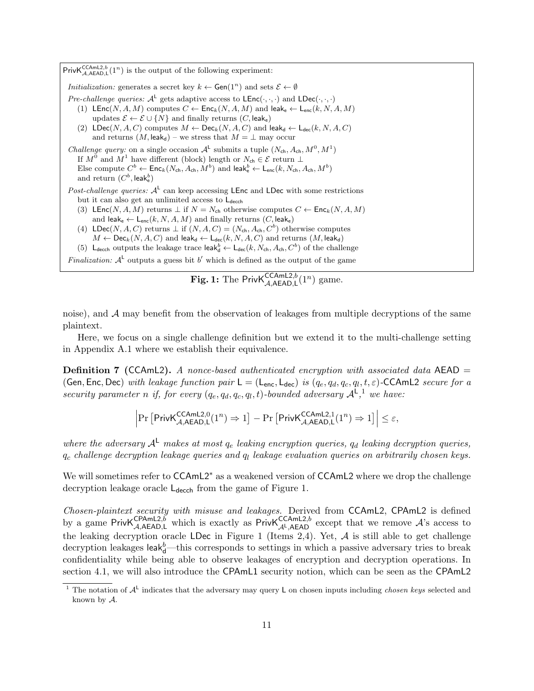Priv $\mathsf{K}_{\mathcal{A},\mathsf{A}\mathsf{E}\mathsf{A}\mathsf{D},\mathsf{L}}^{\mathsf{CCAmL2},b}(1^n)$  is the output of the following experiment: *Initialization:* generates a secret key  $k \leftarrow$  Gen( $1^n$ ) and sets  $\mathcal{E} \leftarrow \emptyset$ Pre-challenge queries:  $A^L$  gets adaptive access to  $\mathsf{LEnc}(\cdot,\cdot,\cdot)$  and  $\mathsf{LDec}(\cdot,\cdot,\cdot)$ (1) LEnc(N, A, M) computes  $C \leftarrow \mathsf{Enc}_k(N, A, M)$  and leak<sub>e</sub>  $\leftarrow \mathsf{L}_{enc}(k, N, A, M)$ updates  $\mathcal{E} \leftarrow \mathcal{E} \cup \{N\}$  and finally returns  $(C, \text{leak}_e)$ (2)  $\mathsf{LDec}(N, A, C)$  computes  $M \leftarrow \mathsf{Dec}_k(N, A, C)$  and leak<sub>d</sub>  $\leftarrow \mathsf{L}_{\mathsf{dec}}(k, N, A, C)$ and returns  $(M, \text{leak}_d)$  – we stress that  $M = \perp$  may occur *Challenge query:* on a single occasion  $\mathcal{A}^{\mathsf{L}}$  submits a tuple  $(N_{\mathsf{ch}}, A_{\mathsf{ch}}, M^0, M^1)$ If  $M^0$  and  $M^1$  have different (block) length or  $N_{\text{ch}} \in \mathcal{E}$  return  $\perp$ Else compute  $C^b \leftarrow \mathsf{Enc}_k(N_{\mathsf{ch}}, A_{\mathsf{ch}}, M^b)$  and  $\mathsf{leak}^b_\mathsf{e} \leftarrow \mathsf{L}_{\mathsf{enc}}(k, N_{\mathsf{ch}}, A_{\mathsf{ch}}, M^b)$ and return  $(C^b, \mathsf{leak}^b_\mathsf{e})$ Post-challenge queries:  $A<sup>L</sup>$  can keep accessing LEnc and LDec with some restrictions but it can also get an unlimited access to  $L_{\text{decch}}$ (3) LEnc(N, A, M) returns  $\perp$  if  $N = N_{ch}$  otherwise computes  $C \leftarrow \mathsf{Enc}_k(N, A, M)$ and leak<sub>e</sub>  $\leftarrow$  L<sub>enc</sub>(k, N, A, M) and finally returns (C, leake) (4) LDec(N, A, C) returns  $\perp$  if  $(N, A, C) = (N_{ch}, A_{ch}, C^b)$  otherwise computes  $M \leftarrow \mathsf{Dec}_k(N, A, C)$  and leak<sub>d</sub>  $\leftarrow \mathsf{L}_{\mathsf{dec}}(k, N, A, C)$  and returns  $(M, \mathsf{leak}_d)$ (5) L<sub>decch</sub> outputs the leakage trace leak<sup>b</sup><sub>d</sub>  $\leftarrow$  L<sub>dec</sub>(k, N<sub>ch</sub>, A<sub>ch</sub>, C<sup>b</sup>) of the challenge Finalization:  $A^{\perp}$  outputs a guess bit b' which is defined as the output of the game

# **Fig. 1:** The Priv $\mathsf{K}_{\mathcal{A},\mathsf{A}\mathsf{E}\mathsf{A}\mathsf{D},\mathsf{L}}^{\mathsf{CCAml2},b}(1^n)$  game.

noise), and  $A$  may benefit from the observation of leakages from multiple decryptions of the same plaintext.

Here, we focus on a single challenge definition but we extend it to the multi-challenge setting in Appendix A.1 where we establish their equivalence.

**Definition 7** (CCAmL2). A nonce-based authenticated encryption with associated data AEAD  $=$ (Gen, Enc, Dec) with leakage function pair  $L = (L_{\text{enc}}, L_{\text{dec}})$  is  $(q_e, q_d, q_c, q_l, t, \varepsilon)$ -CCAmL2 secure for a security parameter n if, for every  $(q_e, q_d, q_c, q_l, t)$ -bounded adversary  $\mathcal{A}^{\mathsf{L}},^1$  we have:

$$
\left|\Pr\left[\mathsf{PrivK}_{\mathcal{A},\mathsf{AEAD},\mathsf{L}}^{\mathsf{CCAmL2},0}(1^n)\Rightarrow 1\right]-\Pr\left[\mathsf{PrivK}_{\mathcal{A},\mathsf{AEAD},\mathsf{L}}^{\mathsf{CCAmL2},1}(1^n)\Rightarrow 1\right]\right|\leq \varepsilon,
$$

where the adversary  $A^L$  makes at most  $q_e$  leaking encryption queries,  $q_d$  leaking decryption queries,  $q_c$  challenge decryption leakage queries and  $q_l$  leakage evaluation queries on arbitrarily chosen keys.

We will sometimes refer to CCAmL2<sup>\*</sup> as a weakened version of CCAmL2 where we drop the challenge decryption leakage oracle  $L_{\text{decch}}$  from the game of Figure 1.

Chosen-plaintext security with misuse and leakages. Derived from CCAmL2, CPAmL2 is defined by a game PrivK<sup>CPAmL2,b</sup> which is exactly as PrivK<sup>CCAmL2,b</sup> except that we remove A's access to the leaking decryption oracle LDec in Figure 1 (Items 2,4). Yet,  $A$  is still able to get challenge decryption leakages leak ${}_0^b$ —this corresponds to settings in which a passive adversary tries to break confidentiality while being able to observe leakages of encryption and decryption operations. In section 4.1, we will also introduce the CPAmL1 security notion, which can be seen as the CPAmL2

<sup>&</sup>lt;sup>1</sup> The notation of  $A<sup>L</sup>$  indicates that the adversary may query L on chosen inputs including *chosen keys* selected and known by A.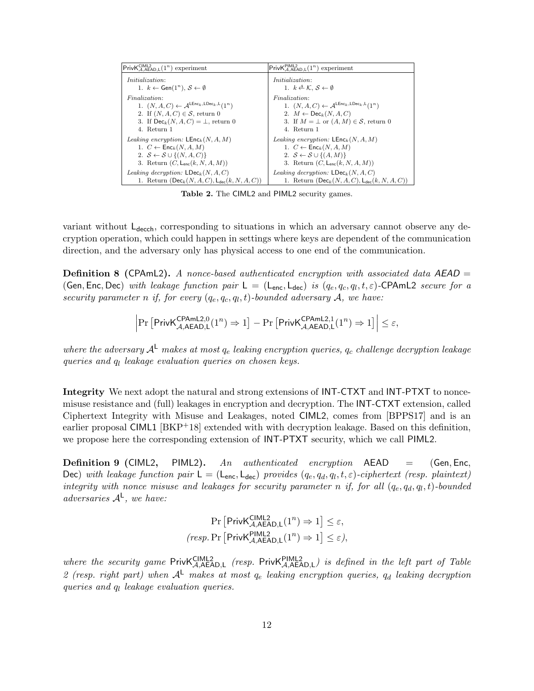| $\mathsf{PrivK}_{\mathcal{A},\mathsf{AEAD},\mathsf{L}}^{\mathsf{CIML2}}(\underline{1^n})$ experiment | $\mathsf{PrivK}_{\mathcal{A},\mathsf{AEAD},\mathsf{L}}^{\mathsf{PIML2}}(1^n)\underline{\text{ experiment}}$ |
|------------------------------------------------------------------------------------------------------|-------------------------------------------------------------------------------------------------------------|
| <i>Initialization:</i>                                                                               | <i>Initialization:</i>                                                                                      |
| 1. $k \leftarrow$ Gen $(1^n)$ , $S \leftarrow \emptyset$                                             | 1. $k \triangleq \mathcal{K}, \mathcal{S} \leftarrow \emptyset$                                             |
| Finalization:                                                                                        | Finalization:                                                                                               |
| 1. $(N, A, C) \leftarrow A^{\mathsf{LEnc}_k, \mathsf{LDec}_k, \mathsf{L}(1^n)}$                      | 1. $(N, A, C) \leftarrow A^{\mathsf{LEnc}_k, \mathsf{LDec}_k, \mathsf{L}(1^n)}$                             |
| 2. If $(N, A, C) \in \mathcal{S}$ , return 0                                                         | 2. $M \leftarrow \textsf{Dec}_k(N, A, C)$                                                                   |
| 3. If $\text{Dec}_k(N, A, C) = \bot$ , return 0                                                      | 3. If $M = \perp$ or $(A, M) \in \mathcal{S}$ , return 0                                                    |
| 4. Return 1                                                                                          | 4. Return 1                                                                                                 |
| <i>Leaking encryption:</i> $\mathsf{LEnc}_k(N, A, M)$                                                | <i>Leaking encryption:</i> LEnc <sub>k</sub> $(N, A, M)$                                                    |
| 1. $C \leftarrow \mathsf{Enc}_k(N, A, M)$                                                            | 1. $C \leftarrow \mathsf{Enc}_k(N, A, M)$                                                                   |
| 2. $S \leftarrow S \cup \{(N, A, C)\}\$                                                              | 2. $S \leftarrow S \cup \{(A, M)\}\$                                                                        |
| 3. Return $(C, L_{enc}(k, N, A, M))$                                                                 | 3. Return $(C, L_{enc}(k, N, A, M))$                                                                        |
| Leaking decryption: $\mathsf{LDec}_k(N, A, C)$                                                       | <i>Leaking decryption:</i> $\textsf{LDec}_k(N, A, C)$                                                       |
| 1. Return $(Dec_k(N, A, C), L_{dec}(k, N, A, C))$                                                    | 1. Return $(Dec_k(N, A, C), Le_c(k, N, A, C))$                                                              |

Table 2. The CIML2 and PIML2 security games.

variant without  $L_{\text{decch}}$ , corresponding to situations in which an adversary cannot observe any decryption operation, which could happen in settings where keys are dependent of the communication direction, and the adversary only has physical access to one end of the communication.

**Definition 8 (CPAmL2).** A nonce-based authenticated encryption with associated data  $AEAD$  = (Gen, Enc, Dec) with leakage function pair  $L = (L_{enc}, L_{dec})$  is  $(q_e, q_c, q_l, t, \varepsilon)$ -CPAmL2 secure for a security parameter n if, for every  $(q_e, q_c, q_l, t)$ -bounded adversary A, we have:

$$
\left|\Pr\left[\mathsf{PrivK}_{\mathcal{A},\mathsf{AEAD},\mathsf{L}}^{\mathsf{CPAmL2},0}(1^n)\Rightarrow 1\right]-\Pr\left[\mathsf{PrivK}_{\mathcal{A},\mathsf{AEAD},\mathsf{L}}^{\mathsf{CPAmL2},1}(1^n)\Rightarrow 1\right]\right|\leq \varepsilon,
$$

where the adversary  $A^L$  makes at most  $q_e$  leaking encryption queries,  $q_c$  challenge decryption leakage queries and  $q_l$  leakage evaluation queries on chosen keys.

Integrity We next adopt the natural and strong extensions of INT-CTXT and INT-PTXT to noncemisuse resistance and (full) leakages in encryption and decryption. The INT-CTXT extension, called Ciphertext Integrity with Misuse and Leakages, noted CIML2, comes from [BPPS17] and is an earlier proposal CIML1 [BKP<sup>+</sup>18] extended with with decryption leakage. Based on this definition, we propose here the corresponding extension of INT-PTXT security, which we call PIML2.

**Definition 9 (CIML2,** PIML2). An authenticated encryption  $AEAD = (Gen, Enc,$ Dec) with leakage function pair  $L = (L_{\text{enc}}, L_{\text{dec}})$  provides  $(q_e, q_d, q_l, t, \varepsilon)$ -ciphertext (resp. plaintext) integrity with nonce misuse and leakages for security parameter n if, for all  $(q_e, q_d, q_l, t)$ -bounded adversaries  $A^L$ , we have:

$$
\Pr\left[\mathsf{PrivK}_{\mathcal{A},\mathsf{A}\mathsf{E}\mathsf{A}\mathsf{D},\mathsf{L}}^{\mathsf{CIML2}}(1^n) \Rightarrow 1\right] \le \varepsilon,
$$
\n
$$
\left(\mathsf{resp.} \Pr\left[\mathsf{PrivK}_{\mathcal{A},\mathsf{A}\mathsf{E}\mathsf{A}\mathsf{D},\mathsf{L}}^{\mathsf{PIML2}}(1^n) \Rightarrow 1\right] \le \varepsilon\right),
$$

where the security game  $PrivK_{\mathcal{A},AEAD,L}^{CIML2}$  (resp. Priv $K_{\mathcal{A},AEAD,L}^{PIML2}$ ) is defined in the left part of Table 2 (resp. right part) when  $A^L$  makes at most  $q_e$  leaking encryption queries,  $q_d$  leaking decryption queries and  $q_l$  leakage evaluation queries.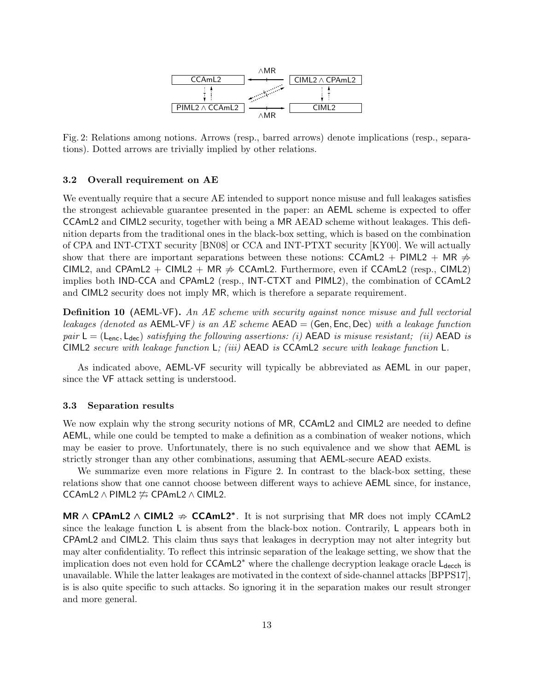

Fig. 2: Relations among notions. Arrows (resp., barred arrows) denote implications (resp., separations). Dotted arrows are trivially implied by other relations.

#### 3.2 Overall requirement on AE

We eventually require that a secure AE intended to support nonce misuse and full leakages satisfies the strongest achievable guarantee presented in the paper: an AEML scheme is expected to offer CCAmL2 and CIML2 security, together with being a MR AEAD scheme without leakages. This definition departs from the traditional ones in the black-box setting, which is based on the combination of CPA and INT-CTXT security [BN08] or CCA and INT-PTXT security [KY00]. We will actually show that there are important separations between these notions: CCAmL2 + PIML2 + MR  $\neq$ CIML2, and CPAmL2 + CIML2 + MR  $\neq$  CCAmL2. Furthermore, even if CCAmL2 (resp., CIML2) implies both IND-CCA and CPAmL2 (resp., INT-CTXT and PIML2), the combination of CCAmL2 and CIML2 security does not imply MR, which is therefore a separate requirement.

**Definition 10 (AEML-VF).** An AE scheme with security against nonce misuse and full vectorial leakages (denoted as  $AEML-VF$ ) is an AE scheme  $AEAD = (Gen, Enc, Dec)$  with a leakage function pair  $L = (L_{enc}, L_{dec})$  satisfying the following assertions: (i) AEAD is misuse resistant; (ii) AEAD is CIML2 secure with leakage function L; (iii) AEAD is CCAmL2 secure with leakage function L.

As indicated above, AEML-VF security will typically be abbreviated as AEML in our paper, since the VF attack setting is understood.

#### 3.3 Separation results

We now explain why the strong security notions of MR, CCAmL2 and CIML2 are needed to define AEML, while one could be tempted to make a definition as a combination of weaker notions, which may be easier to prove. Unfortunately, there is no such equivalence and we show that AEML is strictly stronger than any other combinations, assuming that AEML-secure AEAD exists.

We summarize even more relations in Figure 2. In contrast to the black-box setting, these relations show that one cannot choose between different ways to achieve AEML since, for instance, CCAmL2 ∧ PIML2  $\#$  CPAmL2 ∧ CIML2.

MR  $\land$  CPAmL2  $\land$  CIML2  $\Rightarrow$  CCAmL2<sup>\*</sup>. It is not surprising that MR does not imply CCAmL2 since the leakage function  $\sf L$  is absent from the black-box notion. Contrarily,  $\sf L$  appears both in CPAmL2 and CIML2. This claim thus says that leakages in decryption may not alter integrity but may alter confidentiality. To reflect this intrinsic separation of the leakage setting, we show that the implication does not even hold for  $\mathsf{CCAmL2}^*$  where the challenge decryption leakage oracle  $\mathsf{L}_{\mathsf{decch}}$  is unavailable. While the latter leakages are motivated in the context of side-channel attacks [BPPS17], is is also quite specific to such attacks. So ignoring it in the separation makes our result stronger and more general.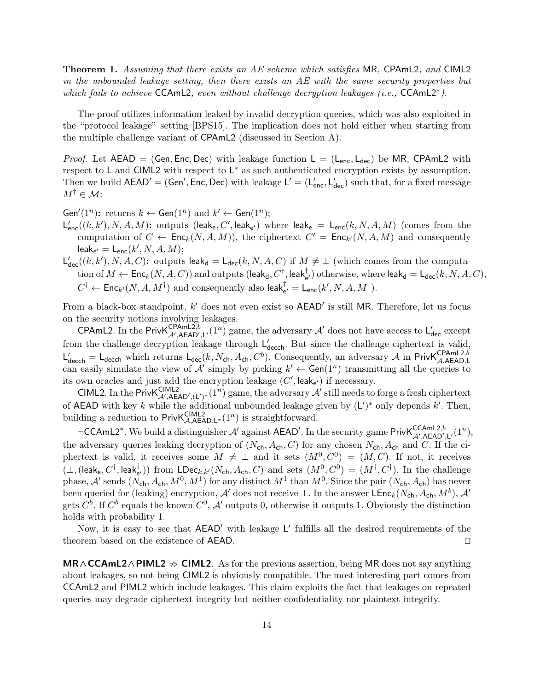Theorem 1. Assuming that there exists an AE scheme which satisfies MR, CPAmL2, and CIML2 in the unbounded leakage setting, then there exists an AE with the same security properties but which fails to achieve CCAmL2, even without challenge decryption leakages (i.e., CCAmL2<sup>\*</sup>).

The proof utilizes information leaked by invalid decryption queries, which was also exploited in the "protocol leakage" setting [BPS15]. The implication does not hold either when starting from the multiple challenge variant of CPAmL2 (discussed in Section A).

*Proof.* Let AEAD = (Gen, Enc, Dec) with leakage function  $L = (L_{enc}, L_{dec})$  be MR, CPAmL2 with respect to  $\mathsf{L}$  and CIML2 with respect to  $\mathsf{L}^*$  as such authenticated encryption exists by assumption. Then we build  $AEAD' = (Gen', Enc, Dec)$  with leakage  $L' = (L'_{enc}, L'_{dec})$  such that, for a fixed message  $M^{\dagger} \in \mathcal{M}$ :

Gen'(1<sup>n</sup>): returns  $k \leftarrow$  Gen(1<sup>n</sup>) and  $k' \leftarrow$  Gen(1<sup>n</sup>);

- $\mathsf{L}_{\sf enc}^{\prime}((k,k'),N,A,M)$ : outputs (leak<sub>e</sub>, C', leak<sub>e'</sub>) where leak<sub>e</sub> =  $\mathsf{L}_{\sf enc}(k,N,A,M)$  (comes from the computation of  $C \leftarrow \mathsf{Enc}_k(N, A, M)$ , the ciphertext  $C' = \mathsf{Enc}_{k'}(N, A, M)$  and consequently  $\mathsf{leak}_{\mathsf{e}'} = \mathsf{L}_{\mathsf{enc}}(k',N,A,M);$
- $\mathsf{L}'_{\mathsf{dec}}((k,k'),N,A,C)$ : outputs leak $_{\mathsf{d}} = \mathsf{L}_{\mathsf{dec}}(k,N,A,C)$  if  $M \neq \bot$  (which comes from the computation of  $M \leftarrow \mathsf{Enc}_k(N, A, C))$  and outputs  $(\mathsf{leak_d}, C^\dagger, \mathsf{leak_{e'}^\dagger})$  otherwise, where  $\mathsf{leak_d} = \mathsf{L_{dec}}(k, N, A, C),$  $C^{\dagger} \leftarrow \mathsf{Enc}_{k'}(N, A, M^{\dagger})$  and consequently also leak $_{e'}^{\dagger} = \mathsf{L}_{\mathsf{enc}}(k', N, A, M^{\dagger}).$

From a black-box standpoint,  $k'$  does not even exist so  $AEAD'$  is still MR. Therefore, let us focus on the security notions involving leakages.

CPAmL2. In the Priv $K_{\mathcal{A}',AEAD',L'}^{CPAML2,b}(1^n)$  game, the adversary  $\mathcal{A}'$  does not have access to  $L'_{dec}$  except from the challenge decryption leakage through  $L'_{\text{decoh}}$ . But since the challenge ciphertext is valid,  $L'_{\text{decch}} = L_{\text{decch}}$  which returns  $L_{\text{dec}}(k, N_{\text{ch}}, A_{\text{ch}}, C^b)$ . Consequently, an adversary A in PrivK ${}_{\mathcal{A},\text{AEAD},\text{L}}^{\text{CPAmL2},b}$ can easily simulate the view of A' simply by picking  $k' \leftarrow$  Gen(1<sup>n</sup>) transmitting all the queries to its own oracles and just add the encryption leakage  $(C', \text{leak}_{e'})$  if necessary.

CIML2. In the Priv $\mathsf{K}_{\mathcal{A}',\mathsf{A}\mathsf{EAD}',(\mathsf{L}')^*}^{(\mathsf{I}^n)}(1^n)$  game, the adversary  $\mathcal{A}'$  still needs to forge a fresh ciphertext of AEAD with key k while the additional unbounded leakage given by  $(L')^*$  only depends k'. Then, building a reduction to  $\text{PrivK}_{\mathcal{A},\text{AEAD},\mathsf{L}^*}(1^n)$  is straightforward.

¬CCAmL2<sup>\*</sup>. We build a distinguisher  $\mathcal{A}'$  against AEAD'. In the security game PrivK ${}_{\mathcal{A}',\mathsf{AEAD}',\mathsf{L}'}^{\mathsf{CCAmL2},b}(1^n)$ , the adversary queries leaking decryption of  $(N_{ch}, A_{ch}, C)$  for any chosen  $N_{ch}, A_{ch}$  and C. If the ciphertext is valid, it receives some  $M \neq \perp$  and it sets  $(M^0, C^0) = (M, C)$ . If not, it receives  $(\perp, (\text{leak}_e, C^\dagger, \text{leak}_{e'}^\dagger))$  from  $\text{LDec}_{k,k'}(N_{ch}, A_{ch}, C)$  and sets  $(M^0, C^0) = (M^\dagger, C^\dagger)$ . In the challenge phase,  $\mathcal{A}'$  sends  $(N_{ch}, A_{ch}, M^0, M^1)$  for any distinct  $M^1$  than  $M^0$ . Since the pair  $(N_{ch}, A_{ch})$  has never been queried for (leaking) encryption,  $\mathcal{A}'$  does not receive ⊥. In the answer LEnc<sub>k</sub>(N<sub>ch</sub>, A<sub>ch</sub>, M<sup>b</sup>),  $\mathcal{A}'$ gets  $C^b$ . If  $C^b$  equals the known  $C^0$ ,  $\mathcal{A}'$  outputs 0, otherwise it outputs 1. Obviously the distinction holds with probability 1.

Now, it is easy to see that  $AEAD'$  with leakage L' fulfills all the desired requirements of the theorem based on the existence of AEAD.  $\Box$ 

 $MR \wedge CCAmL2 \wedge PIML2 \nightharpoonup CIML2$ . As for the previous assertion, being MR does not say anything about leakages, so not being CIML2 is obviously compatible. The most interesting part comes from CCAmL2 and PIML2 which include leakages. This claim exploits the fact that leakages on repeated queries may degrade ciphertext integrity but neither confidentiality nor plaintext integrity.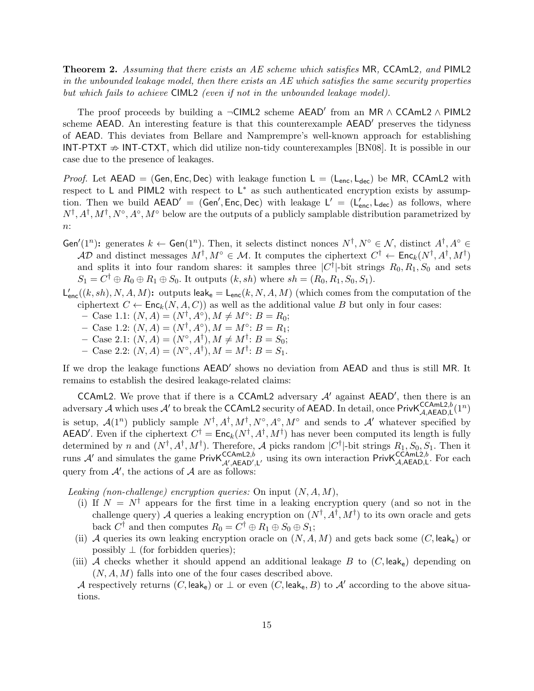Theorem 2. Assuming that there exists an AE scheme which satisfies MR, CCAmL2, and PIML2 in the unbounded leakage model, then there exists an AE which satisfies the same security properties but which fails to achieve CIML2 (even if not in the unbounded leakage model).

The proof proceeds by building a  $\neg$ CIML2 scheme AEAD' from an MR  $\land$  CCAmL2  $\land$  PIML2 scheme AEAD. An interesting feature is that this counterexample AEAD<sup>'</sup> preserves the tidyness of AEAD. This deviates from Bellare and Namprempre's well-known approach for establishing INT-PTXT  $\Rightarrow$  INT-CTXT, which did utilize non-tidy counterexamples [BN08]. It is possible in our case due to the presence of leakages.

*Proof.* Let AEAD = (Gen, Enc, Dec) with leakage function  $L = (L_{enc}, L_{dec})$  be MR, CCAmL2 with respect to  $L$  and PIML2 with respect to  $L^*$  as such authenticated encryption exists by assumption. Then we build  $AEAD' = (Gen', Enc, Dec)$  with leakage  $L' = (L'_{enc}, L_{dec})$  as follows, where  $N^{\dagger}, A^{\dagger}, M^{\dagger}, N^{\circ}, A^{\circ}, M^{\circ}$  below are the outputs of a publicly samplable distribution parametrized by  $n$ :

- Gen'(1<sup>n</sup>): generates  $k \leftarrow$  Gen(1<sup>n</sup>). Then, it selects distinct nonces  $N^{\dagger}, N^{\circ} \in \mathcal{N}$ , distinct  $A^{\dagger}, A^{\circ} \in$  $AD$  and distinct messages  $M^{\dagger}, M^{\circ} \in \mathcal{M}$ . It computes the ciphertext  $C^{\dagger} \leftarrow \mathsf{Enc}_k(N^{\dagger}, A^{\dagger}, M^{\dagger})$ and splits it into four random shares: it samples three  $|C^{\dagger}|$ -bit strings  $R_0, R_1, S_0$  and sets  $S_1 = C^{\dagger} \oplus R_0 \oplus R_1 \oplus S_0$ . It outputs  $(k, sh)$  where  $sh = (R_0, R_1, S_0, S_1)$ .
- $\mathsf{L}_{\mathsf{enc}}'((k,sh),N,A,M)$ : outputs leak<sub>e</sub> =  $\mathsf{L}_{\mathsf{enc}}(k,N,A,M)$  (which comes from the computation of the ciphertext  $C \leftarrow \mathsf{Enc}_k(N, A, C)$  as well as the additional value B but only in four cases:
	- $-$  Case 1.1:  $(N, A) = (N^{\dagger}, A^{\circ}), M \neq M^{\circ}: B = R_0;$
	- $-$  Case 1.2:  $(N, A) = (N^{\dagger}, A^{\circ}), M = M^{\circ}: B = R_1;$
	- $-$  Case 2.1:  $(N, A) = (N^{\circ}, A^{\dagger}), M \neq M^{\dagger}: B = S_0;$
	- $-$  Case 2.2:  $(N, A) = (N^{\circ}, A^{\dagger}), M = M^{\dagger}: B = S_1.$

If we drop the leakage functions AEAD' shows no deviation from AEAD and thus is still MR. It remains to establish the desired leakage-related claims:

CCAmL2. We prove that if there is a CCAmL2 adversary  $A'$  against AEAD', then there is an adversary A which uses A' to break the CCAmL2 security of AEAD. In detail, once  $\text{PrivK}_{\mathcal{A},\mathsf{AEAAD},\mathsf{L}}^{\text{CCAmL2},b}(1^n)$ is setup,  $\mathcal{A}(1^n)$  publicly sample  $N^{\dagger}, A^{\dagger}, M^{\dagger}, N^{\circ}, A^{\circ}, M^{\circ}$  and sends to  $\mathcal{A}'$  whatever specified by AEAD'. Even if the ciphertext  $C^{\dagger} = \text{Enc}_k(N^{\dagger}, A^{\dagger}, M^{\dagger})$  has never been computed its length is fully determined by n and  $(N^{\dagger}, A^{\dagger}, M^{\dagger})$ . Therefore, A picks random  $|C^{\dagger}|$ -bit strings  $R_1, S_0, S_1$ . Then it runs  $\mathcal{A}'$  and simulates the game PrivK ${}_{\mathcal{A}',A}^{CCAmL2,b}$  using its own interaction PrivK ${}_{\mathcal{A},A\text{EAD},L}^{CCAmL2,b}$ . For each query from  $A'$ , the actions of  $A$  are as follows:

Leaking (non-challenge) encryption queries: On input  $(N, A, M)$ ,

- (i) If  $N = N^{\dagger}$  appears for the first time in a leaking encryption query (and so not in the challenge query) A queries a leaking encryption on  $(N^{\dagger}, A^{\dagger}, M^{\dagger})$  to its own oracle and gets back  $C^{\dagger}$  and then computes  $R_0 = C^{\dagger} \oplus R_1 \oplus S_0 \oplus S_1$ ;
- (ii) A queries its own leaking encryption oracle on  $(N, A, M)$  and gets back some  $(C, \text{leak}_e)$  or possibly  $\perp$  (for forbidden queries);
- (iii) A checks whether it should append an additional leakage B to  $(C, \text{leak}_e)$  depending on  $(N, A, M)$  falls into one of the four cases described above.

A respectively returns (C, leak<sub>e</sub>) or  $\perp$  or even (C, leak<sub>e</sub>, B) to A' according to the above situations.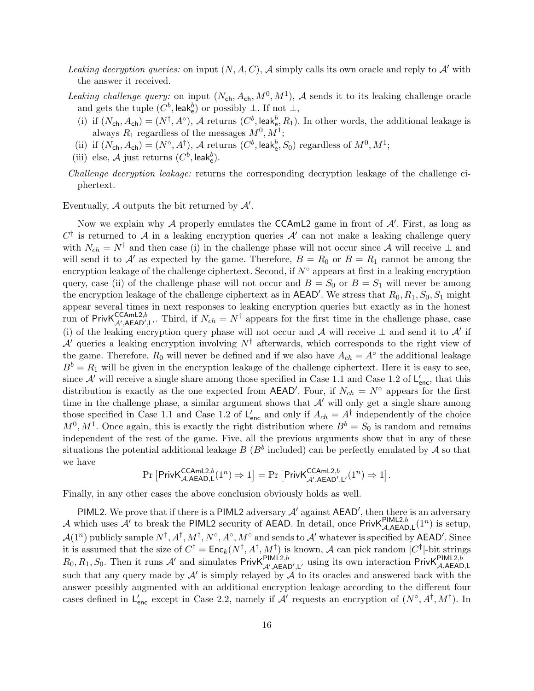- Leaking decryption queries: on input  $(N, A, C)$ , A simply calls its own oracle and reply to A' with the answer it received.
- Leaking challenge query: on input  $(N_{ch}, A_{ch}, M^0, M^1)$ , A sends it to its leaking challenge oracle and gets the tuple  $(C^b, \text{leak}_e^b)$  or possibly  $\bot$ . If not  $\bot$ ,
	- (i) if  $(N_{ch}, A_{ch}) = (N^{\dagger}, A^{\circ})$ , A returns  $(C^{b}, \text{leak}_{e}^{b}, R_{1})$ . In other words, the additional leakage is always  $R_1$  regardless of the messages  $M^0, M^1$ ;
	- (ii) if  $(N_{ch}, A_{ch}) = (N^{\circ}, A^{\dagger}), A$  returns  $(C^b, \text{leak}_e^b, S_0)$  regardless of  $M^0, M^1$ ;
- (iii) else,  $\mathcal A$  just returns  $(C^b, \mathsf{leak}_e^b)$ .
- Challenge decryption leakage: returns the corresponding decryption leakage of the challenge ciphertext.

Eventually,  $A$  outputs the bit returned by  $A'$ .

Now we explain why  $A$  properly emulates the CCAmL2 game in front of  $A'$ . First, as long as  $C^{\dagger}$  is returned to A in a leaking encryption queries A' can not make a leaking challenge query with  $N_{ch} = N^{\dagger}$  and then case (i) in the challenge phase will not occur since A will receive  $\perp$  and will send it to A' as expected by the game. Therefore,  $B = R_0$  or  $B = R_1$  cannot be among the encryption leakage of the challenge ciphertext. Second, if  $N^{\circ}$  appears at first in a leaking encryption query, case (ii) of the challenge phase will not occur and  $B = S_0$  or  $B = S_1$  will never be among the encryption leakage of the challenge ciphertext as in  $\mathsf{AEAD}'$ . We stress that  $R_0, R_1, S_0, S_1$  might appear several times in next responses to leaking encryption queries but exactly as in the honest run of Priv $\mathsf{K}_{\mathcal{A}',\mathsf{A}\mathsf{E}\mathsf{A}\mathsf{D}',\mathsf{L}'}^{\mathsf{CCAML2},b}$ . Third, if  $N_{ch}=N^{\dagger}$  appears for the first time in the challenge phase, case (i) of the leaking encryption query phase will not occur and A will receive  $\perp$  and send it to A' if  $\mathcal{A}^{\prime}$  queries a leaking encryption involving  $N^{\dagger}$  afterwards, which corresponds to the right view of the game. Therefore,  $R_0$  will never be defined and if we also have  $A_{ch} = A^{\circ}$  the additional leakage  $B^b = R_1$  will be given in the encryption leakage of the challenge ciphertext. Here it is easy to see, since  $\mathcal{A}'$  will receive a single share among those specified in Case 1.1 and Case 1.2 of  $\mathsf{L}'_{\mathsf{enc}}$ , that this distribution is exactly as the one expected from AEAD'. Four, if  $N_{ch} = N^{\circ}$  appears for the first time in the challenge phase, a similar argument shows that  $A'$  will only get a single share among those specified in Case 1.1 and Case 1.2 of  $L'_{\text{enc}}$  and only if  $A_{ch} = A^{\dagger}$  independently of the choice  $M^0, M^1$ . Once again, this is exactly the right distribution where  $B^b = S_0$  is random and remains independent of the rest of the game. Five, all the previous arguments show that in any of these situations the potential additional leakage  $B(B^b)$  included) can be perfectly emulated by  $\mathcal A$  so that we have

$$
\Pr\left[\mathsf{PrivK}_{\mathcal{A},\mathsf{AEAD},\mathsf{L}}^{\mathsf{CCAmL2},b}(1^n) \Rightarrow 1\right] = \Pr\left[\mathsf{PrivK}_{\mathcal{A}',\mathsf{AEAD}',\mathsf{L}'}^{\mathsf{CCAmL2},b}(1^n) \Rightarrow 1\right].
$$

Finally, in any other cases the above conclusion obviously holds as well.

PIML2. We prove that if there is a PIML2 adversary  $A'$  against  $AEAD'$ , then there is an adversary A which uses  $\mathcal{A}'$  to break the PIML2 security of AEAD. In detail, once Priv $\mathsf{K}_{\mathcal{A},\mathsf{A}\mathsf{EAD},\mathsf{L}}^{\mathsf{PIML2},b}(1^n)$  is setup,  $\mathcal{A}(1^n)$  publicly sample  $N^{\dagger}$ ,  $A^{\dagger}$ ,  $M^{\dagger}$ ,  $N^{\circ}$ ,  $A^{\circ}$ ,  $M^{\circ}$  and sends to  $\mathcal{A}'$  whatever is specified by AEAD'. Since it is assumed that the size of  $C^{\dagger} = \text{Enc}_k(N^{\dagger}, A^{\dagger}, M^{\dagger})$  is known, A can pick random  $|C^{\dagger}|$ -bit strings  $R_0, R_1, S_0$ . Then it runs A' and simulates PrivK $R_{\mathcal{A}',\mathsf{AEAD}',\mathsf{L}'}^{\mathsf{PIML2},b}$  using its own interaction PrivK $R_{\mathcal{A},\mathsf{AEAD},\mathsf{L}}^{\mathsf{PIML2},b}$ such that any query made by  $A'$  is simply relayed by  $A'$  to its oracles and answered back with the answer possibly augmented with an additional encryption leakage according to the different four cases defined in  $L'_{\text{enc}}$  except in Case 2.2, namely if A' requests an encryption of  $(N^{\circ}, A^{\dagger}, M^{\dagger})$ . In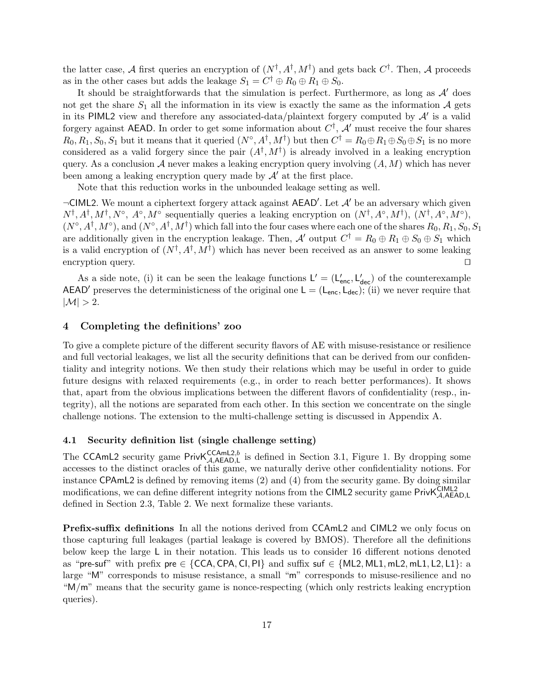the latter case, A first queries an encryption of  $(N^{\dagger}, A^{\dagger}, M^{\dagger})$  and gets back  $C^{\dagger}$ . Then, A proceeds as in the other cases but adds the leakage  $S_1 = C^{\dagger} \oplus R_0 \oplus R_1 \oplus S_0$ .

It should be straightforwards that the simulation is perfect. Furthermore, as long as  $\mathcal{A}'$  does not get the share  $S_1$  all the information in its view is exactly the same as the information A gets in its PIML2 view and therefore any associated-data/plaintext forgery computed by  $A'$  is a valid forgery against AEAD. In order to get some information about  $C^{\dagger}$ ,  $\mathcal{A}'$  must receive the four shares  $R_0, R_1, S_0, S_1$  but it means that it queried  $(N^\circ, A^\dagger, M^\dagger)$  but then  $C^\dagger = R_0 \oplus R_1 \oplus S_0 \oplus S_1$  is no more considered as a valid forgery since the pair  $(A^{\dagger}, M^{\dagger})$  is already involved in a leaking encryption query. As a conclusion  $A$  never makes a leaking encryption query involving  $(A, M)$  which has never been among a leaking encryption query made by  $\mathcal{A}'$  at the first place.

Note that this reduction works in the unbounded leakage setting as well.

 $\neg$ CIML2. We mount a ciphertext forgery attack against AEAD'. Let  $\mathcal{A}'$  be an adversary which given  $N^{\dagger}, A^{\dagger}, M^{\dagger}, N^{\circ}, A^{\circ}, M^{\circ}$  sequentially queries a leaking encryption on  $(N^{\dagger}, A^{\circ}, M^{\dagger}), (N^{\dagger}, A^{\circ}, M^{\circ}),$  $(N^{\circ}, A^{\dagger}, M^{\circ})$ , and  $(N^{\circ}, A^{\dagger}, M^{\dagger})$  which fall into the four cases where each one of the shares  $R_0, R_1, S_0, S_1$ are additionally given in the encryption leakage. Then, A' output  $C^{\dagger} = R_0 \oplus R_1 \oplus S_0 \oplus S_1$  which is a valid encryption of  $(N^{\dagger}, A^{\dagger}, M^{\dagger})$  which has never been received as an answer to some leaking encryption query.  $\Box$ 

As a side note, (i) it can be seen the leakage functions  $L' = (L'_{\text{enc}}, L'_{\text{dec}})$  of the counterexample AEAD' preserves the deterministicness of the original one  $L = (L_{\text{enc}}, L_{\text{dec}});$  (ii) we never require that  $|\mathcal{M}| > 2$ .

#### 4 Completing the definitions' zoo

To give a complete picture of the different security flavors of AE with misuse-resistance or resilience and full vectorial leakages, we list all the security definitions that can be derived from our confidentiality and integrity notions. We then study their relations which may be useful in order to guide future designs with relaxed requirements (e.g., in order to reach better performances). It shows that, apart from the obvious implications between the different flavors of confidentiality (resp., integrity), all the notions are separated from each other. In this section we concentrate on the single challenge notions. The extension to the multi-challenge setting is discussed in Appendix A.

## 4.1 Security definition list (single challenge setting)

The CCAmL2 security game  $PrivK_{A,AEAD,L}^{CCAmL2,b}$  is defined in Section 3.1, Figure 1. By dropping some accesses to the distinct oracles of this game, we naturally derive other confidentiality notions. For instance CPAmL2 is defined by removing items (2) and (4) from the security game. By doing similar modifications, we can define different integrity notions from the CIML2 security game PrivK<sup>CIML2</sup><br> defined in Section 2.3, Table 2. We next formalize these variants.

Prefix-suffix definitions In all the notions derived from CCAmL2 and CIML2 we only focus on those capturing full leakages (partial leakage is covered by BMOS). Therefore all the definitions below keep the large L in their notation. This leads us to consider 16 different notions denoted as "pre-suf" with prefix pre  $\in \{CCA,CPA, CI, PI\}$  and suffix suf  $\in \{ML2, ML1, mL2, mL1, L2, L1\}$ : a large "M" corresponds to misuse resistance, a small "m" corresponds to misuse-resilience and no "M/m" means that the security game is nonce-respecting (which only restricts leaking encryption queries).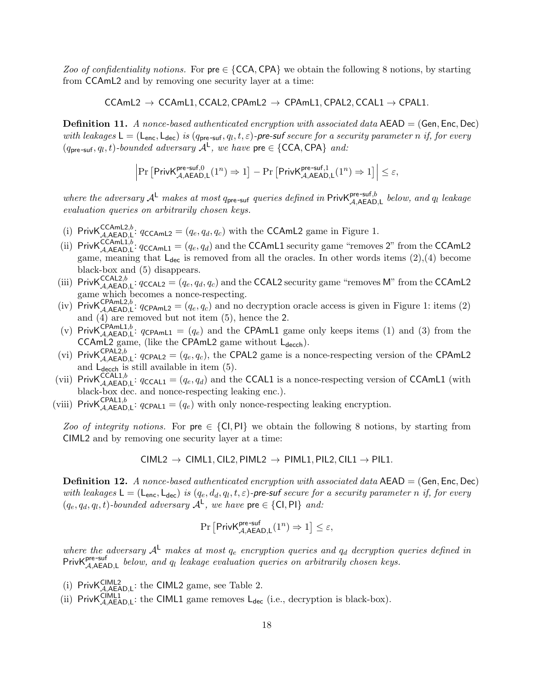Zoo of confidentiality notions. For  $pre \in \{CCA,CPA\}$  we obtain the following 8 notions, by starting from CCAmL2 and by removing one security layer at a time:

 $CCAmL2 \rightarrow CCAmL1$ , CCAL2, CPAmL2  $\rightarrow$  CPAmL1, CPAL2, CCAL1  $\rightarrow$  CPAL1.

**Definition 11.** A nonce-based authenticated encryption with associated data  $AEAD = (Gen, Enc, Dec)$ with leakages  $\mathsf{L} = (\mathsf{L}_{\text{enc}}, \mathsf{L}_{\text{dec}})$  is  $(q_{\text{pre-suf}}, q_l, t, \varepsilon)$ -pre-suf secure for a security parameter n if, for every  $(q_{pre-suf}, q_l, t)$ -bounded adversary  $A^L$ , we have pre  $\in \{CCA, CPA\}$  and:

$$
\left|\Pr\left[\mathsf{PrivK}_{\mathcal{A},\mathsf{AEAD},\mathsf{L}}^{\mathsf{pre-suf},0}(1^n)\Rightarrow 1\right]-\Pr\left[\mathsf{PrivK}_{\mathcal{A},\mathsf{AEAD},\mathsf{L}}^{\mathsf{pre-suf},1}(1^n)\Rightarrow 1\right]\right|\leq \varepsilon,
$$

where the adversary  $A^L$  makes at most q<sub>pre-suf</sub> queries defined in Priv $K_{A, A\in AD, L}^{pre-suf, b}$  below, and  $q_l$  leakage evaluation queries on arbitrarily chosen keys.

- (i) PrivKCCAmL2,b:  $q_{\text{CAmL2}} = (q_e, q_d, q_c)$  with the CCAmL2 game in Figure 1.
- (ii) Priv $K_{\mathcal{A},\mathsf{AEAD},\mathsf{L}}^{\mathsf{CCAmL1},b}$ :  $q_{\mathsf{CCAmL1}} = (q_e, q_d)$  and the CCAmL1 security game "removes 2" from the CCAmL2 game, meaning that  $L_{\text{dec}}$  is removed from all the oracles. In other words items (2),(4) become black-box and (5) disappears.
- (iii) Priv $\mathsf{K}_{\mathcal{A},\mathsf{A}\in\mathsf{AD},\mathsf{L}}^{CCAL2,b}$ :  $q_{\mathsf{C}\in\mathsf{AL2}} = (q_e, q_d, q_c)$  and the CCAL2 security game "removes M" from the CCAmL2 game which becomes a nonce-respecting.
- (iv) PrivKCPAmL2,b:  $q_{\text{CPAML2}} = (q_e, q_c)$  and no decryption oracle access is given in Figure 1: items (2) and  $\overline{4}$  are removed but not item  $(5)$ , hence the 2.
- (v) Priv $K_{\mathcal{A},\mathsf{A}\mathsf{EAD},\mathsf{L}}^{\mathsf{CPAmL1},b}$ :  $q_{\mathsf{CPAmL1}} = (q_e)$  and the CPAmL1 game only keeps items (1) and (3) from the CCAmL2 game, (like the CPAmL2 game without  $L_{decoh}$ ).
- (vi) Priv $\mathsf{K}_{\mathcal{A},\mathsf{A}\in\mathsf{AD},\mathsf{L}}^{CPAL2,b}$ :  $q_{\mathsf{C}\mathsf{PAL2}} = (q_e, q_c)$ , the CPAL2 game is a nonce-respecting version of the CPAmL2 and  $L_{\text{decch}}$  is still available in item (5).
- (vii) PrivKCCAL1,b,  $q_{\text{CAL1}} = (q_e, q_d)$  and the CCAL1 is a nonce-respecting version of CCAmL1 (with black-box dec. and nonce-respecting leaking enc.).
- (viii) Priv $\mathsf{K}_{\mathcal{A},\mathsf{A}\mathsf{E}\mathsf{A}\mathsf{D},\mathsf{L}}^{\mathsf{CPAL1},b}$ :  $q_{\mathsf{CPAL1}} = (q_e)$  with only nonce-respecting leaking encryption.

Zoo of integrity notions. For  $pre \in \{CI, PI\}$  we obtain the following 8 notions, by starting from CIML2 and by removing one security layer at a time:

$$
CIML2 \rightarrow CIML1, CIL2, PIML2 \rightarrow PIML1, PIL2, CIL1 \rightarrow PIL1.
$$

**Definition 12.** A nonce-based authenticated encryption with associated data  $AEAD = (Gen, Enc, Dec)$ with leakages  $\mathsf{L} = (\mathsf{L}_{\text{enc}}, \mathsf{L}_{\text{dec}})$  is  $(q_e, d_d, q_l, t, \varepsilon)$ -pre-suf secure for a security parameter n if, for every  $(q_e, q_d, q_l, t)$ -bounded adversary  $A^L$ , we have pre  $\in \{\textsf{CI}, \textsf{PI}\}$  and:

$$
\Pr\left[\mathsf{PrivK}_{\mathcal{A}, \mathsf{AEAD}, \mathsf{L}}^{\mathsf{pre-suf}}(1^n) \Rightarrow 1\right] \le \varepsilon,
$$

where the adversary  $A^L$  makes at most  $q_e$  encryption queries and  $q_d$  decryption queries defined in Priv $K_{\mathcal{A},\mathsf{A} \in \mathsf{AD},\mathsf{L}}^{\mathsf{pre-sum}}$  below, and  $q_l$  leakage evaluation queries on arbitrarily chosen keys.

- (i) Priv $K_{\mathcal{A},\mathsf{AEAD},\mathsf{L}}^{\mathsf{CIML2}}$ : the CIML2 game, see Table 2.
- (ii) PrivK $\zeta_{\mathcal{A},\mathsf{AEAD},\mathsf{L}}^{\mathsf{CIML1}}$ : the CIML1 game removes  $\mathsf{L}_{\mathsf{dec}}$  (i.e., decryption is black-box).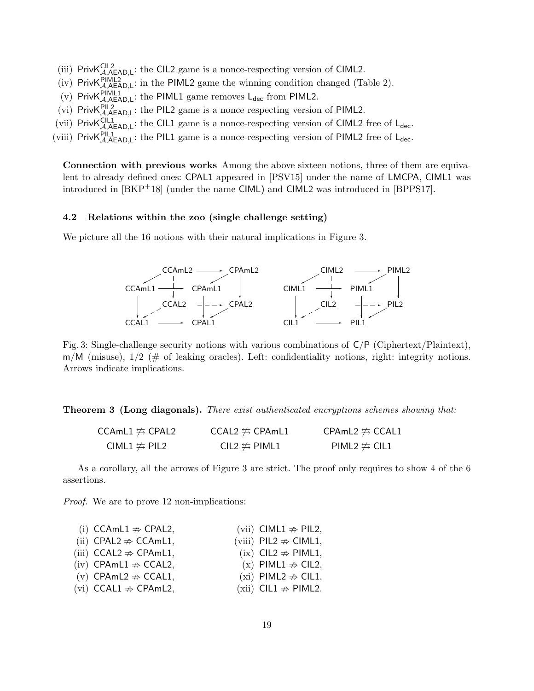- (iii)  $PrivK_{A, AEAD, L}^{CIL2}$ : the CIL2 game is a nonce-respecting version of CIML2.
- (iv) Priv $K_{\mathcal{A},A\text{EAD},L}^{PIML2}$ : in the PIML2 game the winning condition changed (Table 2).
- (v) Priv $K_{\mathcal{A},A\text{EAD},L}^{\text{PIML1}}$ : the PIML1 game removes  $L_{dec}$  from PIML2.
- (vi) Priv $K_{\mathcal{A},A\text{EAD},L}^{PIL2}$ : the PIL2 game is a nonce respecting version of PIML2.
- (vii) Priv $K_{\mathcal{A},AEAD,L}^{CIL1}$ : the CIL1 game is a nonce-respecting version of CIML2 free of L<sub>dec</sub>.
- (viii) Priv $K_{\mathcal{A},A\text{EAD},L}^{PIL1}$ : the PIL1 game is a nonce-respecting version of PIML2 free of L<sub>dec</sub>.

Connection with previous works Among the above sixteen notions, three of them are equivalent to already defined ones: CPAL1 appeared in [PSV15] under the name of LMCPA, CIML1 was introduced in [BKP+18] (under the name CIML) and CIML2 was introduced in [BPPS17].

#### 4.2 Relations within the zoo (single challenge setting)

We picture all the 16 notions with their natural implications in Figure 3.



Fig. 3: Single-challenge security notions with various combinations of C/P (Ciphertext/Plaintext),  $m/M$  (misuse),  $1/2$  (# of leaking oracles). Left: confidentiality notions, right: integrity notions. Arrows indicate implications.

**Theorem 3 (Long diagonals).** There exist authenticated encryptions schemes showing that:

| <code>CCAmL1</code> $\not\leftrightarrows$ <code>CPAL2</code> | CCAL2 $\not\leftrightharpoons$ CPAmL1 | CPAmL2 $\not\leftrightharpoons$ CCAL1 |
|---------------------------------------------------------------|---------------------------------------|---------------------------------------|
| CIML1 $\not\simeq$ PIL2                                       | CIL2 $\not\approx$ PIML1              | PIML2 $\not\simeq$ CIL1               |

As a corollary, all the arrows of Figure 3 are strict. The proof only requires to show 4 of the 6 assertions.

Proof. We are to prove 12 non-implications:

| (i) CCAmL1 $\Rightarrow$ CPAL2,     | (vii) CIML1 $\Rightarrow$ PIL2,   |
|-------------------------------------|-----------------------------------|
| (ii) CPAL2 $\Rightarrow$ CCAmL1,    | (viii) PIL2 $\Rightarrow$ CIML1,  |
| (iii) $CCAL2 \nRightarrow CPAmL1$ , | $(ix)$ CIL2 $\Rightarrow$ PIML1,  |
| $(iv)$ CPAmL1 $\Rightarrow$ CCAL2,  | $(x)$ PIML1 $\Rightarrow$ CIL2,   |
| (v) CPAmL2 $\Rightarrow$ CCAL1,     | (xi) PIML2 $\Rightarrow$ CIL1,    |
| $(vi)$ CCAL1 $\Rightarrow$ CPAmL2,  | $(xii)$ CIL1 $\Rightarrow$ PIML2. |
|                                     |                                   |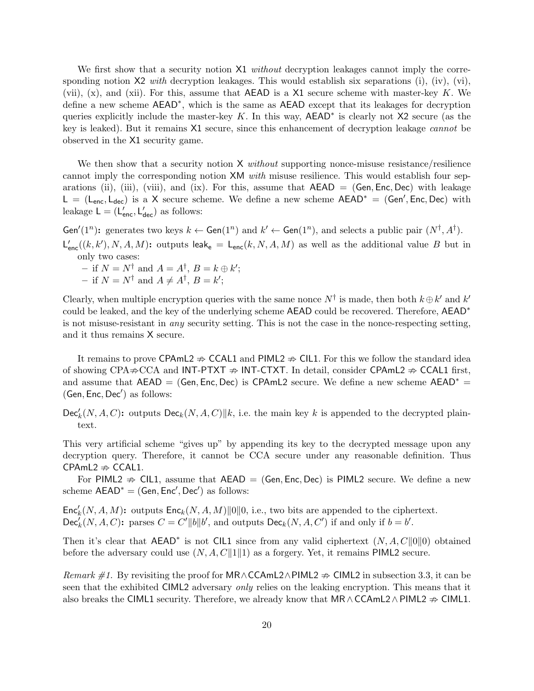We first show that a security notion X1 *without* decryption leakages cannot imply the corresponding notion  $X2$  with decryption leakages. This would establish six separations (i), (iv), (vi), (vii),  $(x)$ , and (xii). For this, assume that AEAD is a X1 secure scheme with master-key K. We define a new scheme  $AEAD^*$ , which is the same as AEAD except that its leakages for decryption queries explicitly include the master-key  $K$ . In this way,  $AEAD^*$  is clearly not X2 secure (as the key is leaked). But it remains X1 secure, since this enhancement of decryption leakage cannot be observed in the X1 security game.

We then show that a security notion  $X$  without supporting nonce-misuse resistance/resilience cannot imply the corresponding notion XM with misuse resilience. This would establish four separations (ii), (iii), (viii), and (ix). For this, assume that  $AEAD = (Gen, Enc, Dec)$  with leakage L = (L<sub>enc</sub>, L<sub>dec</sub>) is a X secure scheme. We define a new scheme  $AEAD^*$  = (Gen', Enc, Dec) with leakage  $L = (L'_{\text{enc}}, L'_{\text{dec}})$  as follows:

Gen'(1<sup>n</sup>): generates two keys  $k \leftarrow$  Gen(1<sup>n</sup>) and  $k' \leftarrow$  Gen(1<sup>n</sup>), and selects a public pair (N<sup>†</sup>, A<sup>†</sup>).  $L'_{enc}((k, k'), N, A, M)$ : outputs leak<sub>e</sub> =  $L_{enc}(k, N, A, M)$  as well as the additional value B but in only two cases:

- if  $N = N^{\dagger}$  and  $A = A^{\dagger}$ ,  $B = k \oplus k'$ ; - if  $N = N^{\dagger}$  and  $A \neq A^{\dagger}$ ,  $B = k'$ ;

Clearly, when multiple encryption queries with the same nonce  $N^{\dagger}$  is made, then both  $k \oplus k'$  and  $k'$ could be leaked, and the key of the underlying scheme AEAD could be recovered. Therefore, AEAD<sup>∗</sup> is not misuse-resistant in any security setting. This is not the case in the nonce-respecting setting, and it thus remains X secure.

It remains to prove CPAmL2  $\Rightarrow$  CCAL1 and PIML2  $\Rightarrow$  CIL1. For this we follow the standard idea of showing CPA $\Rightarrow$ CCA and INT-PTXT  $\Rightarrow$  INT-CTXT. In detail, consider CPAmL2  $\Rightarrow$  CCAL1 first, and assume that  $AEAD = (Gen, Enc, Dec)$  is CPAmL2 secure. We define a new scheme  $AEAD^* =$  $(Gen, Enc, Dec')$  as follows:

 $\mathsf{Dec}'_k(N, A, C)$ : outputs  $\mathsf{Dec}_k(N, A, C)| k$ , i.e. the main key k is appended to the decrypted plaintext.

This very artificial scheme "gives up" by appending its key to the decrypted message upon any decryption query. Therefore, it cannot be CCA secure under any reasonable definition. Thus CPAmL2  $\Rightarrow$  CCAL1.

For PIML2  $\Rightarrow$  CIL1, assume that AEAD = (Gen, Enc, Dec) is PIML2 secure. We define a new scheme  $AEAD^* = (Gen, Enc', Dec')$  as follows:

 $\mathsf{Enc}'_k(N, A, M)$ : outputs  $\mathsf{Enc}_k(N, A, M) ||0||0$ , i.e., two bits are appended to the ciphertext.  $\mathsf{Dec}_k^{\prime}(N, A, C)$ : parses  $C = C^{\prime} ||b|| b^{\prime}$ , and outputs  $\mathsf{Dec}_k(N, A, C^{\prime})$  if and only if  $b = b^{\prime}$ .

Then it's clear that  $AEAD^*$  is not CIL1 since from any valid ciphertext  $(N, A, C||0||0)$  obtained before the adversary could use  $(N, A, C||1||1)$  as a forgery. Yet, it remains PIML2 secure.

Remark #1. By revisiting the proof for MR∧CCAmL2∧PIML2  $\Rightarrow$  CIML2 in subsection 3.3, it can be seen that the exhibited CIML2 adversary *only* relies on the leaking encryption. This means that it also breaks the CIML1 security. Therefore, we already know that  $MR \wedge CCAML2 \wedge PIML2 \Rightarrow CIML1$ .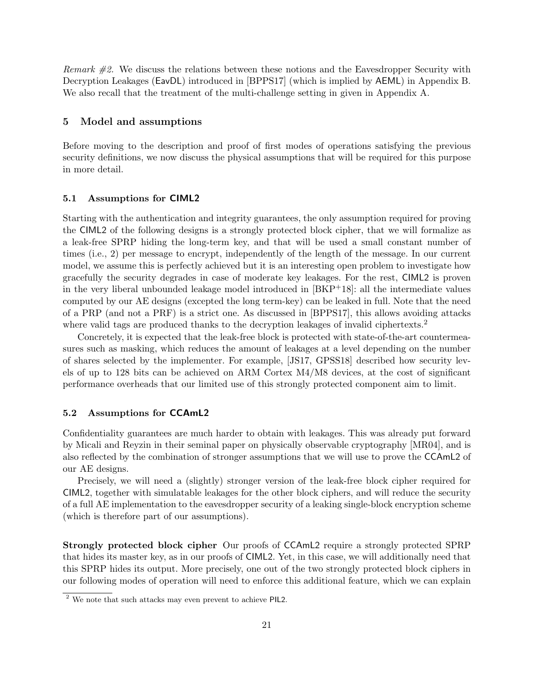Remark #2. We discuss the relations between these notions and the Eavesdropper Security with Decryption Leakages (EavDL) introduced in [BPPS17] (which is implied by AEML) in Appendix B. We also recall that the treatment of the multi-challenge setting in given in Appendix A.

#### 5 Model and assumptions

Before moving to the description and proof of first modes of operations satisfying the previous security definitions, we now discuss the physical assumptions that will be required for this purpose in more detail.

#### 5.1 Assumptions for CIML2

Starting with the authentication and integrity guarantees, the only assumption required for proving the CIML2 of the following designs is a strongly protected block cipher, that we will formalize as a leak-free SPRP hiding the long-term key, and that will be used a small constant number of times (i.e., 2) per message to encrypt, independently of the length of the message. In our current model, we assume this is perfectly achieved but it is an interesting open problem to investigate how gracefully the security degrades in case of moderate key leakages. For the rest, CIML2 is proven in the very liberal unbounded leakage model introduced in  $[BKP^+18]$ : all the intermediate values computed by our AE designs (excepted the long term-key) can be leaked in full. Note that the need of a PRP (and not a PRF) is a strict one. As discussed in [BPPS17], this allows avoiding attacks where valid tags are produced thanks to the decryption leakages of invalid ciphertexts.<sup>2</sup>

Concretely, it is expected that the leak-free block is protected with state-of-the-art countermeasures such as masking, which reduces the amount of leakages at a level depending on the number of shares selected by the implementer. For example, [JS17, GPSS18] described how security levels of up to 128 bits can be achieved on ARM Cortex M4/M8 devices, at the cost of significant performance overheads that our limited use of this strongly protected component aim to limit.

#### 5.2 Assumptions for CCAmL2

Confidentiality guarantees are much harder to obtain with leakages. This was already put forward by Micali and Reyzin in their seminal paper on physically observable cryptography [MR04], and is also reflected by the combination of stronger assumptions that we will use to prove the CCAmL2 of our AE designs.

Precisely, we will need a (slightly) stronger version of the leak-free block cipher required for CIML2, together with simulatable leakages for the other block ciphers, and will reduce the security of a full AE implementation to the eavesdropper security of a leaking single-block encryption scheme (which is therefore part of our assumptions).

Strongly protected block cipher Our proofs of CCAmL2 require a strongly protected SPRP that hides its master key, as in our proofs of CIML2. Yet, in this case, we will additionally need that this SPRP hides its output. More precisely, one out of the two strongly protected block ciphers in our following modes of operation will need to enforce this additional feature, which we can explain

<sup>2</sup> We note that such attacks may even prevent to achieve PIL2.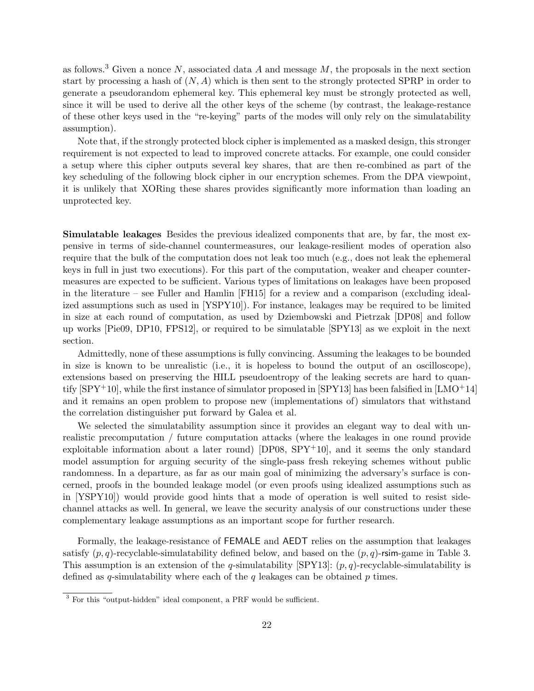as follows.<sup>3</sup> Given a nonce N, associated data A and message M, the proposals in the next section start by processing a hash of  $(N, A)$  which is then sent to the strongly protected SPRP in order to generate a pseudorandom ephemeral key. This ephemeral key must be strongly protected as well, since it will be used to derive all the other keys of the scheme (by contrast, the leakage-restance of these other keys used in the "re-keying" parts of the modes will only rely on the simulatability assumption).

Note that, if the strongly protected block cipher is implemented as a masked design, this stronger requirement is not expected to lead to improved concrete attacks. For example, one could consider a setup where this cipher outputs several key shares, that are then re-combined as part of the key scheduling of the following block cipher in our encryption schemes. From the DPA viewpoint, it is unlikely that XORing these shares provides significantly more information than loading an unprotected key.

Simulatable leakages Besides the previous idealized components that are, by far, the most expensive in terms of side-channel countermeasures, our leakage-resilient modes of operation also require that the bulk of the computation does not leak too much (e.g., does not leak the ephemeral keys in full in just two executions). For this part of the computation, weaker and cheaper countermeasures are expected to be sufficient. Various types of limitations on leakages have been proposed in the literature – see Fuller and Hamlin [FH15] for a review and a comparison (excluding idealized assumptions such as used in [YSPY10]). For instance, leakages may be required to be limited in size at each round of computation, as used by Dziembowski and Pietrzak [DP08] and follow up works [Pie09, DP10, FPS12], or required to be simulatable [SPY13] as we exploit in the next section.

Admittedly, none of these assumptions is fully convincing. Assuming the leakages to be bounded in size is known to be unrealistic (i.e., it is hopeless to bound the output of an oscilloscope), extensions based on preserving the HILL pseudoentropy of the leaking secrets are hard to quantify  $[SPY^+10]$ , while the first instance of simulator proposed in  $[SPY13]$  has been falsified in  $[LMO^+14]$ and it remains an open problem to propose new (implementations of) simulators that withstand the correlation distinguisher put forward by Galea et al.

We selected the simulatability assumption since it provides an elegant way to deal with unrealistic precomputation / future computation attacks (where the leakages in one round provide exploitable information about a later round)  $[DP08, SPY^+10]$ , and it seems the only standard model assumption for arguing security of the single-pass fresh rekeying schemes without public randomness. In a departure, as far as our main goal of minimizing the adversary's surface is concerned, proofs in the bounded leakage model (or even proofs using idealized assumptions such as in [YSPY10]) would provide good hints that a mode of operation is well suited to resist sidechannel attacks as well. In general, we leave the security analysis of our constructions under these complementary leakage assumptions as an important scope for further research.

Formally, the leakage-resistance of FEMALE and AEDT relies on the assumption that leakages satisfy  $(p, q)$ -recyclable-simulatability defined below, and based on the  $(p, q)$ -rsim-game in Table 3. This assumption is an extension of the q-simulatability  $\text{SPY13}: (p, q)$ -recyclable-simulatability is defined as q-simulatability where each of the q leakages can be obtained  $p$  times.

<sup>3</sup> For this "output-hidden" ideal component, a PRF would be sufficient.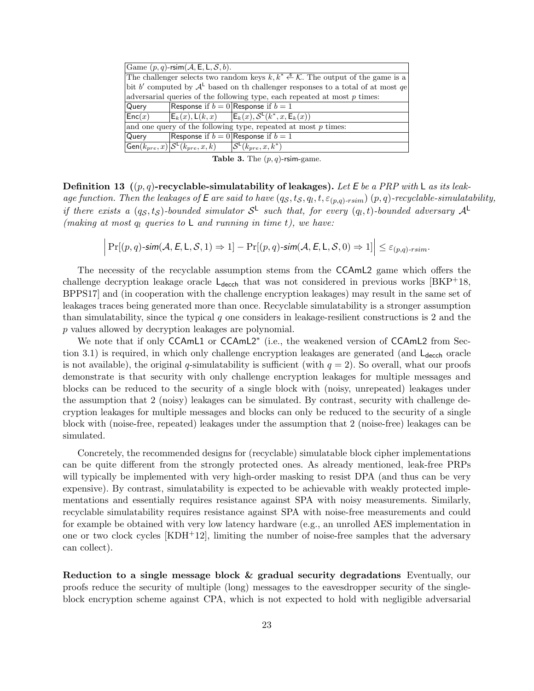| Game $(p, q)$ -rsim $(A, E, L, S, b)$ .                                            |                                                                                                                       |  |  |  |
|------------------------------------------------------------------------------------|-----------------------------------------------------------------------------------------------------------------------|--|--|--|
|                                                                                    | The challenger selects two random keys $k, k^* \xleftarrow{\$} \mathcal{K}$ . The output of the game is a             |  |  |  |
| bit b' computed by $A^L$ based on th challenger responses to a total of at most qe |                                                                                                                       |  |  |  |
| adversarial queries of the following type, each repeated at most $p$ times:        |                                                                                                                       |  |  |  |
| Query                                                                              | Response if $b = 0$ Response if $b = 1$                                                                               |  |  |  |
| Enc(x)                                                                             | $E_k(x)$ , $L(k, x)$ $E_k(x)$ , $S^L(k^*, x, E_k(x))$                                                                 |  |  |  |
| and one query of the following type, repeated at most $p$ times:                   |                                                                                                                       |  |  |  |
| Query                                                                              | Response if $b = 0$ Response if $b = 1$                                                                               |  |  |  |
|                                                                                    | Gen $(k_{pre}, x)   \mathcal{S}^{\mathsf{L}}(k_{pre}, x, k)$ $ \mathcal{S}^{\mathsf{L}}(\overline{k_{pre}, x, k^*)} $ |  |  |  |

Table 3. The  $(p, q)$ -rsim-game.

**Definition 13** ((p, q)-recyclable-simulatability of leakages). Let E be a PRP with L as its leakage function. Then the leakages of E are said to have  $(q_S, t_S, q_l, t, \varepsilon_{(p,q)\text{-}rsim})$   $(p, q)$ -recyclable-simulatability, if there exists a  $(q_S, t_S)$ -bounded simulator  $S^{\mathsf{L}}$  such that, for every  $(q_l, t)$ -bounded adversary  $\mathcal{A}^{\mathsf{L}}$ (making at most  $q_l$  queries to L and running in time t), we have:

$$
\left|\Pr[(p,q)\text{-}\mathsf{sim}(\mathcal{A}, \mathsf{E}, \mathsf{L}, \mathcal{S}, 1) \Rightarrow 1] - \Pr[(p,q)\text{-}\mathsf{sim}(\mathcal{A}, \mathsf{E}, \mathsf{L}, \mathcal{S}, 0) \Rightarrow 1]\right| \leq \varepsilon_{(p,q)\text{-}\mathsf{r}\mathsf{s}\mathsf{i}\mathsf{m}}.
$$

The necessity of the recyclable assumption stems from the CCAmL2 game which offers the challenge decryption leakage oracle  $L_{\text{decch}}$  that was not considered in previous works [BKP<sup>+</sup>18, BPPS17] and (in cooperation with the challenge encryption leakages) may result in the same set of leakages traces being generated more than once. Recyclable simulatability is a stronger assumption than simulatability, since the typical q one considers in leakage-resilient constructions is 2 and the p values allowed by decryption leakages are polynomial.

We note that if only CCAmL1 or CCAmL2<sup>\*</sup> (i.e., the weakened version of CCAmL2 from Section 3.1) is required, in which only challenge encryption leakages are generated (and  $L_{\text{decch}}$  oracle is not available), the original q-simulatability is sufficient (with  $q = 2$ ). So overall, what our proofs demonstrate is that security with only challenge encryption leakages for multiple messages and blocks can be reduced to the security of a single block with (noisy, unrepeated) leakages under the assumption that 2 (noisy) leakages can be simulated. By contrast, security with challenge decryption leakages for multiple messages and blocks can only be reduced to the security of a single block with (noise-free, repeated) leakages under the assumption that 2 (noise-free) leakages can be simulated.

Concretely, the recommended designs for (recyclable) simulatable block cipher implementations can be quite different from the strongly protected ones. As already mentioned, leak-free PRPs will typically be implemented with very high-order masking to resist DPA (and thus can be very expensive). By contrast, simulatability is expected to be achievable with weakly protected implementations and essentially requires resistance against SPA with noisy measurements. Similarly, recyclable simulatability requires resistance against SPA with noise-free measurements and could for example be obtained with very low latency hardware (e.g., an unrolled AES implementation in one or two clock cycles [KDH+12], limiting the number of noise-free samples that the adversary can collect).

Reduction to a single message block & gradual security degradations Eventually, our proofs reduce the security of multiple (long) messages to the eavesdropper security of the singleblock encryption scheme against CPA, which is not expected to hold with negligible adversarial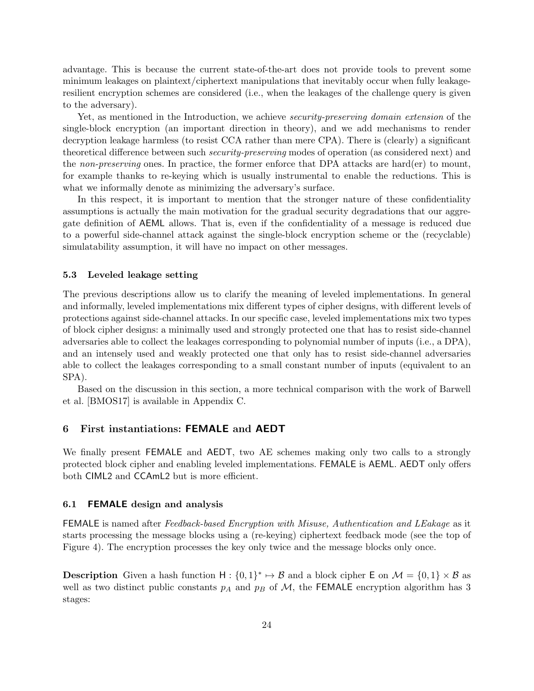advantage. This is because the current state-of-the-art does not provide tools to prevent some minimum leakages on plaintext/ciphertext manipulations that inevitably occur when fully leakageresilient encryption schemes are considered (i.e., when the leakages of the challenge query is given to the adversary).

Yet, as mentioned in the Introduction, we achieve *security-preserving domain extension* of the single-block encryption (an important direction in theory), and we add mechanisms to render decryption leakage harmless (to resist CCA rather than mere CPA). There is (clearly) a significant theoretical difference between such security-preserving modes of operation (as considered next) and the non-preserving ones. In practice, the former enforce that DPA attacks are hard(er) to mount, for example thanks to re-keying which is usually instrumental to enable the reductions. This is what we informally denote as minimizing the adversary's surface.

In this respect, it is important to mention that the stronger nature of these confidentiality assumptions is actually the main motivation for the gradual security degradations that our aggregate definition of AEML allows. That is, even if the confidentiality of a message is reduced due to a powerful side-channel attack against the single-block encryption scheme or the (recyclable) simulatability assumption, it will have no impact on other messages.

#### 5.3 Leveled leakage setting

The previous descriptions allow us to clarify the meaning of leveled implementations. In general and informally, leveled implementations mix different types of cipher designs, with different levels of protections against side-channel attacks. In our specific case, leveled implementations mix two types of block cipher designs: a minimally used and strongly protected one that has to resist side-channel adversaries able to collect the leakages corresponding to polynomial number of inputs (i.e., a DPA), and an intensely used and weakly protected one that only has to resist side-channel adversaries able to collect the leakages corresponding to a small constant number of inputs (equivalent to an SPA).

Based on the discussion in this section, a more technical comparison with the work of Barwell et al. [BMOS17] is available in Appendix C.

## 6 First instantiations: FEMALE and AEDT

We finally present FEMALE and AEDT, two AE schemes making only two calls to a strongly protected block cipher and enabling leveled implementations. FEMALE is AEML. AEDT only offers both CIML2 and CCAmL2 but is more efficient.

#### 6.1 FEMALE design and analysis

FEMALE is named after Feedback-based Encryption with Misuse, Authentication and LEakage as it starts processing the message blocks using a (re-keying) ciphertext feedback mode (see the top of Figure 4). The encryption processes the key only twice and the message blocks only once.

**Description** Given a hash function  $H: \{0,1\}^* \mapsto \mathcal{B}$  and a block cipher E on  $\mathcal{M} = \{0,1\} \times \mathcal{B}$  as well as two distinct public constants  $p_A$  and  $p_B$  of  $\mathcal{M}$ , the FEMALE encryption algorithm has 3 stages: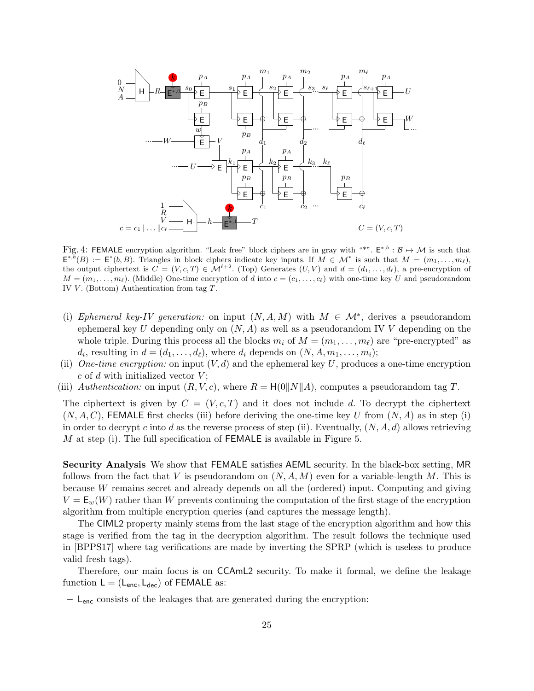

Fig. 4: FEMALE encryption algorithm. "Leak free" block ciphers are in gray with "\*".  $E^{*,b}$ :  $B \mapsto M$  is such that  $\mathsf{E}^{*,b}(B) := \mathsf{E}^*(b,B)$ . Triangles in block ciphers indicate key inputs. If  $M \in \mathcal{M}^*$  is such that  $M = (m_1, \ldots, m_\ell)$ , the output ciphertext is  $C = (V, c, T) \in \mathcal{M}^{\ell+2}$ . (Top) Generates  $(U, V)$  and  $d = (d_1, \ldots, d_\ell)$ , a pre-encryption of  $M = (m_1, \ldots, m_\ell)$ . (Middle) One-time encryption of d into  $c = (c_1, \ldots, c_\ell)$  with one-time key U and pseudorandom IV  $V$ . (Bottom) Authentication from tag  $T$ .

- (i) Ephemeral key-IV generation: on input  $(N, A, M)$  with  $M \in \mathcal{M}^*$ , derives a pseudorandom ephemeral key U depending only on  $(N, A)$  as well as a pseudorandom IV V depending on the whole triple. During this process all the blocks  $m_i$  of  $M = (m_1, \ldots, m_\ell)$  are "pre-encrypted" as  $d_i$ , resulting in  $d = (d_1, \ldots, d_\ell)$ , where  $d_i$  depends on  $(N, A, m_1, \ldots, m_i);$
- (ii) One-time encryption: on input  $(V, d)$  and the ephemeral key U, produces a one-time encryption  $c$  of  $d$  with initialized vector  $V$ ;
- (iii) Authentication: on input  $(R, V, c)$ , where  $R = H(0||N||A)$ , computes a pseudorandom tag T.

The ciphertext is given by  $C = (V, c, T)$  and it does not include d. To decrypt the ciphertext  $(N, A, C)$ , FEMALE first checks (iii) before deriving the one-time key U from  $(N, A)$  as in step (i) in order to decrypt c into d as the reverse process of step (ii). Eventually,  $(N, A, d)$  allows retrieving M at step (i). The full specification of  $FEMALE$  is available in Figure 5.

Security Analysis We show that FEMALE satisfies AEML security. In the black-box setting, MR follows from the fact that V is pseudorandom on  $(N, A, M)$  even for a variable-length M. This is because W remains secret and already depends on all the (ordered) input. Computing and giving  $V = E_w(W)$  rather than W prevents continuing the computation of the first stage of the encryption algorithm from multiple encryption queries (and captures the message length).

The CIML2 property mainly stems from the last stage of the encryption algorithm and how this stage is verified from the tag in the decryption algorithm. The result follows the technique used in [BPPS17] where tag verifications are made by inverting the SPRP (which is useless to produce valid fresh tags).

Therefore, our main focus is on CCAmL2 security. To make it formal, we define the leakage function  $L = (L_{\text{enc}}, L_{\text{dec}})$  of FEMALE as:

– Lenc consists of the leakages that are generated during the encryption: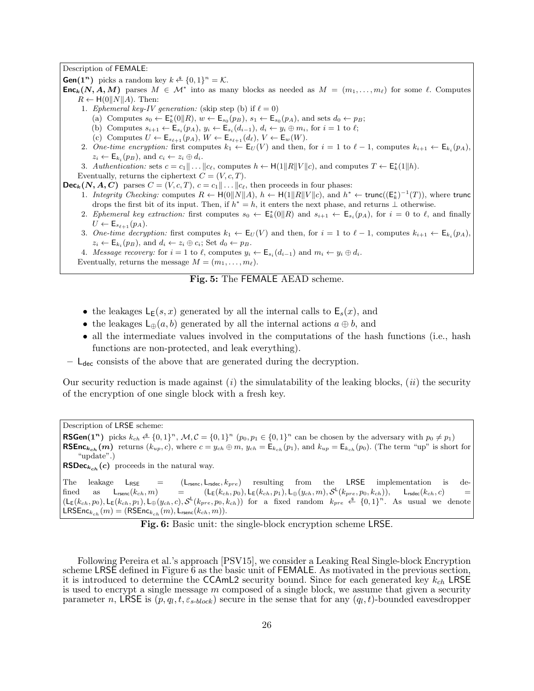#### Description of FEMALE:

**Gen(1<sup>n</sup>)** picks a random key  $k \stackrel{\$}{\leftarrow} \{0,1\}^n = \mathcal{K}.$ 

- **Enc**<sub>k</sub>(N, A, M) parses  $M \in \mathcal{M}^*$  into as many blocks as needed as  $M = (m_1, \ldots, m_\ell)$  for some  $\ell$ . Computes  $R \leftarrow H(0||N||A)$ . Then:
	- 1. Ephemeral key-IV generation: (skip step (b) if  $\ell = 0$ )
		- (a) Computes  $s_0 \leftarrow \mathsf{E}_k^*(0||R)$ ,  $w \leftarrow \mathsf{E}_{s_0}(p_B)$ ,  $s_1 \leftarrow \mathsf{E}_{s_0}(p_A)$ , and sets  $d_0 \leftarrow p_B$ ;
		- (b) Computes  $s_{i+1} \leftarrow \mathsf{E}_{s_i}(p_A), y_i \leftarrow \mathsf{E}_{s_i}(d_{i-1}), d_i \leftarrow y_i \oplus m_i$ , for  $i = 1$  to  $\ell$ ;
		- (c) Computes  $U \leftarrow \mathsf{E}_{s_{\ell+1}}(p_A), W \leftarrow \mathsf{E}_{s_{\ell+1}}(d_{\ell}), V \leftarrow \mathsf{E}_w(W).$
	- 2. One-time encryption: first computes  $k_1 \leftarrow \mathsf{E}_U(V)$  and then, for  $i = 1$  to  $\ell 1$ , computes  $k_{i+1} \leftarrow \mathsf{E}_{k_i}(p_A)$ ,  $z_i \leftarrow \mathsf{E}_{k_i}(p_B)$ , and  $c_i \leftarrow z_i \oplus d_i$ .
	- 3. Authentication: sets  $c = c_1 || \dots || c_\ell$ , computes  $h \leftarrow \mathsf{H}(1 || R || V || c)$ , and computes  $T \leftarrow \mathsf{E}_k^*(1 || h)$ .
	- Eventually, returns the ciphertext  $C = (V, c, T)$ .

 $\mathsf{Dec}_k(N, A, C)$  parses  $C = (V, c, T), c = c_1 || \dots || c_\ell$ , then proceeds in four phases:

- 1. Integrity Checking: computes  $R \leftarrow H(0||N||A)$ ,  $h \leftarrow H(1||R||V||c)$ , and  $h^* \leftarrow \text{trunc}((\mathsf{E}_k^*)^{-1}(T))$ , where trunc drops the first bit of its input. Then, if  $h^* = h$ , it enters the next phase, and returns  $\perp$  otherwise.
- 2. Ephemeral key extraction: first computes  $s_0 \leftarrow \mathsf{E}_k^*(0||R)$  and  $s_{i+1} \leftarrow \mathsf{E}_{s_i}(p_A)$ , for  $i = 0$  to  $\ell$ , and finally  $U \leftarrow \mathsf{E}_{s_{\ell+1}}(p_A).$
- 3. One-time decryption: first computes  $k_1 \leftarrow \mathsf{E}_U(V)$  and then, for  $i = 1$  to  $\ell 1$ , computes  $k_{i+1} \leftarrow \mathsf{E}_{k_i}(p_A)$ ,  $z_i \leftarrow \mathsf{E}_{k_i}(p_B)$ , and  $d_i \leftarrow z_i \oplus c_i$ ; Set  $d_0 \leftarrow p_B$ .
- 4. Message recovery: for  $i = 1$  to  $\ell$ , computes  $y_i \leftarrow \mathsf{E}_{s_i}(d_{i-1})$  and  $m_i \leftarrow y_i \oplus d_i$ .
- Eventually, returns the message  $M = (m_1, \ldots, m_\ell)$ .

## Fig. 5: The FEMALE AEAD scheme.

- the leakages  $\mathsf{L}_{\mathsf{E}}(s,x)$  generated by all the internal calls to  $\mathsf{E}_{s}(x)$ , and
- the leakages  $\mathsf{L}_{\oplus}(a, b)$  generated by all the internal actions  $a \oplus b$ , and
- all the intermediate values involved in the computations of the hash functions (i.e., hash functions are non-protected, and leak everything).
- $-$  L<sub>dec</sub> consists of the above that are generated during the decryption.

Our security reduction is made against  $(i)$  the simulatability of the leaking blocks,  $(ii)$  the security of the encryption of one single block with a fresh key.

Description of LRSE scheme:

**RSGen(1<sup>n</sup>)** picks  $k_{ch} \triangleq \{0,1\}^n$ ,  $M, C = \{0,1\}^n$   $(p_0, p_1 \in \{0,1\}^n$  can be chosen by the adversary with  $p_0 \neq p_1$ **RSEnc**<sub>kch</sub> (m) returns (k<sub>up</sub>, c), where  $c = y_{ch} \oplus m$ ,  $y_{ch} = E_{kch}(p_1)$ , and  $k_{up} = E_{kch}(p_0)$ . (The term "up" is short for "update".)

**RSDec**<sub>kch</sub> (c) proceeds in the natural way.

The leakage  $L_{RSE}$  =  $(L_{\text{rsenc}}, L_{\text{rsdec}}, k_{pre})$  resulting from the LRSE implementation is defined as  $\mathsf{L}_{\mathsf{rsenc}}(k_{ch},m)$  =  $(\mathsf{L}_{\mathsf{E}}(k_{ch}, p_0), \mathsf{L}_{\mathsf{E}}(k_{ch}, p_1), \mathsf{L}_{\oplus}(y_{ch}, m), \mathcal{S}^{\mathsf{L}}(k_{pre}, p_0, k_{ch})), \mathsf{L}_{\mathsf{rsdec}}(k_{ch}, c)$  =  $(L_{\mathsf{E}}(k_{ch}, p_0), L_{\mathsf{E}}(k_{ch}, p_1), L_{\oplus}(y_{ch}, c), \mathcal{S}^{\mathsf{L}}(k_{pre}, p_0, k_{ch}))$  for a fixed random  $k_{pre} \triangleq \{0, 1\}^n$ . As usual we denote LRSEnc $_{k_{ch}}(m) = (\text{RSEnc}_{k_{ch}}(m), \text{L}_{\text{rsenc}}(k_{ch}, m)).$ 

| Fig. 6: Basic unit: the single-block encryption scheme LRSE. |  |  |
|--------------------------------------------------------------|--|--|
|--------------------------------------------------------------|--|--|

Following Pereira et al.'s approach [PSV15], we consider a Leaking Real Single-block Encryption scheme LRSE defined in Figure 6 as the basic unit of FEMALE. As motivated in the previous section, it is introduced to determine the CCAmL2 security bound. Since for each generated key  $k_{ch}$  LRSE is used to encrypt a single message  $m$  composed of a single block, we assume that given a security parameter n, LRSE is  $(p, q_l, t, \varepsilon_{s-block})$  secure in the sense that for any  $(q_l, t)$ -bounded eavesdropper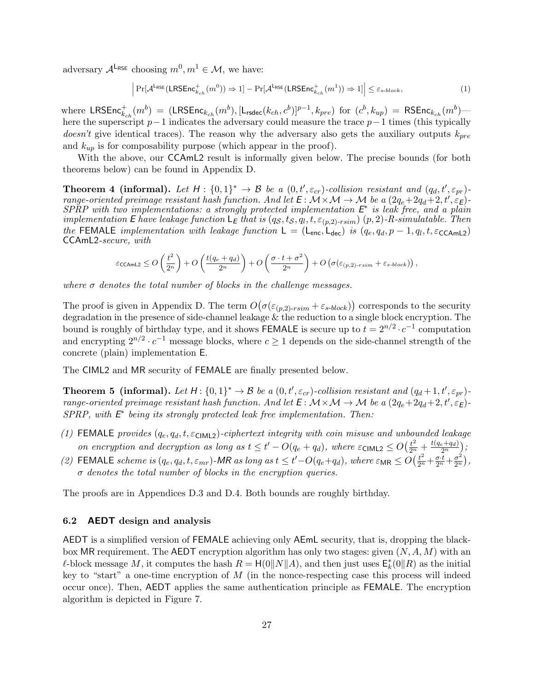adversary  $\mathcal{A}^{\mathsf{L}_{\mathsf{RSE}}}$  choosing  $m^0, m^1 \in \mathcal{M}$ , we have:

$$
\left| \Pr[\mathcal{A}^{\mathsf{LRSE}}(\mathsf{LRSEnc}_{k_{ch}}^+(m^0)) \Rightarrow 1] - \Pr[\mathcal{A}^{\mathsf{LRSE}}(\mathsf{LRSEnc}_{k_{ch}}^+(m^1)) \Rightarrow 1] \right| \leq \varepsilon_{s\text{-block}},\tag{1}
$$

where  $\mathsf{LRSEnc}_{k_{ch}}^+(m^b) = (\mathsf{LRSEnc}_{k_{ch}}(m^b), [\mathsf{L_{rsdec}}(k_{ch}, c^b)]^{p-1}, k_{pre})$  for  $(c^b, k_{up}) = \mathsf{RSEnc}_{k_{ch}}(m^b)$ here the superscript  $p-1$  indicates the adversary could measure the trace  $p-1$  times (this typically *doesn't* give identical traces). The reason why the adversary also gets the auxiliary outputs  $k_{pre}$ and  $k_{up}$  is for composability purpose (which appear in the proof).

With the above, our CCAmL2 result is informally given below. The precise bounds (for both theorems below) can be found in Appendix D.

**Theorem 4 (informal).** Let  $H: \{0,1\}^* \to \mathcal{B}$  be a  $(0,t',\varepsilon_{cr})$ -collision resistant and  $(q_d,t',\varepsilon_{pr})$ range-oriented preimage resistant hash function. And let  $E: \mathcal{M} \times \mathcal{M} \to \mathcal{M}$  be a  $(2q_e + 2q_d + 2, t', \varepsilon_E)$  $SPRP$  with two implementations: a strongly protected implementation  $E^*$  is leak free, and a plain implementation E have leakage function  $\mathsf{L}_\mathsf{E}$  that is  $(q_\mathcal{S}, t_\mathcal{S}, q_l, t, \varepsilon_{(p,2)\text{-}rsim})$   $(p, 2)$ -R-simulatable. Then the FEMALE implementation with leakage function  $L = (L_{enc}, L_{dec})$  is  $(q_e, q_d, p - 1, q_l, t, \epsilon_{\text{CCAmL2}})$ CCAmL2-secure, with

$$
\varepsilon \text{ccamL2} \le O\left(\frac{t^2}{2^n}\right) + O\left(\frac{t(q_e+q_d)}{2^n}\right) + O\left(\frac{\sigma \cdot t + \sigma^2}{2^n}\right) + O\left(\sigma(\varepsilon_{(p,2)\text{-}rsim} + \varepsilon_{s\text{-}block})\right),
$$

where  $\sigma$  denotes the total number of blocks in the challenge messages.

The proof is given in Appendix D. The term  $O(\sigma(\varepsilon_{(p,2)\text{-}rsim}+\varepsilon_{s\text{-}block}))$  corresponds to the security degradation in the presence of side-channel leakage  $\&$  the reduction to a single block encryption. The bound is roughly of birthday type, and it shows FEMALE is secure up to  $t = 2^{n/2} \cdot c^{-1}$  computation and encrypting  $2^{n/2} \cdot c^{-1}$  message blocks, where  $c \ge 1$  depends on the side-channel strength of the concrete (plain) implementation E.

The CIML2 and MR security of FEMALE are finally presented below.

**Theorem 5 (informal).** Let  $H: \{0,1\}^* \to \mathcal{B}$  be a  $(0,t',\varepsilon_{cr})$ -collision resistant and  $(q_d+1,t',\varepsilon_{pr})$ range-oriented preimage resistant hash function. And let  $E: \mathcal{M} \times \mathcal{M} \to \mathcal{M}$  be a  $(2q_e + 2q_d + 2, t', \varepsilon_E)$ - $SPRP$ , with  $E^*$  being its strongly protected leak free implementation. Then:

- (1) FEMALE provides  $(q_e, q_d, t, \varepsilon_{\text{CIML2}})$ -ciphertext integrity with coin misuse and unbounded leakage on encryption and decryption as long as  $t \leq t' - O(q_e + q_d)$ , where  $\varepsilon_{\text{CIML2}} \leq O(\frac{t^2}{2^n} + \frac{t(q_e + q_d)}{2^n})$  $\frac{e+q_d)}{2^n}\Big);$
- (2) FEMALE scheme is  $(q_e, q_d, t, \varepsilon_{mr})$ -MR as long as  $t \leq t' O(q_e+q_d)$ , where  $\varepsilon_{MR} \leq O(\frac{t^2}{2^n} + \frac{\sigma \cdot t}{2^n} + \frac{\sigma^2}{2^n})$  $\frac{\sigma^2}{2^n}\Big),$  $\sigma$  denotes the total number of blocks in the encryption queries.

The proofs are in Appendices D.3 and D.4. Both bounds are roughly birthday.

#### 6.2 AEDT design and analysis

AEDT is a simplified version of FEMALE achieving only AEmL security, that is, dropping the blackbox MR requirement. The AEDT encryption algorithm has only two stages: given  $(N, A, M)$  with an  $\ell$ -block message M, it computes the hash  $R = H(0||N||A)$ , and then just uses  $\mathsf{E}_k^*(0||R)$  as the initial key to "start" a one-time encryption of  $M$  (in the nonce-respecting case this process will indeed occur once). Then, AEDT applies the same authentication principle as FEMALE. The encryption algorithm is depicted in Figure 7.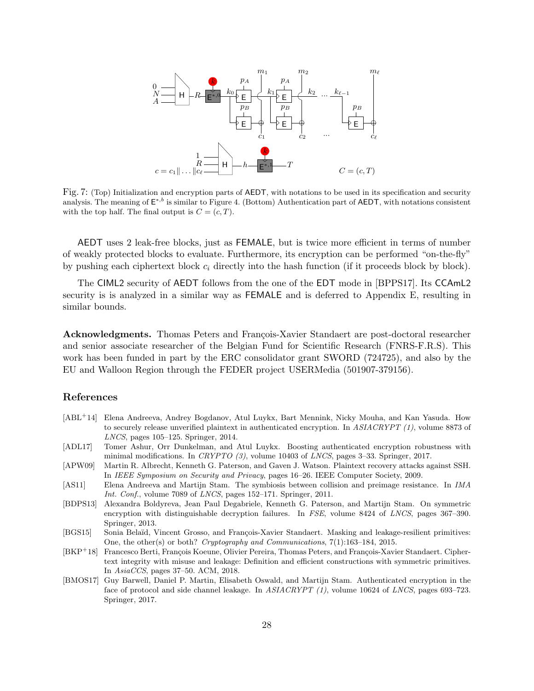

Fig. 7: (Top) Initialization and encryption parts of AEDT, with notations to be used in its specification and security analysis. The meaning of  $E^{*,b}$  is similar to Figure 4. (Bottom) Authentication part of AEDT, with notations consistent with the top half. The final output is  $C = (c, T)$ .

AEDT uses 2 leak-free blocks, just as FEMALE, but is twice more efficient in terms of number of weakly protected blocks to evaluate. Furthermore, its encryption can be performed "on-the-fly" by pushing each ciphertext block  $c_i$  directly into the hash function (if it proceeds block by block).

The CIML2 security of AEDT follows from the one of the EDT mode in [BPPS17]. Its CCAmL2 security is is analyzed in a similar way as FEMALE and is deferred to Appendix E, resulting in similar bounds.

Acknowledgments. Thomas Peters and François-Xavier Standaert are post-doctoral researcher and senior associate researcher of the Belgian Fund for Scientific Research (FNRS-F.R.S). This work has been funded in part by the ERC consolidator grant SWORD (724725), and also by the EU and Walloon Region through the FEDER project USERMedia (501907-379156).

## References

- [ABL<sup>+</sup>14] Elena Andreeva, Andrey Bogdanov, Atul Luykx, Bart Mennink, Nicky Mouha, and Kan Yasuda. How to securely release unverified plaintext in authenticated encryption. In ASIACRYPT (1), volume 8873 of LNCS, pages 105–125. Springer, 2014.
- [ADL17] Tomer Ashur, Orr Dunkelman, and Atul Luykx. Boosting authenticated encryption robustness with minimal modifications. In CRYPTO  $(3)$ , volume 10403 of LNCS, pages 3-33. Springer, 2017.
- [APW09] Martin R. Albrecht, Kenneth G. Paterson, and Gaven J. Watson. Plaintext recovery attacks against SSH. In IEEE Symposium on Security and Privacy, pages 16–26. IEEE Computer Society, 2009.
- [AS11] Elena Andreeva and Martijn Stam. The symbiosis between collision and preimage resistance. In IMA Int. Conf., volume 7089 of LNCS, pages 152–171. Springer, 2011.
- [BDPS13] Alexandra Boldyreva, Jean Paul Degabriele, Kenneth G. Paterson, and Martijn Stam. On symmetric encryption with distinguishable decryption failures. In FSE, volume 8424 of LNCS, pages 367–390. Springer, 2013.
- [BGS15] Sonia Belaïd, Vincent Grosso, and François-Xavier Standaert. Masking and leakage-resilient primitives: One, the other(s) or both? Cryptography and Communications, 7(1):163–184, 2015.
- [BKP<sup>+</sup>18] Francesco Berti, François Koeune, Olivier Pereira, Thomas Peters, and François-Xavier Standaert. Ciphertext integrity with misuse and leakage: Definition and efficient constructions with symmetric primitives. In AsiaCCS, pages 37–50. ACM, 2018.
- [BMOS17] Guy Barwell, Daniel P. Martin, Elisabeth Oswald, and Martijn Stam. Authenticated encryption in the face of protocol and side channel leakage. In ASIACRYPT (1), volume 10624 of LNCS, pages 693-723. Springer, 2017.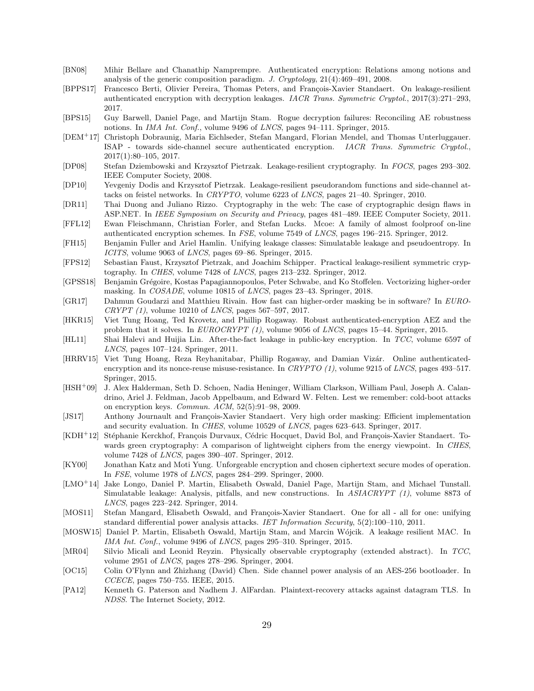- [BN08] Mihir Bellare and Chanathip Namprempre. Authenticated encryption: Relations among notions and analysis of the generic composition paradigm. J. Cryptology, 21(4):469–491, 2008.
- [BPPS17] Francesco Berti, Olivier Pereira, Thomas Peters, and François-Xavier Standaert. On leakage-resilient authenticated encryption with decryption leakages. IACR Trans. Symmetric Cryptol., 2017(3):271–293, 2017.
- [BPS15] Guy Barwell, Daniel Page, and Martijn Stam. Rogue decryption failures: Reconciling AE robustness notions. In IMA Int. Conf., volume 9496 of LNCS, pages 94–111. Springer, 2015.
- [DEM<sup>+</sup>17] Christoph Dobraunig, Maria Eichlseder, Stefan Mangard, Florian Mendel, and Thomas Unterluggauer. ISAP - towards side-channel secure authenticated encryption. IACR Trans. Symmetric Cryptol., 2017(1):80–105, 2017.
- [DP08] Stefan Dziembowski and Krzysztof Pietrzak. Leakage-resilient cryptography. In FOCS, pages 293–302. IEEE Computer Society, 2008.
- [DP10] Yevgeniy Dodis and Krzysztof Pietrzak. Leakage-resilient pseudorandom functions and side-channel attacks on feistel networks. In CRYPTO, volume 6223 of LNCS, pages 21–40. Springer, 2010.
- [DR11] Thai Duong and Juliano Rizzo. Cryptography in the web: The case of cryptographic design flaws in ASP.NET. In IEEE Symposium on Security and Privacy, pages 481–489. IEEE Computer Society, 2011.
- [FFL12] Ewan Fleischmann, Christian Forler, and Stefan Lucks. Mcoe: A family of almost foolproof on-line authenticated encryption schemes. In FSE, volume 7549 of LNCS, pages 196–215. Springer, 2012.
- [FH15] Benjamin Fuller and Ariel Hamlin. Unifying leakage classes: Simulatable leakage and pseudoentropy. In ICITS, volume 9063 of LNCS, pages 69–86. Springer, 2015.
- [FPS12] Sebastian Faust, Krzysztof Pietrzak, and Joachim Schipper. Practical leakage-resilient symmetric cryptography. In CHES, volume 7428 of LNCS, pages 213–232. Springer, 2012.
- [GPSS18] Benjamin Grégoire, Kostas Papagiannopoulos, Peter Schwabe, and Ko Stoffelen. Vectorizing higher-order masking. In COSADE, volume 10815 of LNCS, pages 23–43. Springer, 2018.
- [GR17] Dahmun Goudarzi and Matthieu Rivain. How fast can higher-order masking be in software? In EURO- $CRYPT (1)$ , volume 10210 of *LNCS*, pages 567–597, 2017.
- [HKR15] Viet Tung Hoang, Ted Krovetz, and Phillip Rogaway. Robust authenticated-encryption AEZ and the problem that it solves. In EUROCRYPT (1), volume 9056 of LNCS, pages 15–44. Springer, 2015.
- [HL11] Shai Halevi and Huijia Lin. After-the-fact leakage in public-key encryption. In TCC, volume 6597 of LNCS, pages 107–124. Springer, 2011.
- [HRRV15] Viet Tung Hoang, Reza Reyhanitabar, Phillip Rogaway, and Damian Vizár. Online authenticatedencryption and its nonce-reuse misuse-resistance. In CRYPTO (1), volume 9215 of LNCS, pages 493-517. Springer, 2015.
- [HSH<sup>+</sup>09] J. Alex Halderman, Seth D. Schoen, Nadia Heninger, William Clarkson, William Paul, Joseph A. Calandrino, Ariel J. Feldman, Jacob Appelbaum, and Edward W. Felten. Lest we remember: cold-boot attacks on encryption keys. Commun. ACM, 52(5):91–98, 2009.
- [JS17] Anthony Journault and François-Xavier Standaert. Very high order masking: Efficient implementation and security evaluation. In CHES, volume 10529 of LNCS, pages 623–643. Springer, 2017.
- [KDH<sup>+</sup>12] Stéphanie Kerckhof, François Durvaux, Cédric Hocquet, David Bol, and François-Xavier Standaert. Towards green cryptography: A comparison of lightweight ciphers from the energy viewpoint. In CHES, volume 7428 of LNCS, pages 390–407. Springer, 2012.
- [KY00] Jonathan Katz and Moti Yung. Unforgeable encryption and chosen ciphertext secure modes of operation. In FSE, volume 1978 of LNCS, pages 284–299. Springer, 2000.
- [LMO<sup>+</sup>14] Jake Longo, Daniel P. Martin, Elisabeth Oswald, Daniel Page, Martijn Stam, and Michael Tunstall. Simulatable leakage: Analysis, pitfalls, and new constructions. In ASIACRYPT (1), volume 8873 of LNCS, pages 223–242. Springer, 2014.
- [MOS11] Stefan Mangard, Elisabeth Oswald, and François-Xavier Standaert. One for all all for one: unifying standard differential power analysis attacks. IET Information Security, 5(2):100–110, 2011.
- [MOSW15] Daniel P. Martin, Elisabeth Oswald, Martijn Stam, and Marcin Wójcik. A leakage resilient MAC. In IMA Int. Conf., volume 9496 of LNCS, pages 295-310. Springer, 2015.
- [MR04] Silvio Micali and Leonid Reyzin. Physically observable cryptography (extended abstract). In TCC, volume 2951 of LNCS, pages 278–296. Springer, 2004.
- [OC15] Colin O'Flynn and Zhizhang (David) Chen. Side channel power analysis of an AES-256 bootloader. In CCECE, pages 750–755. IEEE, 2015.
- [PA12] Kenneth G. Paterson and Nadhem J. AlFardan. Plaintext-recovery attacks against datagram TLS. In NDSS. The Internet Society, 2012.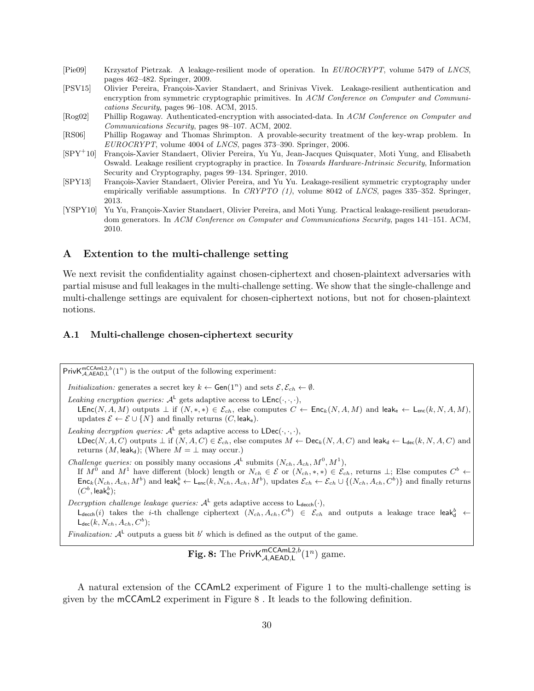- [Pie09] Krzysztof Pietrzak. A leakage-resilient mode of operation. In EUROCRYPT, volume 5479 of LNCS, pages 462–482. Springer, 2009.
- [PSV15] Olivier Pereira, François-Xavier Standaert, and Srinivas Vivek. Leakage-resilient authentication and encryption from symmetric cryptographic primitives. In ACM Conference on Computer and Communications Security, pages 96–108. ACM, 2015.
- [Rog02] Phillip Rogaway. Authenticated-encryption with associated-data. In ACM Conference on Computer and Communications Security, pages 98–107. ACM, 2002.
- [RS06] Phillip Rogaway and Thomas Shrimpton. A provable-security treatment of the key-wrap problem. In EUROCRYPT, volume 4004 of LNCS, pages 373–390. Springer, 2006.
- [SPY<sup>+</sup>10] François-Xavier Standaert, Olivier Pereira, Yu Yu, Jean-Jacques Quisquater, Moti Yung, and Elisabeth Oswald. Leakage resilient cryptography in practice. In Towards Hardware-Intrinsic Security, Information Security and Cryptography, pages 99–134. Springer, 2010.
- [SPY13] François-Xavier Standaert, Olivier Pereira, and Yu Yu. Leakage-resilient symmetric cryptography under empirically verifiable assumptions. In CRYPTO  $(1)$ , volume 8042 of LNCS, pages 335–352. Springer, 2013.
- [YSPY10] Yu Yu, François-Xavier Standaert, Olivier Pereira, and Moti Yung. Practical leakage-resilient pseudorandom generators. In ACM Conference on Computer and Communications Security, pages 141–151. ACM, 2010.

## A Extention to the multi-challenge setting

We next revisit the confidentiality against chosen-ciphertext and chosen-plaintext adversaries with partial misuse and full leakages in the multi-challenge setting. We show that the single-challenge and multi-challenge settings are equivalent for chosen-ciphertext notions, but not for chosen-plaintext notions.

#### A.1 Multi-challenge chosen-ciphertext security

Priv $\mathsf{K}_{\mathcal{A},\mathsf{A}\mathsf{E}\mathsf{A}\mathsf{D},\mathsf{L}}^{\mathsf{mC}\mathsf{C}\mathsf{A}\mathsf{mL}\mathsf{2},b}(1^n)$  is the output of the following experiment:

*Initialization:* generates a secret key  $k \leftarrow$  Gen $(1^n)$  and sets  $\mathcal{E}, \mathcal{E}_{ch} \leftarrow \emptyset$ .

Leaking encryption queries:  $A^L$  gets adaptive access to  $\mathsf{LEnc}(\cdot,\cdot,\cdot)$ ,

LEnc(N, A, M) outputs  $\perp$  if  $(N, *, *) \in \mathcal{E}_{ch}$ , else computes  $C \leftarrow \mathsf{Enc}_k(N, A, M)$  and leak<sub>e</sub>  $\leftarrow \mathsf{L}_{enc}(k, N, A, M)$ . updates  $\mathcal{E} \leftarrow \mathcal{E} \cup \{N\}$  and finally returns  $(C, \text{leak}_e)$ .

Leaking decryption queries:  $A^L$  gets adaptive access to  $LDec(\cdot, \cdot, \cdot)$ ,  $\mathsf{LDec}(N, A, C)$  outputs  $\bot$  if  $(N, A, C) \in \mathcal{E}_{ch}$ , else computes  $M \leftarrow \mathsf{Dec}_k(N, A, C)$  and leak<sub>d</sub>  $\leftarrow \mathsf{L}_{\mathsf{dec}}(k, N, A, C)$  and returns  $(M, \text{leak}_d)$ ; (Where  $M = \perp$  may occur.)

*Challenge queries:* on possibly many occasions  $\mathcal{A}^{\mathsf{L}}$  submits  $(N_{ch}, A_{ch}, M^0, M^1)$ , If  $M^0$  and  $M^1$  have different (block) length or  $N_{ch} \in \mathcal{E}$  or  $(N_{ch},*,*) \in \mathcal{E}_{ch}$ , returns  $\perp$ ; Else computes  $C^b \leftarrow$  $\mathsf{Enc}_k(N_{ch}, A_{ch}, M^b)$  and leak $_e^b \leftarrow \mathsf{L}_{\mathsf{enc}}(k, N_{ch}, A_{ch}, M^b)$ , updates  $\mathcal{E}_{ch} \leftarrow \mathcal{E}_{ch} \cup \{(N_{ch}, A_{ch}, C^b)\}$  and finally returns  $(C^b, \mathsf{leak}^b_\mathsf{e});$ 

Decryption challenge leakage queries:  $A<sup>L</sup>$  gets adaptive access to  $L_{\text{decch}}(\cdot)$ ,  $\mathsf{L}_{\mathsf{decoh}}(i)$  takes the *i*-th challenge ciphertext  $(N_{ch}, A_{ch}, C^b) \in \mathcal{E}_{ch}$  and outputs a leakage trace leak<sub>d</sub>  $\leftarrow$  $\mathsf{L}_{\mathsf{dec}}(k,N_{ch},A_{ch},C^{b});$ 

Finalization:  $A^{\perp}$  outputs a guess bit b' which is defined as the output of the game.

**Fig. 8:** The Priv $K_{\mathcal{A},\mathsf{AEAD},\mathsf{L}}^{\mathsf{mCCAmL2},b}(1^n)$  game.

A natural extension of the CCAmL2 experiment of Figure 1 to the multi-challenge setting is given by the mCCAmL2 experiment in Figure 8 . It leads to the following definition.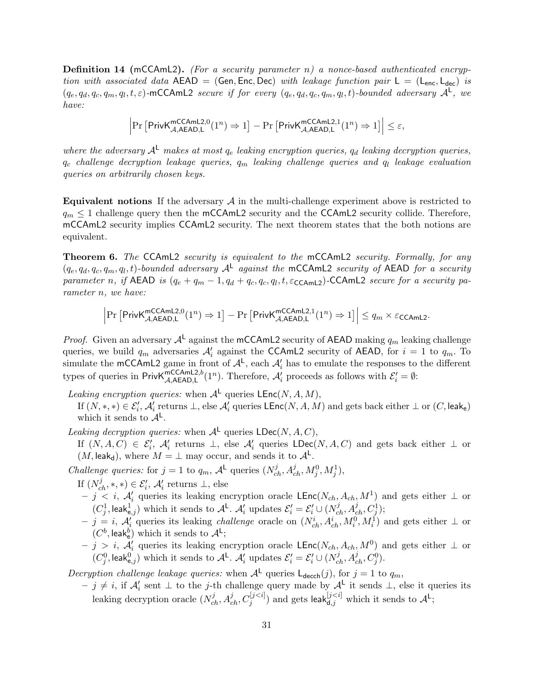**Definition 14 (mCCAmL2).** (For a security parameter n) a nonce-based authenticated encryption with associated data  $AED = (Gen, Enc, Dec)$  with leakage function pair  $L = (L_{enc}, L_{dec})$  is  $(q_e, q_d, q_c, q_m, q_l, t, \varepsilon)$ -mCCAmL2 secure if for every  $(q_e, q_d, q_c, q_m, q_l, t)$ -bounded adversary  $\mathcal{A}^L$ , we have:

$$
\left|\Pr\left[\mathsf{PrivK}_{\mathcal{A},\mathsf{AEAD},\mathsf{L}}^{\mathsf{mcCAmL2},0}(1^n)\Rightarrow 1\right]-\Pr\left[\mathsf{PrivK}_{\mathcal{A},\mathsf{AEAD},\mathsf{L}}^{\mathsf{mcCAmL2},1}(1^n)\Rightarrow 1\right]\right|\leq\varepsilon,
$$

where the adversary  $A^L$  makes at most  $q_e$  leaking encryption queries,  $q_d$  leaking decryption queries,  $q_c$  challenge decryption leakage queries,  $q_m$  leaking challenge queries and  $q_l$  leakage evaluation queries on arbitrarily chosen keys.

**Equivalent notions** If the adversary  $A$  in the multi-challenge experiment above is restricted to  $q_m \leq 1$  challenge query then the mCCAmL2 security and the CCAmL2 security collide. Therefore, mCCAmL2 security implies CCAmL2 security. The next theorem states that the both notions are equivalent.

Theorem 6. The CCAmL2 security is equivalent to the mCCAmL2 security. Formally, for any  $(q_e, q_d, q_c, q_m, q_l, t)$ -bounded adversary  $A<sup>L</sup>$  against the mCCAmL2 security of AEAD for a security parameter n, if  $AED$  is  $(q_e + q_m - 1, q_d + q_c, q_c, q_l, t, \epsilon_{\text{CCAmL2}})$ -CCAmL2 secure for a security parameter n, we have:

> $\begin{array}{c} \begin{array}{c} \begin{array}{c} \end{array} \\ \begin{array}{c} \end{array} \end{array} \end{array}$  $\Pr\left[\mathsf{PrivK}_{\mathcal{A},\mathsf{AEAD,L}}^{\mathsf{mCCAmL2,0}}(1^n) \Rightarrow 1\right] - \Pr\left[\mathsf{PrivK}_{\mathcal{A},\mathsf{AEAD,L}}^{\mathsf{mCCAmL2,1}}(1^n) \Rightarrow 1\right] \leq q_m \times \varepsilon_{\mathsf{CCAmL2}}.$

*Proof.* Given an adversary  $A^L$  against the mCCAmL2 security of AEAD making  $q_m$  leaking challenge queries, we build  $q_m$  adversaries  $\mathcal{A}'_i$  against the CCAmL2 security of AEAD, for  $i = 1$  to  $q_m$ . To simulate the mCCAmL2 game in front of  $\mathcal{A}^L$ , each  $\mathcal{A}'_i$  has to emulate the responses to the different types of queries in Priv $\mathsf{K}_{\mathcal{A},\mathsf{A}\mathsf{E}\mathsf{A}\mathsf{D},\mathsf{L}}^{\mathsf{mCCA}\mathsf{mL2},b}(1^n)$ . Therefore,  $\mathcal{A}'_i$  proceeds as follows with  $\mathcal{E}'_i = \emptyset$ :

Leaking encryption queries: when  $\mathcal{A}^{\mathsf{L}}$  queries  $\mathsf{LEnc}(N, A, M)$ ,

If  $(N,*,*)\in\mathcal{E}'_i$ ,  $\mathcal{A}'_i$  returns  $\bot$ , else  $\mathcal{A}'_i$  queries  $\mathsf{LEnc}(N,A,M)$  and gets back either  $\bot$  or  $(C, \mathsf{leak}_e)$ which it sends to  $\mathcal{A}^{\mathsf{L}}$ .

Leaking decryption queries: when  $\mathcal{A}^{\mathsf{L}}$  queries  $\mathsf{LDec}(N, A, C)$ ,

If  $(N, A, C) \in \mathcal{E}'_i$ ,  $\mathcal{A}'_i$  returns  $\perp$ , else  $\mathcal{A}'_i$  queries  $\mathsf{LDec}(N, A, C)$  and gets back either  $\perp$  or  $(M, \text{leak}_d)$ , where  $M = \perp$  may occur, and sends it to  $\mathcal{A}^{\mathsf{L}}$ .

Challenge queries: for  $j = 1$  to  $q_m$ ,  $\mathcal{A}^{\mathsf{L}}$  queries  $(N_{ch}^j, A_{ch}^j, M_j^0, M_j^1)$ ,

If  $(N_{ch}^j, *, *) \in \mathcal{E}'_i$ ,  $\mathcal{A}'_i$  returns  $\bot$ , else

- $j < i$ ,  $\mathcal{A}'_i$  queries its leaking encryption oracle LEnc( $N_{ch}$ ,  $A_{ch}$ ,  $M^1$ ) and gets either  $\perp$  or  $(C_j^1,\textsf{leak}_{e,j}^1)$  which it sends to  $\mathcal{A}^{\mathsf{L}}$ .  $\mathcal{A}'_i$  updates  $\mathcal{E}'_i = \mathcal{E}'_i \cup (N_{ch}^j, A_{ch}^j, C_j^1);$
- $j = i$ ,  $\mathcal{A}'_i$  queries its leaking *challenge* oracle on  $(N_{ch}^i, A_{ch}^i, M_i^0, M_i^1)$  and gets either  $\perp$  or  $(C^b, \text{leak}_e^b)$  which it sends to  $\mathcal{A}^{\mathsf{L}}$ ;
- $j > i$ ,  $\mathcal{A}'_i$  queries its leaking encryption oracle LEnc( $N_{ch}$ ,  $A_{ch}$ ,  $M^0$ ) and gets either  $\perp$  or  $(C_j^0, \text{leak}^0_{e,j})$  which it sends to  $\mathcal{A}^{\mathsf{L}}$ .  $\mathcal{A}_i'$  updates  $\mathcal{E}_i' = \mathcal{E}_i' \cup (N_{ch}^j, A_{ch}^j, C_j^0)$ .

Decryption challenge leakage queries: when  $A<sup>L</sup>$  queries  $L_{\text{deccch}}(j)$ , for  $j = 1$  to  $q_m$ ,

 $- j \neq i$ , if  $\mathcal{A}'_i$  sent ⊥ to the j-th challenge query made by  $\mathcal{A}^{\mathsf{L}}$  it sends ⊥, else it queries its leaking decryption oracle  $(N_{ch}^j, A_{ch}^j, C_j^{[j and gets leak $_{d,j}^{[j which it sends to  $\mathcal{A}^{\mathsf{L}};$$$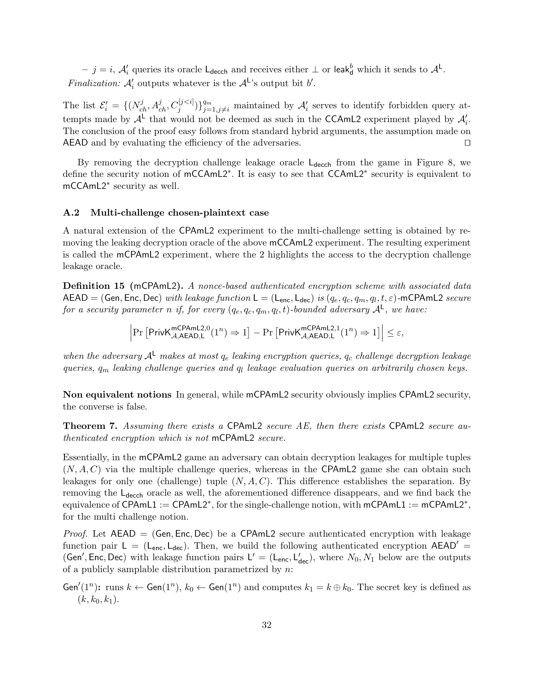$-$  j = i,  $\mathcal{A}'_i$  queries its oracle L<sub>decch</sub> and receives either ⊥ or leak<sub>d</sub><sup>b</sup> which it sends to  $\mathcal{A}^{\mathsf{L}}$ . Finalization:  $\mathcal{A}'_i$  outputs whatever is the  $\mathcal{A}^L$ 's output bit b'.

The list  $\mathcal{E}'_i = \{ (N_{ch}^j, A_{ch}^j, C_j^{[j < i]}) \}_{j=1, j \neq i}^m$  maintained by  $\mathcal{A}'_i$  serves to identify forbidden query attempts made by  $\mathcal{A}^{\mathsf{L}}$  that would not be deemed as such in the CCAmL2 experiment played by  $\mathcal{A}'_i$ . The conclusion of the proof easy follows from standard hybrid arguments, the assumption made on  $AEAD$  and by evaluating the efficiency of the adversaries.  $\square$ 

By removing the decryption challenge leakage oracle  $L_{\text{decoh}}$  from the game in Figure 8, we define the security notion of mCCAmL2<sup>\*</sup>. It is easy to see that CCAmL2<sup>\*</sup> security is equivalent to mCCAmL2<sup>∗</sup> security as well.

#### A.2 Multi-challenge chosen-plaintext case

A natural extension of the CPAmL2 experiment to the multi-challenge setting is obtained by removing the leaking decryption oracle of the above mCCAmL2 experiment. The resulting experiment is called the mCPAmL2 experiment, where the 2 highlights the access to the decryption challenge leakage oracle.

**Definition 15** (mCPAmL2). A nonce-based authenticated encryption scheme with associated data  $\mathsf{AEAD}=(\mathsf{Gen},\mathsf{Enc},\mathsf{Dec})\; with\; leakage\; function\; \mathsf{L}=(\mathsf{L_{enc}},\mathsf{L_{dec}})\; is\; (q_e,q_c,q_m,q_l,t,\varepsilon)$ -m<code>CPAmL2</code>  $secure$ for a security parameter n if, for every  $(q_e, q_c, q_m, q_l, t)$ -bounded adversary  $\mathcal{A}^{\mathsf{L}}$ , we have:

> $\Pr\left[\mathsf{PrivK}_{\mathcal{A},\mathsf{AEAD},\mathsf{L}}^{\mathsf{mCPAmL2},0}(1^n)\Rightarrow 1\right]-\Pr\left[\mathsf{PrivK}_{\mathcal{A},\mathsf{AEAD},\mathsf{L}}^{\mathsf{mCPAmL2},1}(1^n)\Rightarrow 1\right]\leq \varepsilon,$

when the adversary  $A^L$  makes at most  $q_e$  leaking encryption queries,  $q_c$  challenge decryption leakage queries,  $q_m$  leaking challenge queries and  $q_l$  leakage evaluation queries on arbitrarily chosen keys.

Non equivalent notions In general, while mCPAmL2 security obviously implies CPAmL2 security, the converse is false.

Theorem 7. Assuming there exists a CPAmL2 secure AE, then there exists CPAmL2 secure authenticated encryption which is not mCPAmL2 secure.

Essentially, in the mCPAmL2 game an adversary can obtain decryption leakages for multiple tuples  $(N, A, C)$  via the multiple challenge queries, whereas in the CPAmL2 game she can obtain such leakages for only one (challenge) tuple  $(N, A, C)$ . This difference establishes the separation. By removing the  $L_{\text{decoh}}$  oracle as well, the aforementioned difference disappears, and we find back the equivalence of CPAmL1 := CPAmL2<sup>\*</sup>, for the single-challenge notion, with  $mCPAmL1 := mCPAmL2^*$ , for the multi challenge notion.

*Proof.* Let  $AEAD = (Gen, Enc, Dec)$  be a CPAmL2 secure authenticated encryption with leakage function pair  $L = (L_{\text{enc}}, L_{\text{dec}})$ . Then, we build the following authenticated encryption AEAD' = (Gen', Enc, Dec) with leakage function pairs  $L' = (L_{enc}, L'_{dec})$ , where  $N_0, N_1$  below are the outputs of a publicly samplable distribution parametrized by  $n$ :

Gen'(1<sup>n</sup>): runs  $k \leftarrow$  Gen(1<sup>n</sup>),  $k_0 \leftarrow$  Gen(1<sup>n</sup>) and computes  $k_1 = k \oplus k_0$ . The secret key is defined as  $(k, k_0, k_1).$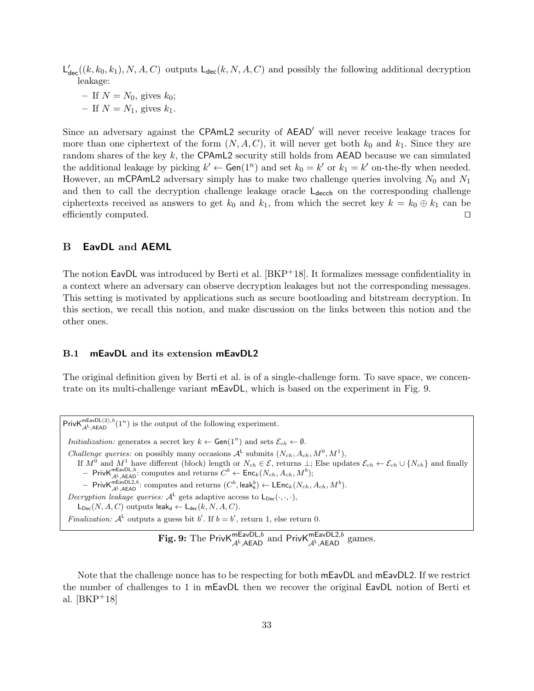$\mathsf{L}'_{\mathsf{dec}}((k, k_0, k_1), N, A, C)$  outputs  $\mathsf{L}_{\mathsf{dec}}(k, N, A, C)$  and possibly the following additional decryption leakage:

– If  $N = N_0$ , gives  $k_0$ ;

– If  $N = N_1$ , gives  $k_1$ .

Since an adversary against the CPAmL2 security of AEAD<sup>'</sup> will never receive leakage traces for more than one ciphertext of the form  $(N, A, C)$ , it will never get both  $k_0$  and  $k_1$ . Since they are random shares of the key  $k$ , the CPAmL2 security still holds from AEAD because we can simulated the additional leakage by picking  $k' \leftarrow \text{Gen}(1^n)$  and set  $k_0 = k'$  or  $k_1 = k'$  on-the-fly when needed. However, an mCPAmL2 adversary simply has to make two challenge queries involving  $N_0$  and  $N_1$ and then to call the decryption challenge leakage oracle  $L_{\text{decch}}$  on the corresponding challenge ciphertexts received as answers to get  $k_0$  and  $k_1$ , from which the secret key  $k = k_0 \oplus k_1$  can be efficiently computed.  $\Box$ 

## B EavDL and AEML

The notion  $EavDL$  was introduced by Berti et al.  $[BKP<sup>+</sup>18]$ . It formalizes message confidentiality in a context where an adversary can observe decryption leakages but not the corresponding messages. This setting is motivated by applications such as secure bootloading and bitstream decryption. In this section, we recall this notion, and make discussion on the links between this notion and the other ones.

#### B.1 mEavDL and its extension mEavDL2

The original definition given by Berti et al. is of a single-challenge form. To save space, we concentrate on its multi-challenge variant mEavDL, which is based on the experiment in Fig. 9.

Priv $\mathsf{K}_{\mathcal{A}^{\mathsf{L}},\mathsf{A EAD}}^{\mathsf{maxDL}(2),b}(1^n)$  is the output of the following experiment. *Initialization:* generates a secret key  $k \leftarrow$  Gen(1<sup>n</sup>) and sets  $\mathcal{E}_{ch} \leftarrow \emptyset$ . *Challenge queries:* on possibly many occasions  $A^{\mathsf{L}}$  submits  $(N_{ch}, A_{ch}, M^0, M^1)$ , If  $M^0$  and  $M^1$  have different (block) length or  $N_{ch} \in \mathcal{E}$ , returns  $\perp$ ; Else updates  $\mathcal{E}_{ch} \leftarrow \mathcal{E}_{ch} \cup \{N_{ch}\}$  and finally  $-$  Priv $\mathsf{K}_{\mathcal{A}^{\mathsf{L}},\mathsf{A EAD}}^{\mathsf{maxDL},b}$ : computes and returns  $C^{b} \leftarrow \mathsf{Enc}_{k}(N_{ch}, A_{ch}, M^{b});$ - Priv $\mathsf{K}_{\mathcal{A}^{\mathsf{L}},\mathsf{A}\mathsf{EAD}}^{\mathsf{mEa}\vee\mathsf{DL2},b}$ : computes and returns  $(C^{b},\mathsf{leak}_{\mathsf{e}}^{b})\leftarrow \mathsf{LEnc}_{k}(N_{ch},A_{ch},M^{b}).$ Decryption leakage queries:  $A^L$  gets adaptive access to  $L_{Dec}(\cdot, \cdot, \cdot)$ ,  $L_{Dec}(N, A, C)$  outputs leak<sub>d</sub>  $\leftarrow L_{dec}(k, N, A, C)$ . *Finalization:*  $A^L$  outputs a guess bit b'. If  $b = b'$ , return 1, else return 0.

**Fig. 9:** The PrivK ${}^{mEavDL,b}_{\mathcal{A}^{\textrm{L}},\textrm{AEAD}}$  and PrivK ${}^{mEavDL2,b}_{\mathcal{A}^{\textrm{L}},\textrm{AEAD}}$  games.

Note that the challenge nonce has to be respecting for both mEavDL and mEavDL2. If we restrict the number of challenges to 1 in mEavDL then we recover the original EavDL notion of Berti et al. [BKP+18]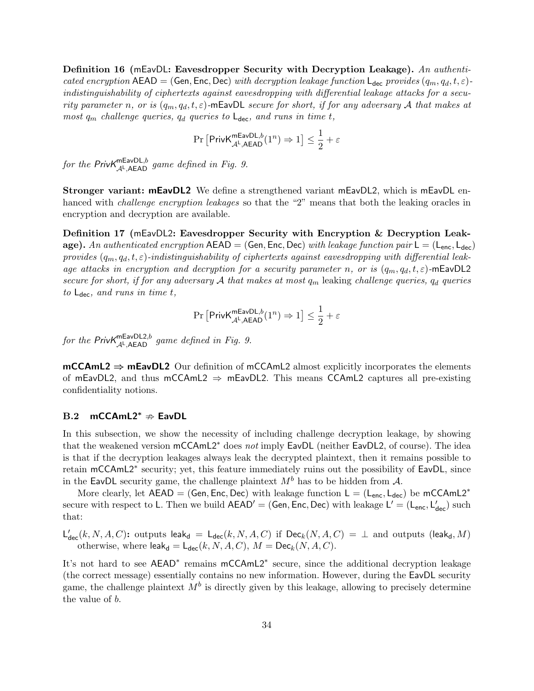Definition 16 (mEavDL: Eavesdropper Security with Decryption Leakage). An authenticated encryption  $AEAD = (Gen, Enc, Dec)$  with decryption leakage function  $L_{dec}$  provides  $(q_m, q_d, t, \varepsilon)$ indistinguishability of ciphertexts against eavesdropping with differential leakage attacks for a security parameter n, or is  $(q_m, q_d, t, \varepsilon)$ -mEavDL secure for short, if for any adversary A that makes at most  $q_m$  challenge queries,  $q_d$  queries to  $\mathsf{L}_{\text{dec}}$ , and runs in time t,

$$
\Pr\left[\mathsf{PrivK}_{\mathcal{A}^{\mathsf{L}}, \mathsf{AEAD}}^{\mathsf{mEavDL}, b}(1^n) \Rightarrow 1\right] \leq \frac{1}{2} + \varepsilon
$$

for the Priv $\mathcal{K}_{\mathcal{A}^{\mathsf{L}},\mathsf{A}\mathsf{E}\mathsf{A}\mathsf{D}}^{\mathsf{maxDL},b}$  game defined in Fig. 9.

Stronger variant: mEavDL2 We define a strengthened variant mEavDL2, which is mEavDL enhanced with *challenge encryption leakages* so that the "2" means that both the leaking oracles in encryption and decryption are available.

Definition 17 (mEavDL2: Eavesdropper Security with Encryption & Decryption Leakage). An authenticated encryption  $AEAD = (Gen, Enc, Dec)$  with leakage function pair  $L = (L_{enc}, L_{dec})$ provides  $(q_m, q_d, t, \varepsilon)$ -indistinguishability of ciphertexts against eavesdropping with differential leakage attacks in encryption and decryption for a security parameter n, or is  $(q_m, q_d, t, \varepsilon)$ -mEavDL2 secure for short, if for any adversary A that makes at most  $q_m$  leaking challenge queries,  $q_d$  queries to  $L_{\text{dec}}$ , and runs in time t,

$$
\Pr\left[\mathsf{PrivK}_{\mathcal{A}^{\mathsf{L}}, \mathsf{AEAD}}^{\mathsf{mEavDL}, b}(1^n) \Rightarrow 1\right] \le \frac{1}{2} + \varepsilon
$$

for the Priv $K_{\mathcal{A}^L, A\text{EAD}}^{\text{maxDL2}, b}$  game defined in Fig. 9.

 $mCCAmL2 \Rightarrow mEavDL2$  Our definition of  $mCCAmL2$  almost explicitly incorporates the elements of mEavDL2, and thus mCCAmL2  $\Rightarrow$  mEavDL2. This means CCAmL2 captures all pre-existing confidentiality notions.

#### B.2 mCCAmL2<sup>\*</sup>  $\Rightarrow$  EavDL

In this subsection, we show the necessity of including challenge decryption leakage, by showing that the weakened version mCCAmL2<sup>∗</sup> does not imply EavDL (neither EavDL2, of course). The idea is that if the decryption leakages always leak the decrypted plaintext, then it remains possible to retain mCCAmL2<sup>\*</sup> security; yet, this feature immediately ruins out the possibility of EavDL, since in the EavDL security game, the challenge plaintext  $M<sup>b</sup>$  has to be hidden from A.

More clearly, let  $AEAD = (Gen, Enc, Dec)$  with leakage function  $L = (L_{enc}, L_{dec})$  be mCCAmL2<sup>\*</sup> secure with respect to L. Then we build  $AEAD' = (Gen, Enc, Dec)$  with leakage  $L' = (L_{enc}, L'_{dec})$  such that:

 $\mathsf{L}'_{\mathsf{dec}}(k,N,A,C)$ : outputs leak<sub>d</sub> =  $\mathsf{L}_{\mathsf{dec}}(k,N,A,C)$  if  $\mathsf{Dec}_k(N,A,C)$  =  $\bot$  and outputs (leak<sub>d</sub>, M) otherwise, where  $\mathsf{leak}_d = \mathsf{L}_{\mathsf{dec}}(k, N, A, C), M = \mathsf{Dec}_k(N, A, C).$ 

It's not hard to see AEAD<sup>\*</sup> remains mCCAmL2<sup>\*</sup> secure, since the additional decryption leakage (the correct message) essentially contains no new information. However, during the EavDL security game, the challenge plaintext  $M^b$  is directly given by this leakage, allowing to precisely determine the value of b.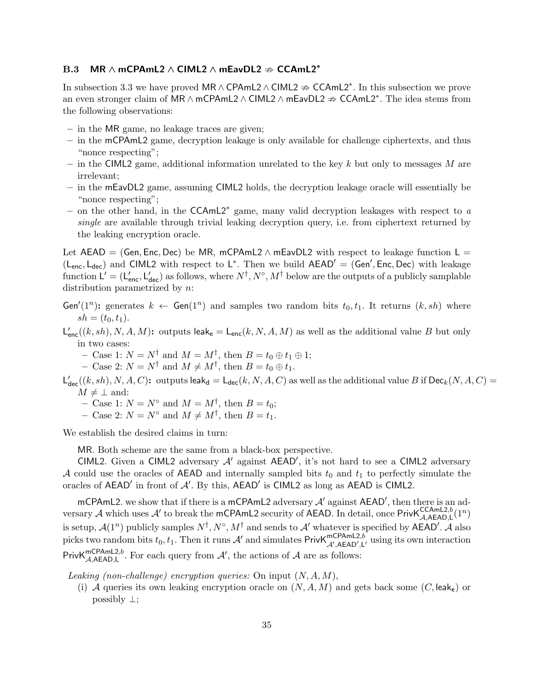## B.3 MR  $\land$  mCPAmL2  $\land$  CIML2  $\land$  mEavDL2  $\Rightarrow$  CCAmL2<sup>\*</sup>

In subsection 3.3 we have proved MR ∧ CPAmL2  $\wedge$  CIML2  $\Rightarrow$  CCAmL2<sup>\*</sup>. In this subsection we prove an even stronger claim of MR  $\land$  mCPAmL2  $\land$  CIML2  $\land$  mEavDL2  $\Rightarrow$  CCAmL2<sup>\*</sup>. The idea stems from the following observations:

- in the MR game, no leakage traces are given;
- in the mCPAmL2 game, decryption leakage is only available for challenge ciphertexts, and thus "nonce respecting";
- in the CIML2 game, additional information unrelated to the key k but only to messages M are irrelevant;
- in the mEavDL2 game, assuming CIML2 holds, the decryption leakage oracle will essentially be "nonce respecting";
- on the other hand, in the CCAmL2<sup>∗</sup> game, many valid decryption leakages with respect to a single are available through trivial leaking decryption query, i.e. from ciphertext returned by the leaking encryption oracle.

Let AEAD = (Gen, Enc, Dec) be MR, mCPAmL2  $\land$  mEavDL2 with respect to leakage function L =  $(L<sub>enc</sub>, L<sub>dec</sub>)$  and CIML2 with respect to  $L^*$ . Then we build  $AEAD' = (Gen', Enc, Dec)$  with leakage function  $L' = (L'_{\text{enc}}, L'_{\text{dec}})$  as follows, where  $N^{\dagger}$ ,  $N^{\circ}$ ,  $M^{\dagger}$  below are the outputs of a publicly samplable distribution parametrized by *n*:

Gen'(1<sup>n</sup>): generates  $k \leftarrow$  Gen(1<sup>n</sup>) and samples two random bits  $t_0, t_1$ . It returns  $(k, sh)$  where  $sh = (t_0, t_1).$ 

 $\mathsf{L}_{\mathsf{enc}}'((k,sh), N, A, M)$ : outputs leak<sub>e</sub> =  $\mathsf{L}_{\mathsf{enc}}(k, N, A, M)$  as well as the additional value B but only in two cases:

- Case 1:  $N = N^{\dagger}$  and  $M = M^{\dagger}$ , then  $B = t_0 \oplus t_1 \oplus 1$ ;

- Case 2:  $N = N^{\dagger}$  and  $M \neq M^{\dagger}$ , then  $B = t_0 \oplus t_1$ .

 $\mathsf{L}'_{\mathsf{dec}}((k,sh),N,A,C)$ : outputs leak $_{\mathsf{d}}=\mathsf{L}_{\mathsf{dec}}(k,N,A,C)$  as well as the additional value  $B$  if  $\mathsf{Dec}_k(N,A,C)=0$  $M \neq \perp$  and:

- Case 1:  $N = N^{\circ}$  and  $M = M^{\dagger}$ , then  $B = t_0$ ;
- Case 2:  $N = N^{\circ}$  and  $M \neq M^{\dagger}$ , then  $B = t_1$ .

We establish the desired claims in turn:

MR. Both scheme are the same from a black-box perspective.

CIML2. Given a CIML2 adversary  $A'$  against  $AEAD'$ , it's not hard to see a CIML2 adversary A could use the oracles of AEAD and internally sampled bits  $t_0$  and  $t_1$  to perfectly simulate the oracles of  $AEAD'$  in front of  $A'$ . By this,  $AEAD'$  is CIML2 as long as  $AEAD$  is CIML2.

mCPAmL2. we show that if there is a mCPAmL2 adversary  $A'$  against AEAD', then there is an adversary A which uses A' to break the mCPAmL2 security of AEAD. In detail, once PrivK ${}_{\mathcal{A},\mathsf{AEAAD,L}}^{\mathsf{CCAmL2},b}(1^n)$ is setup,  $\mathcal{A}(1^n)$  publicly samples  $N^{\dagger}$ ,  $N^{\circ}$ ,  $M^{\dagger}$  and sends to  $\mathcal{A}'$  whatever is specified by AEAD'.  $\tilde{\mathcal{A}}$  also picks two random bits  $t_0, t_1$ . Then it runs  $A'$  and simulates Priv $\mathsf{K}_{\mathcal{A}',\mathsf{AEAD',L'}}^{\mathsf{mCPAML2},b}$  using its own interaction PrivK<sup>mCPAmL2,b</sup>. For each query from  $\mathcal{A}'$ , the actions of  $\mathcal{A}$  are as follows:

Leaking (non-challenge) encryption queries: On input  $(N, A, M)$ ,

(i) A queries its own leaking encryption oracle on  $(N, A, M)$  and gets back some  $(C, \text{leak}_e)$  or possibly  $\perp$ ;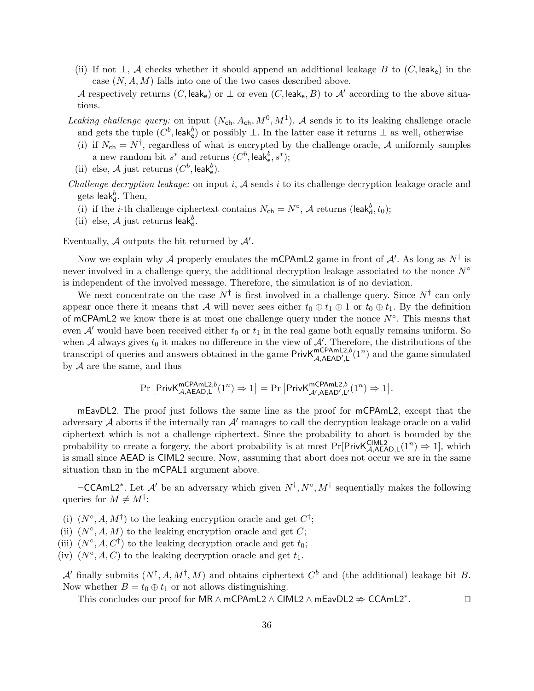(ii) If not  $\perp$ , A checks whether it should append an additional leakage B to  $(C, \text{leak}_e)$  in the case  $(N, A, M)$  falls into one of the two cases described above.

A respectively returns (C, leake) or  $\perp$  or even (C, leake, B) to A' according to the above situations.

- Leaking challenge query: on input  $(N_{ch}, A_{ch}, M^0, M^1)$ , A sends it to its leaking challenge oracle and gets the tuple  $(C^b, \text{leak}_e^b)$  or possibly  $\perp$ . In the latter case it returns  $\perp$  as well, otherwise
	- (i) if  $N_{ch} = N^{\dagger}$ , regardless of what is encrypted by the challenge oracle, A uniformly samples a new random bit  $s^*$  and returns  $(C^b, \text{leak}_e^b, s^*)$ ;
	- (ii) else,  $\mathcal A$  just returns  $(C^b, \mathsf{leak}_e^b)$ .
- Challenge decryption leakage: on input  $i$ ,  $A$  sends  $i$  to its challenge decryption leakage oracle and gets leak $_{d}^{b}$ . Then,
	- (i) if the *i*-th challenge ciphertext contains  $N_{ch} = N^{\circ}$ , A returns (leak $_{d}^{b}$ ,  $t_{0}$ );
	- (ii) else,  $A$  just returns leak $_{d}^{b}$ .

Eventually,  $A$  outputs the bit returned by  $A'$ .

Now we explain why A properly emulates the mCPAmL2 game in front of  $\mathcal{A}'$ . As long as  $N^{\dagger}$  is never involved in a challenge query, the additional decryption leakage associated to the nonce  $N<sup>°</sup>$ is independent of the involved message. Therefore, the simulation is of no deviation.

We next concentrate on the case  $N^{\dagger}$  is first involved in a challenge query. Since  $N^{\dagger}$  can only appear once there it means that A will never sees either  $t_0 \oplus t_1 \oplus 1$  or  $t_0 \oplus t_1$ . By the definition of mCPAmL2 we know there is at most one challenge query under the nonce  $N^{\circ}$ . This means that even  $\mathcal{A}'$  would have been received either  $t_0$  or  $t_1$  in the real game both equally remains uniform. So when A always gives  $t_0$  it makes no difference in the view of  $\mathcal{A}'$ . Therefore, the distributions of the transcript of queries and answers obtained in the game  $PrivK_{\mathcal{A},AEAD',L}^{mCPAmL2,b}(1^n)$  and the game simulated by  $A$  are the same, and thus

$$
\Pr\left[\mathsf{PrivK}_{\mathcal{A},\mathsf{AEAD},\mathsf{L}}^{\mathsf{mCPAml2},b}(1^n)\Rightarrow 1\right]=\Pr\left[\mathsf{PrivK}_{\mathcal{A}',\mathsf{AEAD}',\mathsf{L}'}^{\mathsf{mCPAml2},b}(1^n)\Rightarrow 1\right].
$$

mEavDL2. The proof just follows the same line as the proof for mCPAmL2, except that the adversary  $A$  aborts if the internally ran  $A'$  manages to call the decryption leakage oracle on a valid ciphertext which is not a challenge ciphertext. Since the probability to abort is bounded by the probability to create a forgery, the abort probability is at most  $Pr[PrivK_{\mathcal{A},AEAD,L}^{CIML2}(1^n) \Rightarrow 1]$ , which is small since AEAD is CIML2 secure. Now, assuming that abort does not occur we are in the same situation than in the mCPAL1 argument above.

 $\neg$ CCAmL2<sup>\*</sup>. Let  $\mathcal{A}'$  be an adversary which given  $N^{\dagger}$ ,  $N^{\circ}$ ,  $M^{\dagger}$  sequentially makes the following queries for  $M \neq M^{\dagger}$ :

- (i)  $(N^{\circ}, A, M^{\dagger})$  to the leaking encryption oracle and get  $C^{\dagger}$ ;
- (ii)  $(N^{\circ}, A, M)$  to the leaking encryption oracle and get C;
- (iii)  $(N^{\circ}, A, C^{\dagger})$  to the leaking decryption oracle and get  $t_0$ ;
- (iv)  $(N^{\circ}, A, C)$  to the leaking decryption oracle and get  $t_1$ .

A' finally submits  $(N^{\dagger}, A, M^{\dagger}, M)$  and obtains ciphertext  $C^b$  and (the additional) leakage bit B. Now whether  $B = t_0 \oplus t_1$  or not allows distinguishing.

This concludes our proof for MR  $\land$  mCPAmL2  $\land$  CIML2  $\land$  mEavDL2  $\neq$  CCAmL2<sup>\*</sup>.  $\Box$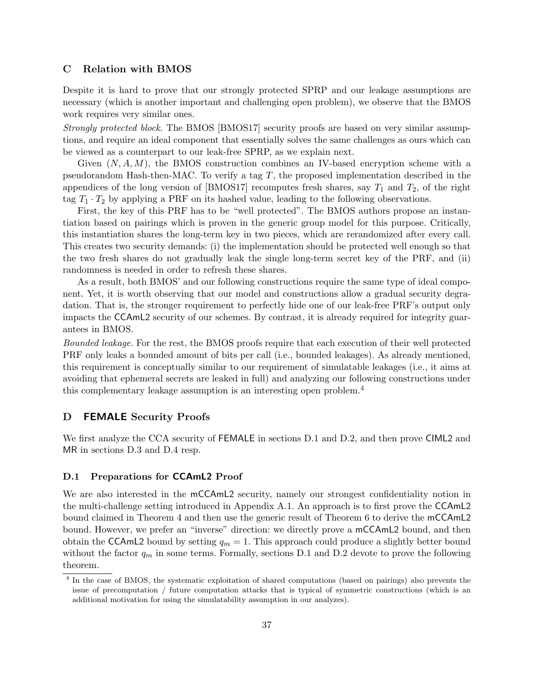## C Relation with BMOS

Despite it is hard to prove that our strongly protected SPRP and our leakage assumptions are necessary (which is another important and challenging open problem), we observe that the BMOS work requires very similar ones.

Strongly protected block. The BMOS [BMOS17] security proofs are based on very similar assumptions, and require an ideal component that essentially solves the same challenges as ours which can be viewed as a counterpart to our leak-free SPRP, as we explain next.

Given  $(N, A, M)$ , the BMOS construction combines an IV-based encryption scheme with a pseudorandom Hash-then-MAC. To verify a tag T, the proposed implementation described in the appendices of the long version of [BMOS17] recomputes fresh shares, say  $T_1$  and  $T_2$ , of the right tag  $T_1 \cdot T_2$  by applying a PRF on its hashed value, leading to the following observations.

First, the key of this PRF has to be "well protected". The BMOS authors propose an instantiation based on pairings which is proven in the generic group model for this purpose. Critically, this instantiation shares the long-term key in two pieces, which are rerandomized after every call. This creates two security demands: (i) the implementation should be protected well enough so that the two fresh shares do not gradually leak the single long-term secret key of the PRF, and (ii) randomness is needed in order to refresh these shares.

As a result, both BMOS' and our following constructions require the same type of ideal component. Yet, it is worth observing that our model and constructions allow a gradual security degradation. That is, the stronger requirement to perfectly hide one of our leak-free PRF's output only impacts the CCAmL2 security of our schemes. By contrast, it is already required for integrity guarantees in BMOS.

Bounded leakage. For the rest, the BMOS proofs require that each execution of their well protected PRF only leaks a bounded amount of bits per call (i.e., bounded leakages). As already mentioned, this requirement is conceptually similar to our requirement of simulatable leakages (i.e., it aims at avoiding that ephemeral secrets are leaked in full) and analyzing our following constructions under this complementary leakage assumption is an interesting open problem.<sup>4</sup>

## D FEMALE Security Proofs

We first analyze the CCA security of FEMALE in sections D.1 and D.2, and then prove CIML2 and MR in sections D.3 and D.4 resp.

#### D.1 Preparations for CCAmL2 Proof

We are also interested in the mCCAmL2 security, namely our strongest confidentiality notion in the multi-challenge setting introduced in Appendix A.1. An approach is to first prove the CCAmL2 bound claimed in Theorem 4 and then use the generic result of Theorem 6 to derive the mCCAmL2 bound. However, we prefer an "inverse" direction: we directly prove a mCCAmL2 bound, and then obtain the CCAmL2 bound by setting  $q_m = 1$ . This approach could produce a slightly better bound without the factor  $q_m$  in some terms. Formally, sections D.1 and D.2 devote to prove the following theorem.

<sup>4</sup> In the case of BMOS, the systematic exploitation of shared computations (based on pairings) also prevents the issue of precomputation / future computation attacks that is typical of symmetric constructions (which is an additional motivation for using the simulatability assumption in our analyzes).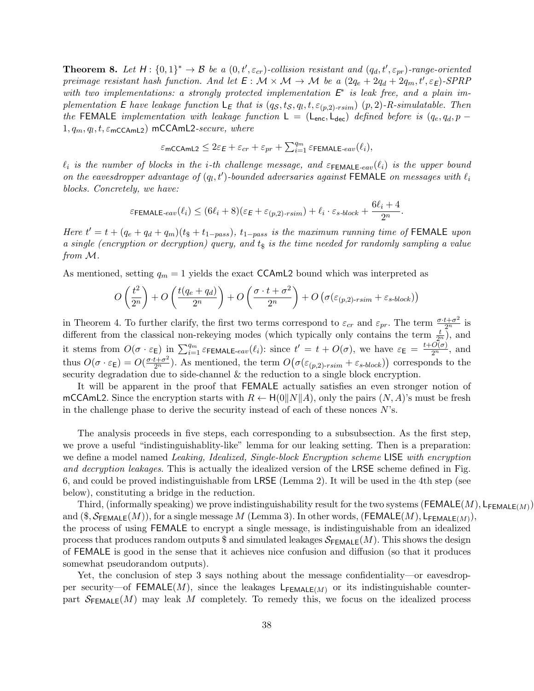**Theorem 8.** Let  $H: \{0,1\}^* \to \mathcal{B}$  be a  $(0,t',\varepsilon_{cr})$ -collision resistant and  $(q_d,t',\varepsilon_{pr})$ -range-oriented preimage resistant hash function. And let  $E: \mathcal{M} \times \mathcal{M} \to \mathcal{M}$  be a  $(2q_e + 2q_d + 2q_m, t', \varepsilon_E)$ -SPRP with two implementations: a strongly protected implementation  $E^*$  is leak free, and a plain implementation E have leakage function  $\mathsf{L}_{\mathsf{E}}$  that is  $(q_{\mathcal{S}}, t_{\mathcal{S}}, q_l, t, \varepsilon_{(p,2)\text{-}rsim})$   $(p, 2)$ -R-simulatable. Then the FEMALE implementation with leakage function  $\mathsf{L} = (\mathsf{L}_{\text{enc}}, \mathsf{L}_{\text{dec}})$  defined before is  $(q_e, q_d, p 1, q_m, q_l, t, \varepsilon_{\sf mcCAML2})$  mCCAmL2-secure, where

$$
\varepsilon_{\mathsf{mCCAmL2}} \leq 2\varepsilon_{\mathsf{E}} + \varepsilon_{cr} + \varepsilon_{pr} + \sum_{i=1}^{q_m} \varepsilon_{\mathsf{FEMALE}\text{-}eav}(\ell_i),
$$

 $\ell_i$  is the number of blocks in the i-th challenge message, and  $\varepsilon_{\text{FEMALE-eav}}(\ell_i)$  is the upper bound on the eavesdropper advantage of  $(q_l, t')$ -bounded adversaries against FEMALE on messages with  $\ell_i$ blocks. Concretely, we have:

$$
\varepsilon_{\textsf{FEMALE-}eav}(\ell_i) \leq (6\ell_i+8)(\varepsilon_{\textsf{E}}+\varepsilon_{(p,2)\text{-}rsim}) + \ell_i \cdot \varepsilon_{s\text{-}block} + \frac{6\ell_i+4}{2^n}.
$$

Here  $t' = t + (q_e + q_d + q_m)(t_{\frac{1}{2}} + t_{1-pass})$ ,  $t_{1-pass}$  is the maximum running time of FEMALE upon a single (encryption or decryption) query, and  $t<sub>s</sub>$  is the time needed for randomly sampling a value from M.

As mentioned, setting  $q_m = 1$  yields the exact CCAmL2 bound which was interpreted as

$$
O\left(\frac{t^2}{2^n}\right) + O\left(\frac{t(q_e+q_d)}{2^n}\right) + O\left(\frac{\sigma \cdot t + \sigma^2}{2^n}\right) + O\left(\sigma(\varepsilon_{(p,2)\text{-rsim}} + \varepsilon_{s\text{-block}})\right)
$$

in Theorem 4. To further clarify, the first two terms correspond to  $\varepsilon_{cr}$  and  $\varepsilon_{pr}$ . The term  $\frac{\sigma \cdot t + \sigma^2}{2^n}$  is different from the classical non-rekeying modes (which typically only contains the term  $\frac{t}{2^n}$ ), and it stems from  $O(\sigma \cdot \varepsilon_{\mathsf{E}})$  in  $\sum_{i=1}^{q_m} \varepsilon_{\mathsf{FEMALE}\text{-}eav}(\ell_i)$ : since  $t' = t + O(\sigma)$ , we have  $\varepsilon_{\mathsf{E}} = \frac{t + O(\sigma)}{2^n}$ , and thus  $O(\sigma \cdot \varepsilon_{\mathsf{E}}) = O(\frac{\sigma \cdot t + \sigma^2}{2^n})$ . As mentioned, the term  $O(\sigma(\varepsilon_{(p,2)\text{-}rsim} + \varepsilon_{s\text{-}block}))$  corresponds to the security degradation due to side-channel & the reduction to a single block encryption.

It will be apparent in the proof that FEMALE actually satisfies an even stronger notion of mCCAmL2. Since the encryption starts with  $R \leftarrow H(0||N||A)$ , only the pairs  $(N, A)$ 's must be fresh in the challenge phase to derive the security instead of each of these nonces  $N$ 's.

The analysis proceeds in five steps, each corresponding to a subsubsection. As the first step, we prove a useful "indistinguishablity-like" lemma for our leaking setting. Then is a preparation: we define a model named Leaking, Idealized, Single-block Encryption scheme LISE with encryption and decryption leakages. This is actually the idealized version of the LRSE scheme defined in Fig. 6, and could be proved indistinguishable from LRSE (Lemma 2). It will be used in the 4th step (see below), constituting a bridge in the reduction.

Third, (informally speaking) we prove indistinguishability result for the two systems (FEMALE(M),  $L_{\sf FEMALE(M)}$ ) and  $(\$, \mathcal{S}_{\mathsf{FEMALE}}(M)),$  for a single message  $M$  (Lemma 3). In other words,  $(\mathsf{FEMALE}(M), \mathsf{L}_{\mathsf{FEMALE}(M)}),$ the process of using FEMALE to encrypt a single message, is indistinguishable from an idealized process that produces random outputs \$ and simulated leakages  $\mathcal{S}_{\mathsf{FEMALE}}(M)$ . This shows the design of FEMALE is good in the sense that it achieves nice confusion and diffusion (so that it produces somewhat pseudorandom outputs).

Yet, the conclusion of step 3 says nothing about the message confidentiality—or eavesdropper security—of FEMALE(M), since the leakages  $L_{FEMALE(M)}$  or its indistinguishable counterpart  $\mathcal{S}_{\mathsf{FEMALE}}(M)$  may leak M completely. To remedy this, we focus on the idealized process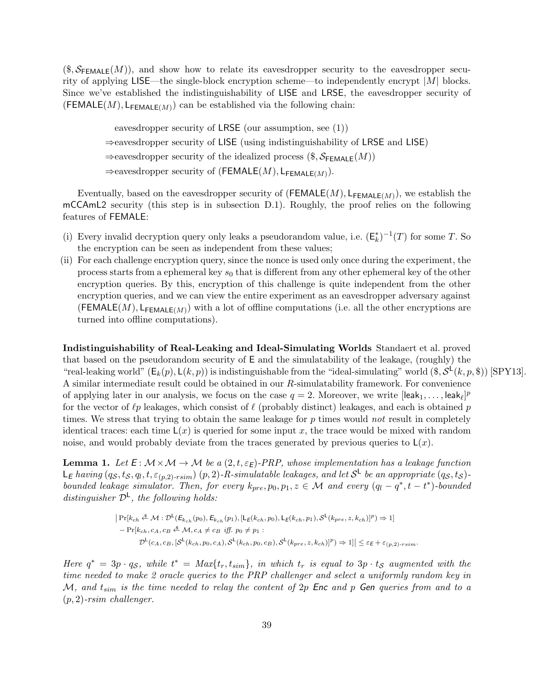$(\text{\$}, \mathcal{S}_{\mathsf{FEMALE}}(M))$ , and show how to relate its eavesdropper security to the eavesdropper security of applying LISE—the single-block encryption scheme—to independently encrypt  $|M|$  blocks. Since we've established the indistinguishability of LISE and LRSE, the eavesdropper security of (FEMALE $(M)$ , L<sub>FEMALE $(M)$ </sub>) can be established via the following chain:

eavesdropper security of LRSE (our assumption, see (1))

⇒eavesdropper security of LISE (using indistinguishability of LRSE and LISE)

 $\Rightarrow$ eavesdropper security of the idealized process (\$,  $S_{\sf FEMALE}(M)$ )

 $\Rightarrow$  eavesdropper security of (FEMALE(M), L<sub>FEMALE(M)</sub>).

Eventually, based on the eavesdropper security of  $(\mathsf{FEMALE}(M), \mathsf{L}_{\mathsf{FEMALE}(M)})$ , we establish the mCCAmL2 security (this step is in subsection D.1). Roughly, the proof relies on the following features of FEMALE:

- (i) Every invalid decryption query only leaks a pseudorandom value, i.e.  $(\mathsf{E}_k^*)^{-1}(T)$  for some T. So the encryption can be seen as independent from these values;
- (ii) For each challenge encryption query, since the nonce is used only once during the experiment, the process starts from a ephemeral key  $s_0$  that is different from any other ephemeral key of the other encryption queries. By this, encryption of this challenge is quite independent from the other encryption queries, and we can view the entire experiment as an eavesdropper adversary against (FEMALE $(M)$ , L<sub>FEMALE $(M)$ </sub>) with a lot of offline computations (i.e. all the other encryptions are turned into offline computations).

Indistinguishability of Real-Leaking and Ideal-Simulating Worlds Standaert et al. proved that based on the pseudorandom security of E and the simulatability of the leakage, (roughly) the "real-leaking world"  $(E_k(p), L(k, p))$  is indistinguishable from the "ideal-simulating" world  $(\$, \mathcal{S}^{\mathsf{L}}(k, p, \$))$  [SPY13]. A similar intermediate result could be obtained in our R-simulatability framework. For convenience of applying later in our analysis, we focus on the case  $q = 2$ . Moreover, we write  $[leak_1, \ldots, leak_\ell]^p$ for the vector of  $\ell p$  leakages, which consist of  $\ell$  (probably distinct) leakages, and each is obtained p times. We stress that trying to obtain the same leakage for p times would not result in completely identical traces: each time  $\mathsf{L}(x)$  is queried for some input x, the trace would be mixed with random noise, and would probably deviate from the traces generated by previous queries to  $L(x)$ .

**Lemma 1.** Let  $E: \mathcal{M} \times \mathcal{M} \rightarrow \mathcal{M}$  be a  $(2,t,\varepsilon_E)$ -PRP, whose implementation has a leakage function  $\mathsf{L}_\mathsf{E}$  having  $(q_\mathcal{S},t_\mathcal{S},q_l,t,\varepsilon_{(p,2)\text{-}rsim})$   $(p,2)$ -R-simulatable leakages, and let  $\mathcal{S}^\mathsf{L}$  be an appropriate  $(q_\mathcal{S},t_\mathcal{S})$ bounded leakage simulator. Then, for every  $k_{pre}, p_0, p_1, z \in \mathcal{M}$  and every  $(q_l - q^*, t - t^*)$ -bounded distinguisher  $\mathcal{D}^{\mathsf{L}}$ , the following holds:

$$
\begin{aligned} \left| \Pr[k_{ch}, \stackrel{\&\&\mathcal{M}}{\sim} \mathcal{D}^{\mathsf{L}}(\mathcal{E}_{k_{ch}}(p_0), \mathcal{E}_{k_{ch}}(p_1), [\mathsf{L}_{\mathsf{E}}(k_{ch}, p_0), \mathsf{L}_{\mathsf{E}}(k_{ch}, p_1), \mathcal{S}^{\mathsf{L}}(k_{pre}, z, k_{ch})]^p) \Rightarrow 1 \right| \\ &- \Pr[k_{ch}, c_A, c_B \stackrel{\&\mathcal{M}}{\sim} \mathcal{M}, c_A \neq c_B \text{ iff. } p_0 \neq p_1 : \\ \mathcal{D}^{\mathsf{L}}(c_A, c_B, [\mathcal{S}^{\mathsf{L}}(k_{ch}, p_0, c_A), \mathcal{S}^{\mathsf{L}}(k_{ch}, p_0, c_B), \mathcal{S}^{\mathsf{L}}(k_{pre}, z, k_{ch})]^p) \Rightarrow 1] \right| \leq \varepsilon_{\mathsf{E}} + \varepsilon_{(p, 2)\text{-rsim}}. \end{aligned}
$$

Here  $q^* = 3p \cdot q_s$ , while  $t^* = Max\{t_r, t_{sim}\}\$ , in which  $t_r$  is equal to  $3p \cdot t_s$  augmented with the time needed to make 2 oracle queries to the PRP challenger and select a uniformly random key in M, and  $t_{sim}$  is the time needed to relay the content of 2p Enc and p Gen queries from and to a  $(p, 2)$ -rsim challenger.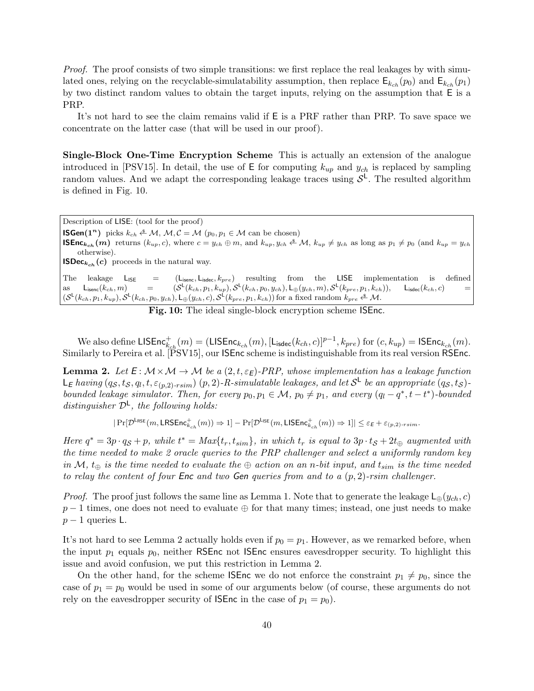Proof. The proof consists of two simple transitions: we first replace the real leakages by with simulated ones, relying on the recyclable-simulatability assumption, then replace  $E_{k_{ch}}(p_0)$  and  $E_{k_{ch}}(p_1)$ by two distinct random values to obtain the target inputs, relying on the assumption that E is a PRP.

It's not hard to see the claim remains valid if E is a PRF rather than PRP. To save space we concentrate on the latter case (that will be used in our proof).

Single-Block One-Time Encryption Scheme This is actually an extension of the analogue introduced in [PSV15]. In detail, the use of  $E$  for computing  $k_{up}$  and  $y_{ch}$  is replaced by sampling random values. And we adapt the corresponding leakage traces using  $S<sup>L</sup>$ . The resulted algorithm is defined in Fig. 10.

Description of LISE: (tool for the proof) **ISGen**(1<sup>n</sup>) picks  $k_{ch} \triangleq M$ ,  $M, C = M$  ( $p_0, p_1 \in M$  can be chosen) **ISEnc**<sub>kch</sub> (*m*) returns  $(k_{up}, c)$ , where  $c = y_{ch} \oplus m$ , and  $k_{up}, y_{ch} \triangleq \mathcal{M}$ ,  $k_{up} \neq y_{ch}$  as long as  $p_1 \neq p_0$  (and  $k_{up} = y_{ch}$ otherwise). **ISDec**<sub>kch</sub> (c) proceeds in the natural way. The leakage  $L_{\text{ISE}} = (L_{\text{isenc}}, L_{\text{isdec}}, k_{pre})$  resulting from the LISE implementation is defined as  $\mathsf{L}_{\text{isenc}}(k_{ch}, m)$  =  $\mathsf{L}(k_{ch},p_1,k_{up}),\mathcal{S}^\mathsf{L}(k_{ch},p_0,y_{ch}),\mathsf{L}_\oplus(y_{ch},m),\mathcal{S}^\mathsf{L}(k_{pre},p_1,k_{ch})),\quad \mathsf{L}_{\mathsf{isdec}}(k_{ch},c) \qquad \equiv \qquad \qquad \nonumber$  $(S^{\mathsf{L}}(k_{ch}, p_1, k_{up}), S^{\mathsf{L}}(k_{ch}, p_0, y_{ch}), \mathsf{L}_{\oplus}(y_{ch}, c), S^{\mathsf{L}}(k_{pre}, p_1, k_{ch}))$  for a fixed random  $k_{pre} \triangleq \mathcal{M}$ .

Fig. 10: The ideal single-block encryption scheme ISEnc.

We also define  $\mathsf{LISEnc}^+_{k_{ch}}(m) = (\mathsf{LISEnc}_{k_{ch}}(m), [\mathsf{L}_{\mathsf{isdec}}(k_{ch}, c)]^{p-1}, k_{pre})$  for  $(c, k_{up}) = \mathsf{ISEnc}_{k_{ch}}(m)$ . Similarly to Pereira et al. [PSV15], our ISEnc scheme is indistinguishable from its real version RSEnc.

**Lemma 2.** Let  $E: \mathcal{M} \times \mathcal{M} \rightarrow \mathcal{M}$  be a  $(2, t, \varepsilon_E)$ -PRP, whose implementation has a leakage function  $\mathsf{L}_\mathsf{E}$  having  $(q_\mathcal{S},t_\mathcal{S},q_l,t,\varepsilon_{(p,2)\text{-}rsim})$   $(p,2)$ -R-simulatable leakages, and let  $\mathcal{S}^\mathsf{L}$  be an appropriate  $(q_\mathcal{S},t_\mathcal{S})$ bounded leakage simulator. Then, for every  $p_0, p_1 \in \mathcal{M}$ ,  $p_0 \neq p_1$ , and every  $(q_l - q^*, t - t^*)$ -bounded distinguisher  $\mathcal{D}^{\mathsf{L}}$ , the following holds:

 $|\Pr[\mathcal{D}^{\mathsf{LRSE}}(m, \mathsf{LRSEnc}_{k_{ch}}^+(m)) \Rightarrow 1] - \Pr[\mathcal{D}^{\mathsf{LISE}}(m, \mathsf{LISEnc}_{k_{ch}}^+(m)) \Rightarrow 1]| \leq \varepsilon_E + \varepsilon_{(p,2)\text{-rsim}}.$ 

Here  $q^* = 3p \cdot q_S + p$ , while  $t^* = Max\{t_r, t_{sim}\}$ , in which  $t_r$  is equal to  $3p \cdot t_S + 2t_{\oplus}$  augmented with the time needed to make 2 oracle queries to the PRP challenger and select a uniformly random key in M,  $t_{\oplus}$  is the time needed to evaluate the  $\oplus$  action on an n-bit input, and  $t_{sim}$  is the time needed to relay the content of four Enc and two Gen queries from and to a  $(p, 2)$ -rsim challenger.

*Proof.* The proof just follows the same line as Lemma 1. Note that to generate the leakage  $L_{\oplus}(y_{ch}, c)$  $p-1$  times, one does not need to evaluate  $\oplus$  for that many times; instead, one just needs to make  $p-1$  queries L.

It's not hard to see Lemma 2 actually holds even if  $p_0 = p_1$ . However, as we remarked before, when the input  $p_1$  equals  $p_0$ , neither RSEnc not ISEnc ensures eavesdropper security. To highlight this issue and avoid confusion, we put this restriction in Lemma 2.

On the other hand, for the scheme **ISEnc** we do not enforce the constraint  $p_1 \neq p_0$ , since the case of  $p_1 = p_0$  would be used in some of our arguments below (of course, these arguments do not rely on the eavesdropper security of **ISEnc** in the case of  $p_1 = p_0$ .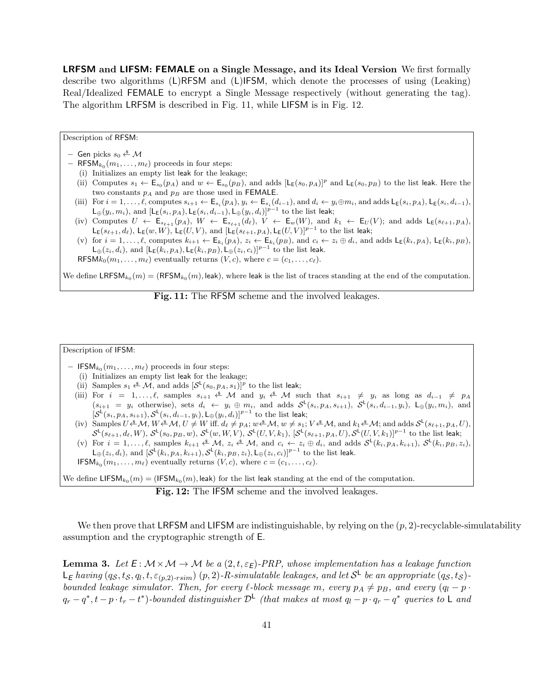LRFSM and LIFSM: FEMALE on a Single Message, and its Ideal Version We first formally describe two algorithms (L)RFSM and (L)IFSM, which denote the processes of using (Leaking) Real/Idealized FEMALE to encrypt a Single Message respectively (without generating the tag). The algorithm LRFSM is described in Fig. 11, while LIFSM is in Fig. 12.

Description of RFSM:

- Gen picks  $s_0 \stackrel{\$}{\leftarrow} \mathcal{M}$
- $-$  RFSM<sub>k<sub>0</sub></sub> $(m_1, \ldots, m_\ell)$  proceeds in four steps:
	- (i) Initializes an empty list leak for the leakage;
	- (ii) Computes  $s_1 \leftarrow \mathsf{E}_{s_0}(p_A)$  and  $w \leftarrow \mathsf{E}_{s_0}(p_B)$ , and adds  $[\mathsf{L}_{\mathsf{E}}(s_0, p_A)]^p$  and  $\mathsf{L}_{\mathsf{E}}(s_0, p_B)$  to the list leak. Here the two constants  $p_A$  and  $p_B$  are those used in FEMALE.
	- (iii) For  $i = 1, \ldots, \ell$ , computes  $s_{i+1} \leftarrow \mathsf{E}_{s_i}(p_A), y_i \leftarrow \mathsf{E}_{s_i}(d_{i-1}),$  and  $d_i \leftarrow y_i \oplus m_i$ , and adds  $\mathsf{L}_{\mathsf{E}}(s_i, p_A), \mathsf{L}_{\mathsf{E}}(s_i, d_{i-1}),$  $\mathsf{L}_{\oplus}(y_i,m_i)$ , and  $[\mathsf{L}_{\mathsf{E}}(s_i,p_A),\mathsf{L}_{\mathsf{E}}(s_i,d_{i-1}),\mathsf{L}_{\oplus}(y_i,d_i)]^{p-1}$  to the list leak;
	- (iv) Computes  $U \leftarrow \mathsf{E}_{s_{\ell+1}}(p_A), W \leftarrow \mathsf{E}_{s_{\ell+1}}(d_{\ell}), V \leftarrow \mathsf{E}_w(W)$ , and  $k_1 \leftarrow \mathsf{E}_U(V)$ ; and adds  $\mathsf{L}_{\mathsf{E}}(s_{\ell+1}, p_A)$ ,  $\mathsf{L}_{\mathsf{E}}(s_{\ell+1}, d_{\ell}), \mathsf{L}_{\mathsf{E}}(w, W), \mathsf{L}_{\mathsf{E}}(U, V)$ , and  $[\mathsf{L}_{\mathsf{E}}(s_{\ell+1}, p_A), \mathsf{L}_{\mathsf{E}}(U, V)]^{p-1}$  to the list leak;
	- (v) for  $i = 1, \ldots, \ell$ , computes  $k_{i+1} \leftarrow \mathsf{E}_{k_i}(p_A)$ ,  $z_i \leftarrow \mathsf{E}_{k_i}(p_B)$ , and  $c_i \leftarrow z_i \oplus d_i$ , and adds  $\mathsf{L}_{\mathsf{E}}(k_i, p_A)$ ,  $\mathsf{L}_{\mathsf{E}}(k_i, p_B)$ ,  $\mathsf{L}_{\oplus}(z_i, d_i)$ , and  $[\mathsf{L}_{\mathsf{E}}(k_i, p_A), \mathsf{L}_{\mathsf{E}}(k_i, p_B), \mathsf{L}_{\oplus}(z_i, c_i)]^{p-1}$  to the list leak.

RFSM $k_0(m_1, \ldots, m_\ell)$  eventually returns  $(V, c)$ , where  $c = (c_1, \ldots, c_\ell)$ .

We define  $\tt LRFSM_{k_0}(m) = (RFSM_{k_0}(m),$  leak), where leak is the list of traces standing at the end of the computation.

Fig. 11: The RFSM scheme and the involved leakages.

## Description of IFSM:

- $-$  IFSM<sub>k<sub>0</sub></sub> $(m_1, \ldots, m_\ell)$  proceeds in four steps:
	- (i) Initializes an empty list leak for the leakage;
	- (ii) Samples  $s_1 \xleftarrow{\$} \mathcal{M}$ , and adds  $[\mathcal{S}^{\mathsf{L}}(s_0, p_A, s_1)]^p$  to the list leak;
	- (iii) For  $i = 1, \ldots, \ell$ , samples  $s_{i+1} \stackrel{\text{d}}{\leftarrow} \mathcal{M}$  and  $y_i \stackrel{\text{d}}{\leftarrow} \mathcal{M}$  such that  $s_{i+1} \neq y_i$  as long as  $d_{i-1} \neq p_A$  $(s_{i+1} = y_i$  otherwise), sets  $d_i \leftarrow y_i \oplus m_i$ , and adds  $S^{\mathsf{L}}(s_i, p_A, s_{i+1}), S^{\mathsf{L}}(s_i, d_{i-1}, y_i), \mathsf{L}_{\oplus}(y_i, m_i)$ , and  $[\mathcal{S}^{\mathsf{L}}(s_i,p_A,s_{i+1}),\mathcal{S}^{\mathsf{L}}(s_i,d_{i-1},y_i),\mathsf{L}_{\oplus}(y_i,d_i)]^{p-1}$  to the list leak;
	- (iv) Samples  $U \triangleq \mathcal{M}, W \triangleq \mathcal{M}, U \neq W$  iff.  $d_\ell \neq p_A$ ;  $w \triangleq \mathcal{M}, w \neq s_1$ ;  $V \triangleq \mathcal{M}$ , and  $k_1 \triangleq \mathcal{M}$ ; and adds  $\mathcal{S}^{\mathsf{L}}(s_{\ell+1}, p_A, U)$ ,  $\mathcal{S}^{\mathsf{L}}(s_{\ell+1}, d_{\ell}, W), \, \mathcal{S}^{\mathsf{L}}(s_0, p_B, w), \, \mathcal{S}^{\mathsf{L}}(w, W, V), \, \mathcal{S}^{\mathsf{L}}(U, V, k_1), \, [\mathcal{S}^{\mathsf{L}}(s_{\ell+1}, p_A, U), \mathcal{S}^{\mathsf{L}}(U, V, k_1)]^{p-1}$  to the list leak;
	- (v) For  $i = 1, \ldots, \ell$ , samples  $k_{i+1} \notin M$ ,  $z_i \notin M$ , and  $c_i \leftarrow z_i \oplus d_i$ , and adds  $S^{\mathsf{L}}(k_i, p_A, k_{i+1}), S^{\mathsf{L}}(k_i, p_B, z_i)$ ,  $\mathsf{L}_{\oplus}(z_i, d_i)$ , and  $[\mathcal{S}^{\mathsf{L}}(k_i, p_A, k_{i+1}), \mathcal{S}^{\mathsf{L}}(k_i, p_B, z_i), \mathsf{L}_{\oplus}(z_i, c_i)]^{p-1}$  to the list leak.
	- **IFSM**<sub> $k_0$ </sub> $(m_1, \ldots, m_\ell)$  eventually returns  $(V, c)$ , where  $c = (c_1, \ldots, c_\ell)$ .

We define  $\mathsf{LIFSM}_{k_0}(m) = (\mathsf{IFSM}_{k_0}(m), \mathsf{leak})$  for the list leak standing at the end of the computation.

Fig. 12: The IFSM scheme and the involved leakages.

We then prove that LRFSM and LIFSM are indistinguishable, by relying on the  $(p, 2)$ -recyclable-simulatability assumption and the cryptographic strength of E.

**Lemma 3.** Let  $E: \mathcal{M} \times \mathcal{M} \rightarrow \mathcal{M}$  be a  $(2,t,\varepsilon_E)$ -PRP, whose implementation has a leakage function  $\mathsf{L}_\mathsf{E}$  having  $(q_\mathcal{S},t_\mathcal{S},q_l,t,\varepsilon_{(p,2)\text{-}rsim})$   $(p,2)$ -R-simulatable leakages, and let  $\mathcal{S}^\mathsf{L}$  be an appropriate  $(q_\mathcal{S},t_\mathcal{S})$ bounded leakage simulator. Then, for every  $\ell$ -block message m, every  $p_A \neq p_B$ , and every  $(q_l - p \cdot \ell)$  $q_r - q^*, t - p \cdot t_r - t^*$ )-bounded distinguisher  $\mathcal{D}^{\mathsf{L}}$  (that makes at most  $q_l - p \cdot q_r - q^*$  queries to  $\mathsf{L}$  and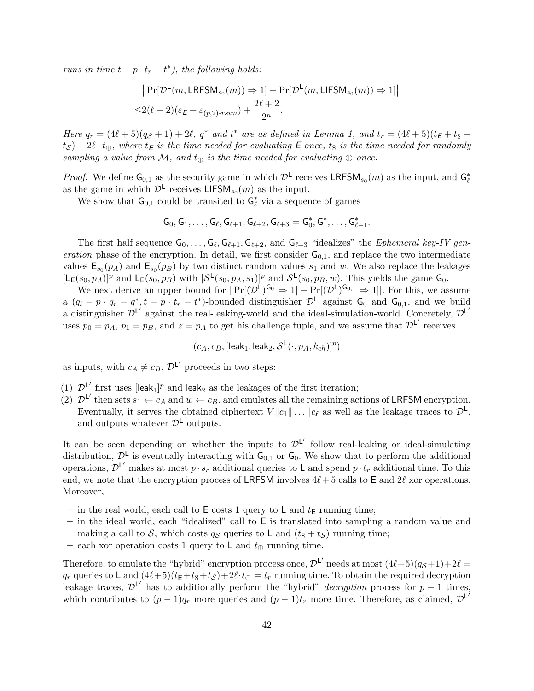runs in time  $t - p \cdot t_r - t^*$ , the following holds:

$$
|\Pr[\mathcal{D}^{\mathsf{L}}(m, \mathsf{LRFSM}_{s_0}(m)) \Rightarrow 1] - \Pr[\mathcal{D}^{\mathsf{L}}(m, \mathsf{LIFSM}_{s_0}(m)) \Rightarrow 1]|
$$
  

$$
\leq 2(\ell+2)(\varepsilon_{\mathsf{E}} + \varepsilon_{(p,2)\text{-rsim}}) + \frac{2\ell+2}{2^n}.
$$

Here  $q_r = (4\ell + 5)(q_S + 1) + 2\ell$ ,  $q^*$  and  $t^*$  are as defined in Lemma 1, and  $t_r = (4\ell + 5)(t_E + t_{\frac{1}{5}} + t_{\frac{1}{5}})$  $(t_\mathcal{S}) + 2\ell \cdot t_\oplus$ , where  $t_\mathsf{E}$  is the time needed for evaluating  $\mathsf E$  once,  $t_\$$  is the time needed for randomly sampling a value from M, and  $t_{\oplus}$  is the time needed for evaluating  $\oplus$  once.

*Proof.* We define  $G_{0,1}$  as the security game in which  $\mathcal{D}^{\mathsf{L}}$  receives LRFSM<sub>s<sub>0</sub></sub> $(m)$  as the input, and  $G_{\ell}^*$ as the game in which  $\mathcal{D}^{\mathsf{L}}$  receives LIFSM<sub>s<sub>0</sub></sub> $(m)$  as the input.

We show that  $G_{0,1}$  could be transited to  $G_{\ell}^*$  via a sequence of games

$$
\mathsf{G}_0,\mathsf{G}_1,\ldots,\mathsf{G}_{\ell},\mathsf{G}_{\ell+1},\mathsf{G}_{\ell+2},\mathsf{G}_{\ell+3}=\mathsf{G}_0^*,\mathsf{G}_1^*,\ldots,\mathsf{G}_{\ell-1}^*.
$$

The first half sequence  $G_0, \ldots, G_\ell, G_{\ell+1}, G_{\ell+2}$ , and  $G_{\ell+3}$  "idealizes" the *Ephemeral key-IV gen*eration phase of the encryption. In detail, we first consider  $G_{0,1}$ , and replace the two intermediate values  $\mathsf{E}_{s_0}(p_A)$  and  $\mathsf{E}_{s_0}(p_B)$  by two distinct random values  $s_1$  and w. We also replace the leakages  $[L_E(s_0, p_A)]^p$  and  $L_E(s_0, p_B)$  with  $[\mathcal{S}^{\mathsf{L}}(s_0, p_A, s_1)]^p$  and  $\mathcal{S}^{\mathsf{L}}(s_0, p_B, w)$ . This yields the game  $\mathsf{G}_0$ .

We next derive an upper bound for  $|\Pr[(\mathcal{D}^{\mathsf{L}})^{\mathsf{G}_0} \Rightarrow 1] - \Pr[(\mathcal{D}^{\mathsf{L}})^{\mathsf{G}_{0,1}} \Rightarrow 1]|$ . For this, we assume a  $(q_l - p \cdot q_r - q^*, t - p \cdot t_r - t^*)$ -bounded distinguisher  $\mathcal{D}^{\mathsf{L}}$  against  $\mathsf{G}_0$  and  $\mathsf{G}_{0,1}$ , and we build a distinguisher  $\mathcal{D}^{L'}$  against the real-leaking-world and the ideal-simulation-world. Concretely,  $\mathcal{D}^{L'}$ uses  $p_0 = p_A$ ,  $p_1 = p_B$ , and  $z = p_A$  to get his challenge tuple, and we assume that  $\mathcal{D}^{L'}$  receives

$$
(c_A,c_B,[\mathsf{leak}_1,\mathsf{leak}_2,\mathcal{S}^\mathsf{L}(\cdot,p_A,k_{ch})]^p)
$$

as inputs, with  $c_A \neq c_B$ .  $\mathcal{D}^{\mathsf{L}'}$  proceeds in two steps:

- (1)  $\mathcal{D}^{L'}$  first uses [leak<sub>1</sub>]<sup>*p*</sup> and leak<sub>2</sub> as the leakages of the first iteration;
- (2)  $\mathcal{D}^{L'}$  then sets  $s_1 \leftarrow c_A$  and  $w \leftarrow c_B$ , and emulates all the remaining actions of LRFSM encryption. Eventually, it serves the obtained ciphertext  $V||c_1|| \dots ||c_\ell$  as well as the leakage traces to  $\mathcal{D}^{\mathsf{L}},$ and outputs whatever  $\mathcal{D}^{\mathsf{L}}$  outputs.

It can be seen depending on whether the inputs to  $\mathcal{D}^{L'}$  follow real-leaking or ideal-simulating distribution,  $\mathcal{D}^{\mathsf{L}}$  is eventually interacting with  $\mathsf{G}_{0,1}$  or  $\mathsf{G}_{0}$ . We show that to perform the additional operations,  $\mathcal{D}^{\mathsf{L'}}$  makes at most  $p \cdot s_r$  additional queries to L and spend  $p \cdot t_r$  additional time. To this end, we note that the encryption process of LRFSM involves  $4\ell + 5$  calls to E and 2 $\ell$  xor operations. Moreover,

- in the real world, each call to  $E$  costs 1 query to L and  $t_E$  running time;
- in the ideal world, each "idealized" call to E is translated into sampling a random value and making a call to S, which costs  $q_S$  queries to L and  $(t_{\$} + t_S)$  running time;
- each xor operation costs 1 query to L and  $t_{\oplus}$  running time.

Therefore, to emulate the "hybrid" encryption process once,  $\mathcal{D}^{L'}$  needs at most  $(4\ell+5)(q_{\mathcal{S}}+1)+2\ell=$  $q_r$  queries to L and  $(4\ell+5)(t_{\mathsf{E}}+t_{\mathsf{S}}+t_{\mathsf{S}})+2\ell\cdot t_{\oplus}=t_r$  running time. To obtain the required decryption leakage traces,  $\mathcal{D}^{L'}$  has to additionally perform the "hybrid" *decryption* process for  $p-1$  times, which contributes to  $(p-1)q_r$  more queries and  $(p-1)t_r$  more time. Therefore, as claimed,  $\mathcal{D}^{L'}$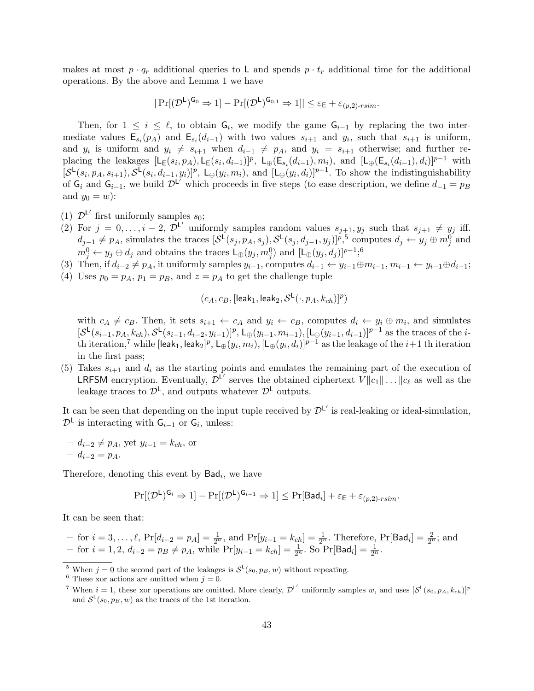makes at most  $p \cdot q_r$  additional queries to L and spends  $p \cdot t_r$  additional time for the additional operations. By the above and Lemma 1 we have

$$
|\Pr[(\mathcal{D}^{\mathsf{L}})^{\mathsf{G_0}} \Rightarrow 1] - \Pr[(\mathcal{D}^{\mathsf{L}})^{\mathsf{G_{0,1}}} \Rightarrow 1]| \leq \varepsilon_{\mathsf{E}} + \varepsilon_{(p,2)\text{-rsim}}.
$$

Then, for  $1 \leq i \leq \ell$ , to obtain  $\mathsf{G}_i$ , we modify the game  $\mathsf{G}_{i-1}$  by replacing the two intermediate values  $\mathsf{E}_{s_i}(p_A)$  and  $\mathsf{E}_{s_i}(d_{i-1})$  with two values  $s_{i+1}$  and  $y_i$ , such that  $s_{i+1}$  is uniform, and  $y_i$  is uniform and  $y_i \neq s_{i+1}$  when  $d_{i-1} \neq p_A$ , and  $y_i = s_{i+1}$  otherwise; and further replacing the leakages  $[L_E(s_i, p_A), L_E(s_i, d_{i-1})]^p$ ,  $L_{\oplus}(E_{s_i}(d_{i-1}), m_i)$ , and  $[L_{\oplus}(E_{s_i}(d_{i-1}), d_i)]^{p-1}$  with  $[\mathcal{S}^{\mathsf{L}}(s_i, p_A, s_{i+1}), \mathcal{S}^{\mathsf{L}}(s_i, d_{i-1}, y_i)]^p$ ,  $\mathsf{L}_{\oplus}(y_i, m_i)$ , and  $[\mathsf{L}_{\oplus}(y_i, d_i)]^{p-1}$ . To show the indistinguishability of  $G_i$  and  $G_{i-1}$ , we build  $\mathcal{D}^{\mathsf{L}'}$  which proceeds in five steps (to ease description, we define  $d_{-1} = p_B$ and  $y_0 = w$ :

- (1)  $\mathcal{D}^{\mathsf{L}'}$  first uniformly samples  $s_0$ ;
- (2) For  $j = 0, \ldots, i-2, \mathcal{D}^{\mathsf{L}'}$  uniformly samples random values  $s_{j+1}, y_j$  such that  $s_{j+1} \neq y_j$  iff.  $d_{j-1} \neq p_A$ , simulates the traces  $[\mathcal{S}^{\mathsf{L}}(s_j, p_A, s_j), \mathcal{S}^{\mathsf{L}}(s_j, d_{j-1}, y_j)]^{p,5}$  computes  $d_j \leftarrow y_j \oplus m_j^0$  and  $m_j^0 \leftarrow y_j \oplus d_j$  and obtains the traces  $\mathsf{L}_{\oplus}(y_j, m_j^0)$  and  $[\mathsf{L}_{\oplus}(y_j, d_j)]^{p-1}$ ;<sup>6</sup>
- (3) Then, if  $d_{i-2} \neq p_A$ , it uniformly samples  $y_{i-1}$ , computes  $d_{i-1} \leftarrow y_{i-1} \oplus m_{i-1}$ ,  $m_{i-1} \leftarrow y_{i-1} \oplus d_{i-1}$ ;
- (4) Uses  $p_0 = p_A$ ,  $p_1 = p_B$ , and  $z = p_A$  to get the challenge tuple

$$
(c_A, c_B, [\mathsf{leak}_1, \mathsf{leak}_2, \mathcal{S}^{\mathsf{L}}(\cdot, p_A, k_{ch})]^p)
$$

with  $c_A \neq c_B$ . Then, it sets  $s_{i+1} \leftarrow c_A$  and  $y_i \leftarrow c_B$ , computes  $d_i \leftarrow y_i \oplus m_i$ , and simulates  $[\mathcal{S}^{\mathsf{L}}(s_{i-1}, p_A, k_{ch}), \mathcal{S}^{\mathsf{L}}(s_{i-1}, d_{i-2}, y_{i-1})]^p$ ,  $\mathsf{L}_{\oplus}(y_{i-1}, m_{i-1}), [\mathsf{L}_{\oplus}(y_{i-1}, d_{i-1})]^{p-1}$  as the traces of the *i*th iteration, $^7$  while  $[$ leak $_1,$  leak $_2]^p$ ,  $\mathsf{L}_\oplus(y_i,m_i),$   $[\mathsf{L}_\oplus(y_i,d_i)]^{p-1}$  as the leakage of the  $i+1$  th iteration in the first pass;

(5) Takes  $s_{i+1}$  and  $d_i$  as the starting points and emulates the remaining part of the execution of **LRFSM** encryption. Eventually,  $\bar{\mathcal{D}}^{L'}$  serves the obtained ciphertext  $V||c_1|| \dots ||c_\ell$  as well as the leakage traces to  $\mathcal{D}^{\mathsf{L}}$ , and outputs whatever  $\mathcal{D}^{\mathsf{L}}$  outputs.

It can be seen that depending on the input tuple received by  $\mathcal{D}^{\mathsf{L}'}$  is real-leaking or ideal-simulation,  $\mathcal{D}^{\mathsf{L}}$  is interacting with  $\mathsf{G}_{i-1}$  or  $\mathsf{G}_{i}$ , unless:

 $- d_{i-2} \neq p_A$ , yet  $y_{i-1} = k_{ch}$ , or  $- d_{i-2} = p_A$ .

Therefore, denoting this event by  $Bad<sub>i</sub>$ , we have

$$
\Pr[(\mathcal{D}^{\mathsf{L}})^{\mathsf{G}_i} \Rightarrow 1] - \Pr[(\mathcal{D}^{\mathsf{L}})^{\mathsf{G}_{i-1}} \Rightarrow 1] \le \Pr[\mathsf{Bad}_i] + \varepsilon_{\mathsf{E}} + \varepsilon_{(p,2)\text{-rsim}}.
$$

It can be seen that:

- for 
$$
i = 3, ..., l
$$
,  $Pr[d_{i-2} = p_A] = \frac{1}{2^n}$ , and  $Pr[y_{i-1} = k_{ch}] = \frac{1}{2^n}$ . Therefore,  $Pr[Bad_i] = \frac{2}{2^n}$ ; and  
- for  $i = 1, 2$ ,  $d_{i-2} = p_B \neq p_A$ , while  $Pr[y_{i-1} = k_{ch}] = \frac{1}{2^n}$ . So  $Pr[Bad_i] = \frac{1}{2^n}$ .

<sup>&</sup>lt;sup>5</sup> When  $j = 0$  the second part of the leakages is  $S^{\mathsf{L}}(s_0, p_B, w)$  without repeating.

<sup>&</sup>lt;sup>6</sup> These xor actions are omitted when  $j = 0$ .

<sup>&</sup>lt;sup>7</sup> When  $i = 1$ , these xor operations are omitted. More clearly,  $\mathcal{D}^{L'}$  uniformly samples w, and uses  $[\mathcal{S}^{L}(s_0, p_A, k_{ch})]^p$ and  $S^{\mathsf{L}}(s_0, p_B, w)$  as the traces of the 1st iteration.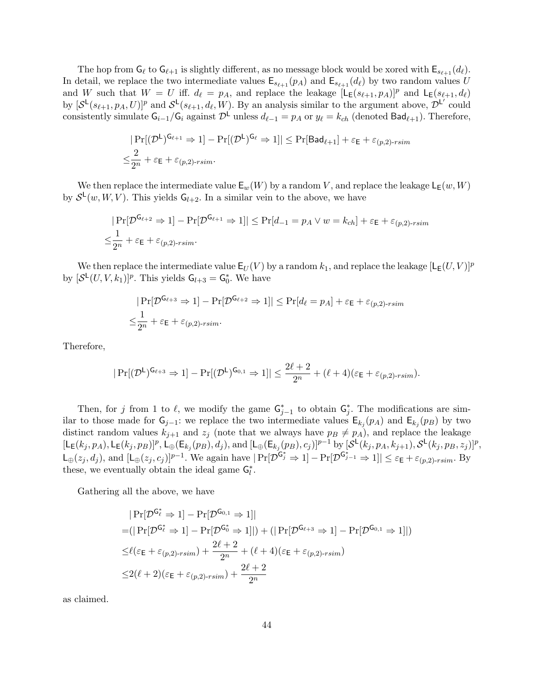The hop from  $G_\ell$  to  $G_{\ell+1}$  is slightly different, as no message block would be xored with  $E_{s_{\ell+1}} (d_\ell)$ . In detail, we replace the two intermediate values  $\mathsf{E}_{s_{\ell+1}}(p_A)$  and  $\mathsf{E}_{s_{\ell+1}}(d_{\ell})$  by two random values U and W such that  $W = U$  iff.  $d_\ell = p_A$ , and replace the leakage  $[L_E(s_{\ell+1}, p_A)]^p$  and  $L_E(s_{\ell+1}, d_\ell)$ by  $[\mathcal{S}^{\mathsf{L}}(s_{\ell+1}, p_A, U)]^p$  and  $\mathcal{S}^{\mathsf{L}}(s_{\ell+1}, d_{\ell}, W)$ . By an analysis similar to the argument above,  $\mathcal{D}^{\mathsf{L}'}$  could consistently simulate  $G_{i-1}/G_i$  against  $\mathcal{D}^{\mathsf{L}}$  unless  $d_{\ell-1} = p_A$  or  $y_{\ell} = k_{ch}$  (denoted  $\mathsf{Bad}_{\ell+1}$ ). Therefore,

$$
|\Pr[(\mathcal{D}^{\mathsf{L}})^{\mathsf{G}_{\ell+1}} \Rightarrow 1] - \Pr[(\mathcal{D}^{\mathsf{L}})^{\mathsf{G}_{\ell}} \Rightarrow 1]| \leq \Pr[\mathsf{Bad}_{\ell+1}] + \varepsilon_{\mathsf{E}} + \varepsilon_{(p,2)\text{-rsim}}
$$

$$
\leq \frac{2}{2^n} + \varepsilon_{\mathsf{E}} + \varepsilon_{(p,2)\text{-rsim}}.
$$

We then replace the intermediate value  $\mathsf{E}_w(W)$  by a random V, and replace the leakage  $\mathsf{L}_{\mathsf{E}}(w, W)$ by  $S^{\mathsf{L}}(w, W, V)$ . This yields  $\mathsf{G}_{l+2}$ . In a similar vein to the above, we have

$$
|\Pr[\mathcal{D}^{\mathsf{G}_{\ell+2}} \Rightarrow 1] - \Pr[\mathcal{D}^{\mathsf{G}_{\ell+1}} \Rightarrow 1]| \le \Pr[d_{-1} = p_A \lor w = k_{ch}] + \varepsilon_{\mathsf{E}} + \varepsilon_{(p,2)\text{-rsim}}
$$
  

$$
\le \frac{1}{2^n} + \varepsilon_{\mathsf{E}} + \varepsilon_{(p,2)\text{-rsim}}.
$$

We then replace the intermediate value  $\mathsf{E}_U(V)$  by a random  $k_1$ , and replace the leakage  $[\mathsf{L}_{\mathsf{E}}(U,V)]^p$ by  $[\mathcal{S}^{\mathsf{L}}(U,V,k_1)]^p$ . This yields  $\mathsf{G}_{l+3} = \mathsf{G}_{0}^*$ . We have

$$
|\Pr[\mathcal{D}^{G_{\ell+3}} \Rightarrow 1] - \Pr[\mathcal{D}^{G_{\ell+2}} \Rightarrow 1]| \le \Pr[d_{\ell} = p_A] + \varepsilon_E + \varepsilon_{(p,2)\text{-rsim}}
$$
  

$$
\le \frac{1}{2^n} + \varepsilon_E + \varepsilon_{(p,2)\text{-rsim}}.
$$

Therefore,

$$
|\Pr[(\mathcal{D}^{\mathsf{L}})^{\mathsf{G}_{\ell+3}} \Rightarrow 1] - \Pr[(\mathcal{D}^{\mathsf{L}})^{\mathsf{G}_{0,1}} \Rightarrow 1]| \leq \frac{2\ell+2}{2^n} + (\ell+4)(\varepsilon_{\mathsf{E}} + \varepsilon_{(p,2)\text{-rsim}}).
$$

Then, for j from 1 to  $\ell$ , we modify the game  $G_{j-1}^*$  to obtain  $G_j^*$ . The modifications are similar to those made for  $G_{j-1}$ : we replace the two intermediate values  $E_{k_j}(p_A)$  and  $E_{k_j}(p_B)$  by two distinct random values  $k_{j+1}$  and  $z_j$  (note that we always have  $p_B \neq p_A$ ), and replace the leakage  $[L_{E}(k_{j}, p_{A}), L_{E}(k_{j}, p_{B})]^{p}, L_{\oplus}(\mathsf{E}_{k_{j}}(p_{B}), d_{j}), \text{and } [L_{\oplus}(\mathsf{E}_{k_{j}}(p_{B}), c_{j})]^{p-1} \text{ by } [\mathcal{S}^{\mathsf{L}}(k_{j}, p_{A}, k_{j+1}), \mathcal{S}^{\mathsf{L}}(k_{j}, p_{B}, z_{j})]^{p},$  $\mathsf{L}_{\oplus}(z_j, d_j)$ , and  $[\mathsf{L}_{\oplus}(z_j, c_j)]^{p-1}$ . We again have  $|\Pr[\mathcal{D}^{\mathsf{G}_j^*} \Rightarrow 1] - \Pr[\mathcal{D}^{\mathsf{G}_{j-1}^*} \Rightarrow 1]| \leq \varepsilon_{\mathsf{E}} + \varepsilon_{(p,2)\text{-rsim}}$ . By these, we eventually obtain the ideal game  $G_l^*$ .

Gathering all the above, we have

$$
|\Pr[\mathcal{D}^{\mathsf{G}_{\ell}^{*}} \Rightarrow 1] - \Pr[\mathcal{D}^{\mathsf{G}_{0,1}} \Rightarrow 1]|
$$
  
=  $(|\Pr[\mathcal{D}^{\mathsf{G}_{\ell}^{*}} \Rightarrow 1] - \Pr[\mathcal{D}^{\mathsf{G}_{0}^{*}} \Rightarrow 1]|) + (|\Pr[\mathcal{D}^{\mathsf{G}_{\ell+3}} \Rightarrow 1] - \Pr[\mathcal{D}^{\mathsf{G}_{0,1}} \Rightarrow 1]|)$   
 $\leq \ell(\varepsilon_{\mathsf{E}} + \varepsilon_{(p,2)\text{-rsim}}) + \frac{2\ell+2}{2^n} + (\ell+4)(\varepsilon_{\mathsf{E}} + \varepsilon_{(p,2)\text{-rsim}})$   
 $\leq 2(\ell+2)(\varepsilon_{\mathsf{E}} + \varepsilon_{(p,2)\text{-rsim}}) + \frac{2\ell+2}{2^n}$ 

as claimed.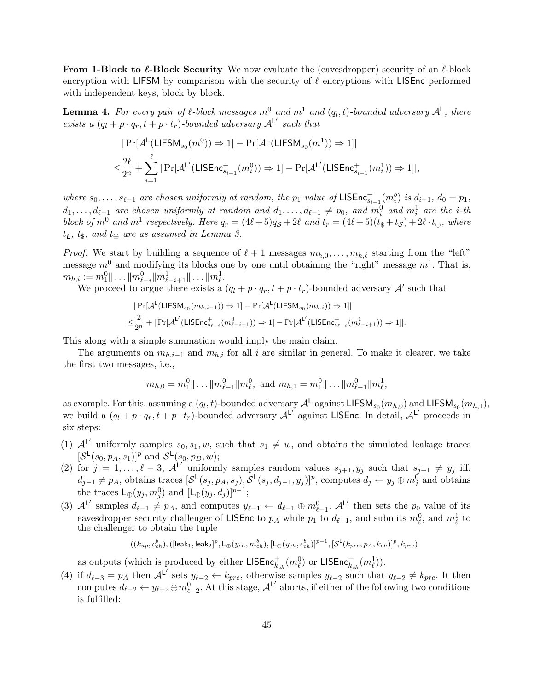**From 1-Block to**  $\ell$ **-Block Security** We now evaluate the (eavesdropper) security of an  $\ell$ -block encryption with LIFSM by comparison with the security of  $\ell$  encryptions with LISEnc performed with independent keys, block by block.

**Lemma 4.** For every pair of  $\ell$ -block messages  $m^0$  and  $m^1$  and  $(q_l, t)$ -bounded adversary  $\mathcal{A}^{\mathsf{L}}$ , there exists a  $(q_l + p \cdot q_r, t + p \cdot t_r)$ -bounded adversary  $A^{L'}$  such that

$$
|\Pr[\mathcal{A}^{\mathsf{L}}(\mathsf{LIFSM}_{s_0}(m^0)) \Rightarrow 1] - \Pr[\mathcal{A}^{\mathsf{L}}(\mathsf{LIFSM}_{s_0}(m^1)) \Rightarrow 1]|
$$
  

$$
\leq \frac{2\ell}{2^n} + \sum_{i=1}^{\ell} |\Pr[\mathcal{A}^{\mathsf{L}'}(\mathsf{LISEnc}_{s_{i-1}}^+(m^0_i)) \Rightarrow 1] - \Pr[\mathcal{A}^{\mathsf{L}'}(\mathsf{LISEnc}_{s_{i-1}}^+(m^1_i)) \Rightarrow 1]|,
$$

where  $s_0, \ldots, s_{\ell-1}$  are chosen uniformly at random, the  $p_1$  value of LISEnc ${}_{s_{i-1}}^+(m_i^b)$  is  $d_{i-1}$ ,  $d_0 = p_1$ ,  $d_1, \ldots, d_{\ell-1}$  are chosen uniformly at random and  $d_1, \ldots, d_{\ell-1} \neq p_0$ , and  $m_i^0$  and  $m_i^1$  are the *i*-th block of  $m^0$  and  $m^1$  respectively. Here  $q_r = (4\ell + 5)q_S + 2\ell$  and  $t_r = (4\ell + 5)(t_s + t_S) + 2\ell \cdot t_{\oplus}$ , where  $t_{\mathsf{E}}, t_{\$},$  and  $t_{\oplus}$  are as assumed in Lemma 3.

*Proof.* We start by building a sequence of  $\ell + 1$  messages  $m_{h,0}, \ldots, m_{h,\ell}$  starting from the "left" message  $m^0$  and modifying its blocks one by one until obtaining the "right" message  $m^1$ . That is,  $m_{h,i} := m_1^0 || \ldots || m_{\ell-i}^0 || m_{\ell-i+1}^1 || \ldots || m_{\ell}^1.$ 

We proceed to argue there exists a  $(q_l + p \cdot q_r, t + p \cdot t_r)$ -bounded adversary  $\mathcal{A}'$  such that

$$
|\Pr[\mathcal{A}^{\mathsf{L}}(\mathsf{LIFSM}_{s_0}(m_{h,i-1})) \Rightarrow 1] - \Pr[\mathcal{A}^{\mathsf{L}}(\mathsf{LIFSM}_{s_0}(m_{h,i})) \Rightarrow 1]|
$$
  

$$
\leq \frac{2}{2^n} + |\Pr[\mathcal{A}^{\mathsf{L}'}(\mathsf{LISEnc}_{s_{\ell-i}}^+(m_{\ell-i+1}^0)) \Rightarrow 1] - \Pr[\mathcal{A}^{\mathsf{L}'}(\mathsf{LISEnc}_{s_{\ell-i}}^+(m_{\ell-i+1}^1)) \Rightarrow 1]|.
$$

This along with a simple summation would imply the main claim.

The arguments on  $m_{h,i-1}$  and  $m_{h,i}$  for all i are similar in general. To make it clearer, we take the first two messages, i.e.,

$$
m_{h,0} = m_1^0 || \dots || m_{\ell-1}^0 || m_\ell^0
$$
, and  $m_{h,1} = m_1^0 || \dots || m_{\ell-1}^0 || m_\ell^1$ ,

as example. For this, assuming a  $(q_l, t)$ -bounded adversary  $\mathcal{A}^{\mathsf{L}}$  against LIFSM<sub>s<sub>0</sub></sub> $(m_{h,0})$  and LIFSM<sub>s<sub>0</sub></sub> $(m_{h,1})$ , we build a  $(q_l + p \cdot q_r, t + p \cdot t_r)$ -bounded adversary  $A^{L'}$  against LISEnc. In detail,  $A^{L'}$  proceeds in six steps:

- (1)  $A^{L'}$  uniformly samples  $s_0, s_1, w$ , such that  $s_1 \neq w$ , and obtains the simulated leakage traces  $[\mathcal{S}^{\mathsf{L}}(s_0, p_A, s_1)]^p$  and  $\mathcal{S}^{\mathsf{L}}(s_0, p_B, w);$
- (2) for  $j = 1, \ldots, \ell 3$ ,  $\mathcal{A}^{\mathsf{L'}}$  uniformly samples random values  $s_{j+1}, y_j$  such that  $s_{j+1} \neq y_j$  iff.  $d_{j-1} \neq p_A$ , obtains traces  $[\mathcal{S}^{\mathsf{L}}(s_j, p_A, s_j), \mathcal{S}^{\mathsf{L}}(s_j, d_{j-1}, y_j)]^p$ , computes  $d_j \leftarrow y_j \oplus m_j^0$  and obtains the traces  $\mathsf{L}_{\oplus}(y_j, m_j^0)$  and  $[\mathsf{L}_{\oplus}(y_j, d_j)]^{p-1}$ ;
- (3)  $\mathcal{A}^{\mathsf{L}'}$  samples  $d_{\ell-1} \neq p_A$ , and computes  $y_{\ell-1} \leftarrow d_{\ell-1} \oplus m_{\ell-1}^0$ .  $\mathcal{A}^{\mathsf{L}'}$  then sets the  $p_0$  value of its eavesdropper security challenger of LISEnc to  $p_A$  while  $p_1$  to  $d_{\ell-1}$ , and submits  $m_{\ell}^0$ , and  $m_{\ell}^1$  to the challenger to obtain the tuple

$$
((k_{up},c_{ch}^b),([{\rm leak}_1,{\rm leak}_2]^p,{\rm L}_\oplus(y_{ch},m_{ch}^b),[{\rm L}_\oplus(y_{ch},c_{ch}^b)]^{p-1},[{\mathcal S}^{\rm L}(k_{pre},p_A,k_{ch})]^p,k_{pre})
$$

as outputs (which is produced by either  $\mathsf{LISEnc}^+_{k_{ch}}(m^0_\ell)$  or  $\mathsf{LISEnc}^+_{k_{ch}}(m^1_\ell)).$ 

(4) if  $d_{\ell-3} = p_A$  then  $\mathcal{A}^{L'}$  sets  $y_{\ell-2} \leftarrow k_{pre}$ , otherwise samples  $y_{\ell-2}$  such that  $y_{\ell-2} \neq k_{pre}$ . It then computes  $d_{\ell-2} \leftarrow y_{\ell-2} \oplus m_{\ell-2}^0$ . At this stage,  $\mathcal{A}^{\mathsf{L}'}$  aborts, if either of the following two conditions is fulfilled: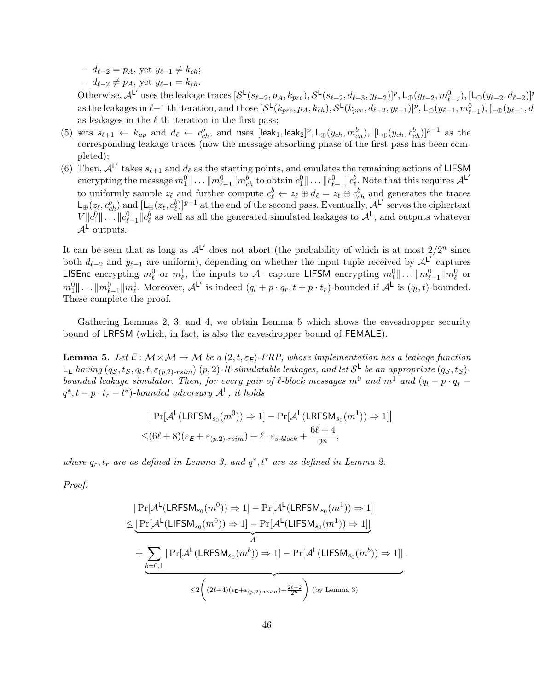$- d_{\ell-2} = p_A$ , yet  $y_{\ell-1} \neq k_{ch}$ ;

 $- d_{\ell-2} \neq p_A$ , yet  $y_{\ell-1} = k_{ch}$ .

Otherwise,  $\mathcal{A}^{\mathsf{L}'}$  uses the leakage traces  $[\mathcal{S}^{\mathsf{L}}(s_{\ell-2}, p_A, k_{pre}), \mathcal{S}^{\mathsf{L}}(s_{\ell-2}, d_{\ell-3}, y_{\ell-2})]^p$ ,  $\mathsf{L}_{\oplus}(y_{\ell-2}, m^0_{\ell-2})$ ,  $[\mathsf{L}_{\oplus}(y_{\ell-2}, d_{\ell-2})]^p$ as the leakages in  $\ell-1$  th iteration, and those  $[\mathcal{S}^{\mathsf{L}}(k_{pre}, p_A, k_{ch}), \mathcal{S}^{\mathsf{L}}(k_{pre}, d_{\ell-2}, y_{\ell-1})]^p$ ,  $\mathsf{L}_{\oplus}(y_{\ell-1}, m^0_{\ell-1})$ ,  $[\mathsf{L}_{\oplus}(y_{\ell-1}, d_{\ell-1}, y_{\ell-1})]$ as leakages in the  $\ell$  th iteration in the first pass;

- (5) sets  $s_{\ell+1} \leftarrow k_{up}$  and  $d_{\ell} \leftarrow c_{ch}^b$ , and uses  $[\text{leak}_1, \text{leak}_2]^p$ ,  $\mathsf{L}_{\oplus}(y_{ch}, m_{ch}^b)$ ,  $[\mathsf{L}_{\oplus}(y_{ch}, c_{ch}^b)]^{p-1}$  as the corresponding leakage traces (now the message absorbing phase of the first pass has been completed);
- (6) Then,  $A^L'$  takes  $s_{\ell+1}$  and  $d_{\ell}$  as the starting points, and emulates the remaining actions of LIFSM  $\text{encryption}$  the message  $m_1^0 \| \ldots \| m_{\ell-1}^0 \| m_{ch}^b$  to obtain  $c_1^0 \| \ldots \| c_{\ell-1}^0 \| c_\ell^b.$  Note that this requires  $\mathcal{A}^{\mathsf{L}'}$ to uniformly sample  $z_{\ell}$  and further compute  $c_{\ell}^{b} \leftarrow z_{\ell} \oplus d_{\ell} = z_{\ell} \oplus c_{ch}^{b}$  and generates the traces  $\mathsf{L}_{\oplus}(z_{\ell}, c_{ch}^b)$  and  $[\mathsf{L}_{\oplus}(z_{\ell}, c_{\ell}^b)]^{p-1}$  at the end of the second pass. Eventually,  $\mathcal{A}^{\mathsf{L}'}$  serves the ciphertext  $V||c_1^0||...||c_{\ell-1}^0||c_{\ell}^b$  as well as all the generated simulated leakages to  $\mathcal{A}^{\mathsf{L}}$ , and outputs whatever  $\mathcal{A}^{\mathsf{L}}$  outputs.

It can be seen that as long as  $\mathcal{A}^{L'}$  does not abort (the probability of which is at most  $2/2^n$  since both  $d_{\ell-2}$  and  $y_{\ell-1}$  are uniform), depending on whether the input tuple received by  ${\mathcal{A}}^{L'}$  captures LISEnc encrypting  $m_\ell^0$  or  $m_\ell^1$ , the inputs to  $\mathcal{A}^{\mathsf{L}}$  capture LIFSM encrypting  $m_1^0||\ldots||m_{\ell-1}^0||m_\ell^0$  or  $m_1^0 \dots ||m_{\ell-1}^0||m_\ell^1$ . Moreover,  $\mathcal{A}^{\mathsf{L}'}$  is indeed  $(q_l + p \cdot q_r, t + p \cdot t_r)$ -bounded if  $\mathcal{A}^{\mathsf{L}}$  is  $(q_l, t)$ -bounded. These complete the proof.

Gathering Lemmas 2, 3, and 4, we obtain Lemma 5 which shows the eavesdropper security bound of LRFSM (which, in fact, is also the eavesdropper bound of FEMALE).

**Lemma 5.** Let  $E: \mathcal{M} \times \mathcal{M} \rightarrow \mathcal{M}$  be a  $(2,t,\varepsilon_E)$ -PRP, whose implementation has a leakage function  $\mathsf{L}_\mathsf{E}$  having  $(q_\mathcal{S},t_\mathcal{S},q_l,t,\varepsilon_{(p,2)\text{-}rsim})$   $(p,2)$ -R-simulatable leakages, and let  $\mathcal{S}^\mathsf{L}$  be an appropriate  $(q_\mathcal{S},t_\mathcal{S})$ bounded leakage simulator. Then, for every pair of  $\ell$ -block messages m<sup>0</sup> and m<sup>1</sup> and (q<sub>l</sub> − p · q<sub>r</sub> −  $q^*, t - p \cdot t_r - t^*$ )-bounded adversary  $\mathcal{A}^{\mathsf{L}}$ , it holds

$$
|\Pr[\mathcal{A}^{\mathsf{L}}(\mathsf{LRFSM}_{s_0}(m^0)) \Rightarrow 1] - \Pr[\mathcal{A}^{\mathsf{L}}(\mathsf{LRFSM}_{s_0}(m^1)) \Rightarrow 1]|
$$
  

$$
\leq (6\ell + 8)(\varepsilon_{\mathsf{E}} + \varepsilon_{(p,2)\text{-rsim}}) + \ell \cdot \varepsilon_{s\text{-block}} + \frac{6\ell + 4}{2^n},
$$

where  $q_r, t_r$  are as defined in Lemma 3, and  $q^*, t^*$  are as defined in Lemma 2.

Proof.

$$
\label{eq:3} \begin{split} &\big|\Pr[\mathcal{A}^{\mathsf{L}}(\mathsf{LRFSM}_{s_0}(m^0))\Rightarrow 1]-\Pr[\mathcal{A}^{\mathsf{L}}(\mathsf{LRFSM}_{s_0}(m^1))\Rightarrow 1] \big|\\ \leq &\underbrace{|\Pr[\mathcal{A}^{\mathsf{L}}(\mathsf{LIFSM}_{s_0}(m^0))\Rightarrow 1]-\Pr[\mathcal{A}^{\mathsf{L}}(\mathsf{LIFSM}_{s_0}(m^1))\Rightarrow 1] \big|}_{A}\\ &+\underbrace{\sum_{b=0,1}|\Pr[\mathcal{A}^{\mathsf{L}}(\mathsf{LRFSM}_{s_0}(m^b))\Rightarrow 1]-\Pr[\mathcal{A}^{\mathsf{L}}(\mathsf{LIFSM}_{s_0}(m^b))\Rightarrow 1] \big|}_{\leq 2\bigg((2\ell+4)(\varepsilon_{\mathsf{E}}+\varepsilon_{(p,2)\text{-rsim}})+\frac{2\ell+2}{2^n}\bigg)\;(\text{by Lemma 3})} \end{split}
$$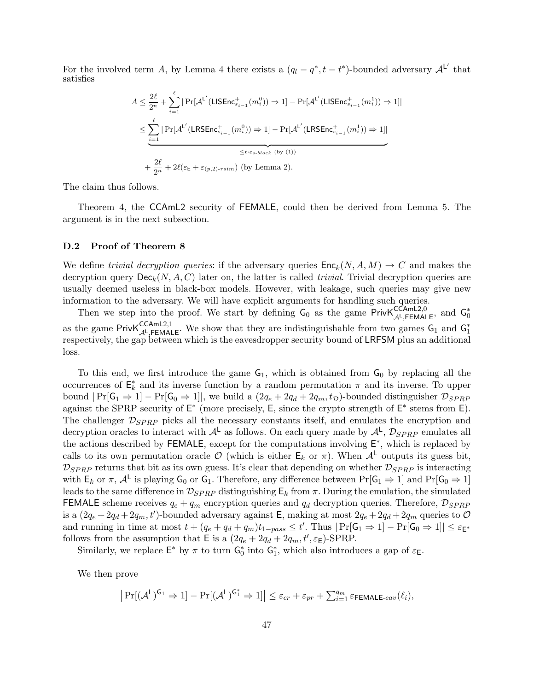For the involved term A, by Lemma 4 there exists a  $(q_l - q^*, t - t^*)$ -bounded adversary  $\mathcal{A}^{L'}$  that satisfies

$$
A \leq \frac{2\ell}{2^n} + \sum_{i=1}^{\ell} \left| \Pr[\mathcal{A}^{L'}(\mathsf{LISEnc}^+_{s_{i-1}}(m_i^0)) \Rightarrow 1] - \Pr[\mathcal{A}^{L'}(\mathsf{LISEnc}^+_{s_{i-1}}(m_i^1)) \Rightarrow 1] \right|
$$
  

$$
\leq \sum_{i=1}^{\ell} \left| \Pr[\mathcal{A}^{L'}(\mathsf{LRSEnc}^+_{s_{i-1}}(m_i^0)) \Rightarrow 1] - \Pr[\mathcal{A}^{L'}(\mathsf{LRSEnc}^+_{s_{i-1}}(m_i^1)) \Rightarrow 1] \right|
$$
  

$$
\leq \ell \cdot \varepsilon_{s\text{-block}}(\text{by (1)})
$$
  

$$
+ \frac{2\ell}{2^n} + 2\ell(\varepsilon_{\mathsf{E}} + \varepsilon_{(p,2)\text{-rsim}}) \text{ (by Lemma 2).}
$$

The claim thus follows.

Theorem 4, the CCAmL2 security of FEMALE, could then be derived from Lemma 5. The argument is in the next subsection.

#### D.2 Proof of Theorem 8

We define trivial decryption queries: if the adversary queries  $\mathsf{Enc}_k(N, A, M) \to C$  and makes the decryption query  $\mathsf{Dec}_k(N, A, C)$  later on, the latter is called *trivial.* Trivial decryption queries are usually deemed useless in black-box models. However, with leakage, such queries may give new information to the adversary. We will have explicit arguments for handling such queries.

Then we step into the proof. We start by defining  $G_0$  as the game Priv $K_{\mathcal{A}^{\perp}, FEMALE}^{CCAmL2,0}$ , and  $G_0^*$ as the game Priv $K_{\mathcal{A}^L,\mathsf{FEMALE}}^{\mathsf{CCAmL2,1}}$ . We show that they are indistinguishable from two games  $G_1$  and  $G_1^*$ respectively, the gap between which is the eavesdropper security bound of LRFSM plus an additional loss.

To this end, we first introduce the game  $G_1$ , which is obtained from  $G_0$  by replacing all the occurrences of  $\mathsf{E}_k^*$  and its inverse function by a random permutation  $\pi$  and its inverse. To upper bound  $|\Pr[\mathsf{G}_1 \Rightarrow 1] - \Pr[\mathsf{G}_0 \Rightarrow 1]|$ , we build a  $(2q_e + 2q_d + 2q_m, t_p)$ -bounded distinguisher  $\mathcal{D}_{SPRP}$ against the SPRP security of  $E^*$  (more precisely, E, since the crypto strength of  $E^*$  stems from E). The challenger  $\mathcal{D}_{SPRP}$  picks all the necessary constants itself, and emulates the encryption and decryption oracles to interact with  $A^L$  as follows. On each query made by  $A^L$ ,  $\mathcal{D}_{SPRP}$  emulates all the actions described by FEMALE, except for the computations involving  $E^*$ , which is replaced by calls to its own permutation oracle  $\mathcal O$  (which is either  $\mathsf E_k$  or  $\pi$ ). When  $\mathcal A^{\mathsf L}$  outputs its guess bit,  $D_{SPRP}$  returns that bit as its own guess. It's clear that depending on whether  $D_{SPRP}$  is interacting with  $\mathsf{E}_k$  or  $\pi$ ,  $\mathcal{A}^{\mathsf{L}}$  is playing  $\mathsf{G}_0$  or  $\mathsf{G}_1$ . Therefore, any difference between  $\Pr[\mathsf{G}_1 \Rightarrow 1]$  and  $\Pr[\mathsf{G}_0 \Rightarrow 1]$ leads to the same difference in  $\mathcal{D}_{SPRP}$  distinguishing  $E_k$  from  $\pi$ . During the emulation, the simulated FEMALE scheme receives  $q_e + q_m$  encryption queries and  $q_d$  decryption queries. Therefore,  $\mathcal{D}_{SPRP}$ is a  $(2q_e + 2q_d + 2q_m, t')$ -bounded adversary against E, making at most  $2q_e + 2q_d + 2q_m$  queries to  $\mathcal{O}$ and running in time at most  $t + (q_e + q_d + q_m)t_{1-pass} \le t'$ . Thus  $|\Pr[\mathsf{G}_1 \Rightarrow 1] - \Pr[\mathsf{G}_0 \Rightarrow 1]| \le \varepsilon_{\mathsf{E}^*}$ follows from the assumption that  $E$  is a  $(2q_e + 2q_d + 2q_m, t', \varepsilon_E)$ -SPRP.

Similarly, we replace  $\mathsf{E}^*$  by  $\pi$  to turn  $\mathsf{G}_0^*$  into  $\mathsf{G}_1^*$ , which also introduces a gap of  $\varepsilon_{\mathsf{E}}$ .

We then prove

$$
\left| \Pr[(\mathcal{A}^{\mathsf{L}})^{\mathsf{G}_1} \Rightarrow 1] - \Pr[(\mathcal{A}^{\mathsf{L}})^{\mathsf{G}_1^*} \Rightarrow 1] \right| \leq \varepsilon_{cr} + \varepsilon_{pr} + \sum_{i=1}^{q_m} \varepsilon_{\mathsf{FEMALE}\text{-}eav}(\ell_i),
$$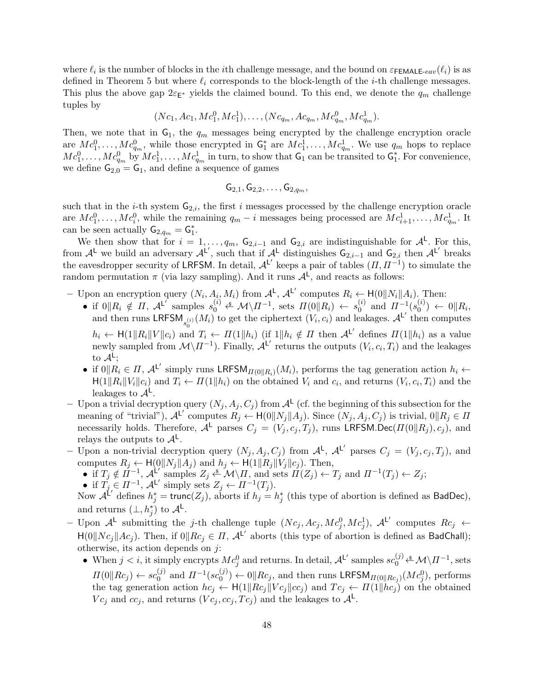where  $\ell_i$  is the number of blocks in the *i*th challenge message, and the bound on  $\varepsilon_{\textsf{FEMALE-}eav}(\ell_i)$  is as defined in Theorem 5 but where  $\ell_i$  corresponds to the block-length of the *i*-th challenge messages. This plus the above gap  $2\varepsilon_{\mathsf{E}^*}$  yields the claimed bound. To this end, we denote the  $q_m$  challenge tuples by

$$
(Nc_1, Ac_1, Mc_1^0, Mc_1^1), \ldots, (Nc_{q_m}, Ac_{q_m}, Mc_{q_m}^0, Mc_{q_m}^1).
$$

Then, we note that in  $G_1$ , the  $q_m$  messages being encrypted by the challenge encryption oracle are  $Mc_1^0, \ldots, Mc_{q_m}^0$ , while those encrypted in  $G_1^*$  are  $Mc_1^1, \ldots, Mc_{q_m}^1$ . We use  $q_m$  hops to replace  $Mc_1^0, \ldots, Mc_{q_m}^0$  by  $Mc_1^1, \ldots, Mc_{q_m}^1$  in turn, to show that  $G_1$  can be transited to  $G_1^*$ . For convenience, we define  $G_{2,0} = G_1$ , and define a sequence of games

$$
{\sf G}_{2,1}, {\sf G}_{2,2},\ldots, {\sf G}_{2,q_m},
$$

such that in the *i*-th system  $G_{2,i}$ , the first *i* messages processed by the challenge encryption oracle are  $Mc_1^0, \ldots, Mc_i^0$ , while the remaining  $q_m - i$  messages being processed are  $Mc_{i+1}^1, \ldots, Mc_{q_m}^1$ . It can be seen actually  $G_{2,q_m} = G_1^*$ .

We then show that for  $i = 1, \ldots, q_m$ ,  $G_{2,i-1}$  and  $G_{2,i}$  are indistinguishable for  $\mathcal{A}^{\mathsf{L}}$ . For this, from  $\mathcal{A}^{\mathsf{L}}$  we build an adversary  $\mathcal{A}^{\mathsf{L}'}$ , such that if  $\mathcal{A}^{\mathsf{L}}$  distinguishes  $\mathsf{G}_{2,i-1}$  and  $\mathsf{G}_{2,i}$  then  $\mathcal{A}^{\mathsf{L}'}$  breaks the eavesdropper security of LRFSM. In detail,  $\mathcal{A}^{\mathsf{L}'}$  keeps a pair of tables  $(\Pi, \Pi^{-1})$  to simulate the random permutation  $\pi$  (via lazy sampling). And it runs  $\mathcal{A}^{\mathsf{L}}$ , and reacts as follows:

- Upon an encryption query  $(N_i, A_i, M_i)$  from  $\mathcal{A}^{\mathsf{L}}, \mathcal{A}^{\mathsf{L}'}$  computes  $R_i \leftarrow \mathsf{H}(0||N_i||A_i)$ . Then:
	- if  $0\|R_i \notin \Pi$ ,  $\mathcal{A}^{\mathsf{L}'}$  samples  $s_0^{(i)} \stackrel{\$}{\leftarrow} \mathcal{M}\setminus \Pi^{-1}$ , sets  $\Pi(0\|R_i) \leftarrow s_0^{(i)}$  $_{0}^{(i)}$  and  $\Pi^{-1}(s_{0}^{(i)})$  $\binom{v}{0} \leftarrow 0 || R_i,$ and then runs LRFSM<sub>s<sub>0</sub><sup>(i)</sup></sub> ( $M_i$ ) to get the ciphertext  $(V_i, c_i)$  and leakages.  $\mathcal{A}^{\mathsf{L}'}$  then computes  $h_i \leftarrow \mathsf{H}(1||R_i||V||c_i)$  and  $T_i \leftarrow \Pi(1||h_i)$  (if  $1||h_i \notin \Pi$  then  $\mathcal{A}^{\mathsf{L}'}$  defines  $\Pi(1||h_i)$  as a value newly sampled from  $\mathcal{M}\setminus \Pi^{-1}$ ). Finally,  $\mathcal{A}^{\mathsf{L}'}$  returns the outputs  $(V_i, c_i, T_i)$  and the leakages to  $\mathcal{A}^{\mathsf{L}};$
	- if  $0\|R_i \in \Pi$ ,  $\mathcal{A}^{\mathsf{L'}}$  simply runs LRFSM $_{\Pi(0\|R_i)}(M_i)$ , performs the tag generation action  $h_i \leftarrow$  $H(1||R_i||V_i||c_i)$  and  $T_i \leftarrow \Pi(1||h_i)$  on the obtained  $V_i$  and  $c_i$ , and returns  $(V_i, c_i, T_i)$  and the leakages to  $\mathcal{A}^{\mathsf{L}}$ .
- Upon a trivial decryption query  $(N_j, A_j, C_j)$  from  $\mathcal{A}^{\mathsf{L}}$  (cf. the beginning of this subsection for the meaning of "trivial"),  $\mathcal{A}^{L'}$  computes  $R_j \leftarrow H(0||N_j||A_j)$ . Since  $(N_j, A_j, C_j)$  is trivial,  $0||R_j \in \Pi$ necessarily holds. Therefore,  $\mathcal{A}^{\mathsf{L}}$  parses  $C_j = (V_j, c_j, T_j)$ , runs LRFSM.Dec $(\Pi(0||R_j), c_j)$ , and relays the outputs to  $\mathcal{A}^{\mathsf{L}}$ .
- Upon a non-trivial decryption query  $(N_j, A_j, C_j)$  from  $\mathcal{A}^{\mathsf{L}}, \mathcal{A}^{\mathsf{L}'}$  parses  $C_j = (V_j, c_j, T_j)$ , and computes  $R_j \leftarrow \mathsf{H}(\mathbf{0}||N_j||A_j)$  and  $h_j \leftarrow \mathsf{H}(\mathbf{1}||R_j||V_j||c_j)$ . Then,
	- if  $T_j \notin \Pi^{-1}$ ,  $\mathcal{A}^{\mathsf{L'}}$  samples  $Z_j \stackrel{\hspace{0.1em}\mathsf{\scriptscriptstyle\$}}{\leftarrow} \mathcal{M}\backslash \Pi$ , and sets  $\Pi(Z_j) \leftarrow T_j$  and  $\Pi^{-1}(T_j) \leftarrow Z_j$ ;
	- if  $T_j \in \Pi^{-1}$ ,  $\mathcal{A}^{\mathsf{L}'}$  simply sets  $Z_j \leftarrow \Pi^{-1}(T_j)$ .

Now  $\mathcal{A}^{\mathcal{L}'}$  defines  $h_j^* = \text{trunc}(Z_j)$ , aborts if  $h_j = h_j^*$  (this type of abortion is defined as BadDec), and returns  $(\perp, h_j^*)$  to  $\mathcal{A}^{\mathsf{L}}$ .

- Upon  $\mathcal{A}^{\mathsf{L}}$  submitting the *j*-th challenge tuple  $(Nc_j, Ac_j, Mc_j^0, Mc_j^1), \mathcal{A}^{\mathsf{L}'}$  computes  $Rc_j \leftarrow$  $H(0||Nc_j||Ac_j)$ . Then, if  $0||Rc_j \in \Pi$ ,  $\mathcal{A}^{L'}$  aborts (this type of abortion is defined as BadChall); otherwise, its action depends on  $j$ :
	- When  $j < i$ , it simply encrypts  $Mc_j^0$  and returns. In detail,  ${\cal A}^{\mathsf{L}'}$  samples  $sc_0^{(j)} \xleftarrow{\text{A}} \mathsf{M} \setminus \Pi^{-1}$ , sets  $\Pi(0 \| Rc_j) \leftarrow sc_0^{(j)}$  $_{0}^{(j)}$  and  $\Pi^{-1}(sc_{0}^{(j)}$  $\mathcal{O}(0^{(j)}) \leftarrow 0 \|\mathit{Rc}_j$ , and then runs LRFSM<sub> $\Pi(0\|\mathit{Rc}_j)(\mathit{Mc}_j^0)$ , performs</sub> the tag generation action  $hc_j \leftarrow H(1||Rc_j||Vc_j||cc_j)$  and  $Tc_j \leftarrow H(1||hc_j)$  on the obtained  $Vc_j$  and  $cc_j$ , and returns  $(Vc_j, cc_j, Tc_j)$  and the leakages to  $\mathcal{A}^{\mathsf{L}}$ .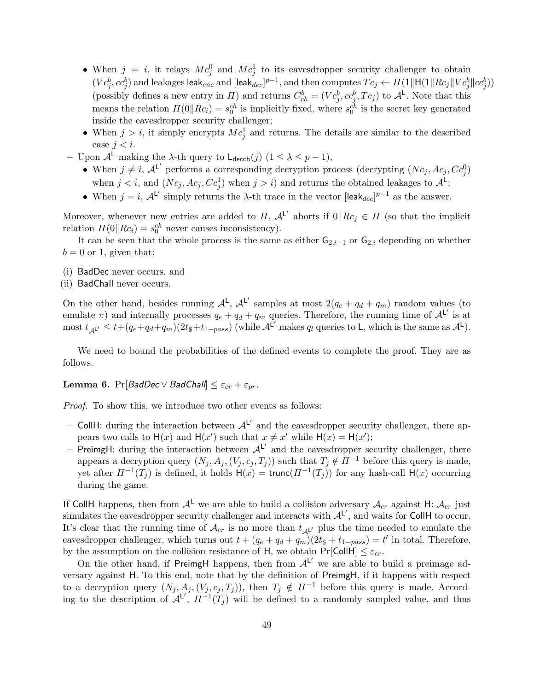- When  $j = i$ , it relays  $Mc_j^0$  and  $Mc_j^1$  to its eavesdropper security challenger to obtain  $(Vc_j^b,cc_j^b)$  and leakages leak $_{enc}$  and [leak $_{dec}]^{p-1},$  and then computes  $Tc_j \leftarrow H(1\|H(1\|Rc_j\|Vc_j^b\|cc_j^b))$ (possibly defines a new entry in  $\Pi$ ) and returns  $C_{ch}^b = (Vc_j^b, cc_j^b, Tc_j)$  to  $\mathcal{A}^{\mathsf{L}}$ . Note that this means the relation  $\Pi(0||Rc_i) = s_0^{ch}$  is implicitly fixed, where  $s_0^{ch}$  is the secret key generated inside the eavesdropper security challenger;
- When  $j > i$ , it simply encrypts  $Mc_j^1$  and returns. The details are similar to the described case  $j < i$ .
- Upon  $\mathcal{A}^{\mathsf{L}}$  making the λ-th query to  $\mathsf{L}_{\mathsf{decch}}(j)$  (1 ≤ λ ≤ p − 1),
	- When  $j \neq i$ ,  $\mathcal{A}^{\mathsf{L}'}$  performs a corresponding decryption process (decrypting  $(Nc_j, Ac_j, Cc_j^0)$ when  $j < i$ , and  $(Nc_j, Ac_j, Cc_j^1)$  when  $j > i$ ) and returns the obtained leakages to  $\mathcal{A}^L$ ;
	- When  $j = i$ ,  $\mathcal{A}^{L'}$  simply returns the  $\lambda$ -th trace in the vector [leak<sub>dec</sub>]<sup>p-1</sup> as the answer.

Moreover, whenever new entries are added to  $\Pi$ ,  $\mathcal{A}^{\mathsf{L}'}$  aborts if  $0\|Rc_j\in\Pi$  (so that the implicit relation  $\Pi(0||Rc_i) = s_0^{ch}$  never causes inconsistency).

It can be seen that the whole process is the same as either  $G_{2,i-1}$  or  $G_{2,i}$  depending on whether  $b = 0$  or 1, given that:

- (i) BadDec never occurs, and
- (ii) BadChall never occurs.

On the other hand, besides running  $A^L$ ,  $A^{L'}$  samples at most  $2(q_e + q_d + q_m)$  random values (to emulate  $\pi$ ) and internally processes  $q_e + q_d + q_m$  queries. Therefore, the running time of  $\mathcal{A}^{L'}$  is at most  $t_{\mathcal{A}^{L'}} \leq t + (q_e + q_d + q_m)(2t_{\mathcal{S}} + t_{1-pass})$  (while  $\mathcal{A}^{L'}$  makes  $q_l$  queries to L, which is the same as  $\mathcal{A}^{L}$ ).

We need to bound the probabilities of the defined events to complete the proof. They are as follows.

**Lemma 6.** Pr[BadDec  $\vee$  BadChall]  $\leq \varepsilon_{cr} + \varepsilon_{pr}$ .

Proof. To show this, we introduce two other events as follows:

- CollH: during the interaction between  $A^{L'}$  and the eavesdropper security challenger, there appears two calls to  $H(x)$  and  $H(x')$  such that  $x \neq x'$  while  $H(x) = H(x')$ ;
- PreimgH: during the interaction between  $A^{L'}$  and the eavesdropper security challenger, there appears a decryption query  $(N_j, A_j, (V_j, c_j, T_j))$  such that  $T_j \notin \Pi^{-1}$  before this query is made, yet after  $\Pi^{-1}(T_j)$  is defined, it holds  $H(x) = \text{trunc}(\Pi^{-1}(T_j))$  for any hash-call  $H(x)$  occurring during the game.

If CollH happens, then from  $A^L$  we are able to build a collision adversary  $A_{cr}$  against H:  $A_{cr}$  just simulates the eavesdropper security challenger and interacts with  $A^L'$ , and waits for CollH to occur. It's clear that the running time of  $\mathcal{A}_{cr}$  is no more than  $t_{\mathcal{A}L'}$  plus the time needed to emulate the eavesdropper challenger, which turns out  $t + (q_e + q_d + q_m)(2t_{\frac{1}{3}} + t_{1-pass}) = t'$  in total. Therefore, by the assumption on the collision resistance of H, we obtain  $Pr[CollH] \leq \varepsilon_{cr}$ .

On the other hand, if PreimgH happens, then from  $A^{L'}$  we are able to build a preimage adversary against H. To this end, note that by the definition of PreimgH, if it happens with respect to a decryption query  $(N_j, A_j, (V_j, c_j, T_j))$ , then  $T_j \notin \Pi^{-1}$  before this query is made. According to the description of  $\mathcal{A}^{L'}$ ,  $\Pi^{-1}(T_j)$  will be defined to a randomly sampled value, and thus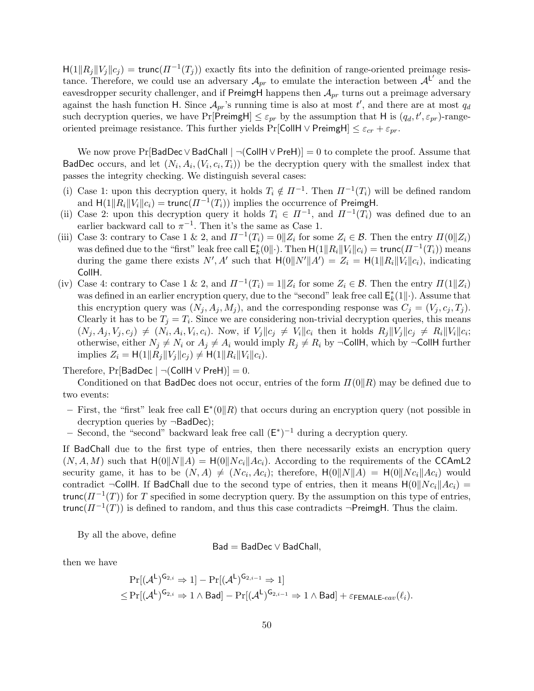$H(1||R_j||V_j||c_j) = \text{trunc}(\Pi^{-1}(T_j))$  exactly fits into the definition of range-oriented preimage resistance. Therefore, we could use an adversary  $\mathcal{A}_{pr}$  to emulate the interaction between  $\mathcal{A}^{L'}$  and the eavesdropper security challenger, and if PreimgH happens then  $A_{pr}$  turns out a preimage adversary against the hash function H. Since  $\mathcal{A}_{pr}$ 's running time is also at most  $t'$ , and there are at most  $q_d$ such decryption queries, we have  $Pr[PreimgH] \leq \varepsilon_{pr}$  by the assumption that H is  $(q_d, t', \varepsilon_{pr})$ -rangeoriented preimage resistance. This further yields Pr[CollH ∨ PreimgH]  $\leq \varepsilon_{cr} + \varepsilon_{pr}$ .

We now prove Pr[BadDec∨BadChall |  $\neg$ (CollH ∨ PreH)] = 0 to complete the proof. Assume that BadDec occurs, and let  $(N_i, A_i, (V_i, c_i, T_i))$  be the decryption query with the smallest index that passes the integrity checking. We distinguish several cases:

- (i) Case 1: upon this decryption query, it holds  $T_i \notin \Pi^{-1}$ . Then  $\Pi^{-1}(T_i)$  will be defined random and  $H(1||R_i||V_i||c_i) = \text{trunc}(\Pi^{-1}(T_i))$  implies the occurrence of PreimgH.
- (ii) Case 2: upon this decryption query it holds  $T_i \in \Pi^{-1}$ , and  $\Pi^{-1}(T_i)$  was defined due to an earlier backward call to  $\pi^{-1}$ . Then it's the same as Case 1.
- (iii) Case 3: contrary to Case 1 & 2, and  $\Pi^{-1}(T_i) = 0 \mid Z_i$  for some  $Z_i \in \mathcal{B}$ . Then the entry  $\Pi(0 \mid Z_i)$ was defined due to the "first" leak free call  $\mathsf{E}_k^*(0\|\cdot)$ . Then  $\mathsf{H}(1\|R_i\|V_i\|c_i) = \mathsf{trunc}(\Pi^{-1}(T_i))$  means during the game there exists  $N', A'$  such that  $H(0||N'||A') = Z_i = H(1||R_i||V_i||c_i)$ , indicating CollH.
- (iv) Case 4: contrary to Case 1 & 2, and  $\Pi^{-1}(T_i) = 1 || Z_i$  for some  $Z_i \in \mathcal{B}$ . Then the entry  $\Pi(1 || Z_i)$ was defined in an earlier encryption query, due to the "second" leak free call  $\mathsf{E}_k^*(1||\cdot)$ . Assume that this encryption query was  $(N_j, A_j, M_j)$ , and the corresponding response was  $C_j = (V_j, c_j, T_j)$ . Clearly it has to be  $T_j = T_i$ . Since we are considering non-trivial decryption queries, this means  $(N_j, A_j, V_j, c_j) \neq (N_i, A_i, V_i, c_i)$ . Now, if  $V_j||c_j \neq V_i||c_i$  then it holds  $R_j||V_j||c_j \neq R_i||V_i||c_i$ ; otherwise, either  $N_j \neq N_i$  or  $A_j \neq A_i$  would imply  $R_j \neq R_i$  by  $\neg$ CollH, which by  $\neg$ CollH further implies  $Z_i = H(1||R_i||V_j||c_i) \neq H(1||R_i||V_i||c_i)$ .

Therefore, Pr[BadDec |  $\neg$ (CollH  $\vee$  PreH)] = 0.

Conditioned on that BadDec does not occur, entries of the form  $\Pi(0||R)$  may be defined due to two events:

- First, the "first" leak free call  $E^*(0||R)$  that occurs during an encryption query (not possible in decryption queries by ¬BadDec);
- Second, the "second" backward leak free call  $(E^*)^{-1}$  during a decryption query.

If BadChall due to the first type of entries, then there necessarily exists an encryption query  $(N, A, M)$  such that  $H(0||N||A) = H(0||Nc_i||Ac_i)$ . According to the requirements of the CCAmL2 security game, it has to be  $(N, A) \neq (N c_i, Ac_i)$ ; therefore,  $\mathsf{H}(0||N||A) = \mathsf{H}(0||N c_i||Ac_i)$  would contradict  $\neg$ CollH. If BadChall due to the second type of entries, then it means  $H(0||Nc_i||Ac_i)$  = trunc( $\Pi^{-1}(T)$ ) for T specified in some decryption query. By the assumption on this type of entries, trunc $(\Pi^{-1}(T))$  is defined to random, and thus this case contradicts ¬PreimgH. Thus the claim.

By all the above, define

$$
Bad = BadDec \vee BadChall,
$$

then we have

$$
\Pr[(\mathcal{A}^{\mathsf{L}})^{\mathsf{G}_{2,i}} \Rightarrow 1] - \Pr[(\mathcal{A}^{\mathsf{L}})^{\mathsf{G}_{2,i-1}} \Rightarrow 1]
$$
  

$$
\leq \Pr[(\mathcal{A}^{\mathsf{L}})^{\mathsf{G}_{2,i}} \Rightarrow 1 \wedge \text{Bad}] - \Pr[(\mathcal{A}^{\mathsf{L}})^{\mathsf{G}_{2,i-1}} \Rightarrow 1 \wedge \text{Bad}] + \varepsilon_{\mathsf{FEMALE}\text{-}eav}(\ell_{i}).
$$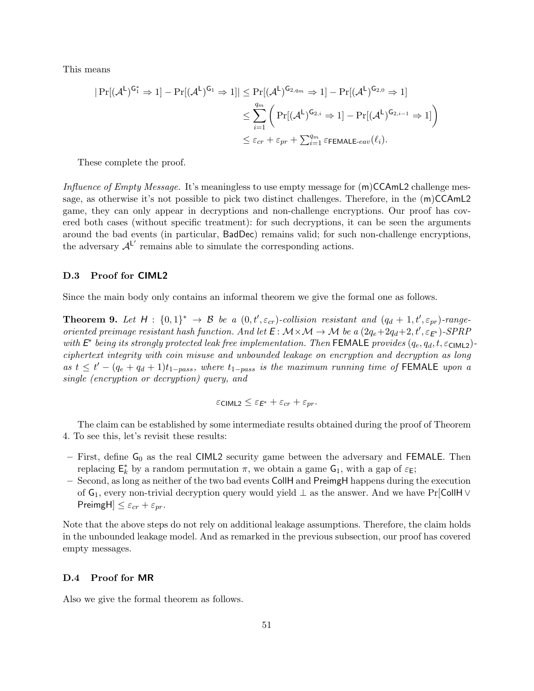This means

$$
|\Pr[(\mathcal{A}^{\mathsf{L}})^{\mathsf{G}_{1}^{*}} \Rightarrow 1] - \Pr[(\mathcal{A}^{\mathsf{L}})^{\mathsf{G}_{1}} \Rightarrow 1]| \leq \Pr[(\mathcal{A}^{\mathsf{L}})^{\mathsf{G}_{2,qm}} \Rightarrow 1] - \Pr[(\mathcal{A}^{\mathsf{L}})^{\mathsf{G}_{2,0}} \Rightarrow 1]
$$
  

$$
\leq \sum_{i=1}^{q_{m}} \left( \Pr[(\mathcal{A}^{\mathsf{L}})^{\mathsf{G}_{2,i}} \Rightarrow 1] - \Pr[(\mathcal{A}^{\mathsf{L}})^{\mathsf{G}_{2,i-1}} \Rightarrow 1] \right)
$$
  

$$
\leq \varepsilon_{cr} + \varepsilon_{pr} + \sum_{i=1}^{q_{m}} \varepsilon_{\mathsf{FEMALE-eav}}(\ell_{i}).
$$

These complete the proof.

Influence of Empty Message. It's meaningless to use empty message for  $(m)CCAmL2$  challenge message, as otherwise it's not possible to pick two distinct challenges. Therefore, in the (m)CCAmL2 game, they can only appear in decryptions and non-challenge encryptions. Our proof has covered both cases (without specific treatment): for such decryptions, it can be seen the arguments around the bad events (in particular, BadDec) remains valid; for such non-challenge encryptions, the adversary  $A^L'$  remains able to simulate the corresponding actions.

## D.3 Proof for CIML2

Since the main body only contains an informal theorem we give the formal one as follows.

**Theorem 9.** Let  $H: \{0,1\}^* \to \mathcal{B}$  be a  $(0,t',\varepsilon_{cr})$ -collision resistant and  $(q_d+1,t',\varepsilon_{pr})$ -rangeoriented preimage resistant hash function. And let  $E: M \times M \to M$  be a  $(2q_e+2q_d+2, t', \varepsilon_{E^*})$ -SPRP with  $E^*$  being its strongly protected leak free implementation. Then FEMALE provides  $(q_e, q_d, t, \varepsilon_{\text{CIML2}})$ ciphertext integrity with coin misuse and unbounded leakage on encryption and decryption as long as  $t \leq t' - (q_e + q_d + 1)t_{1-pass}$ , where  $t_{1-pass}$  is the maximum running time of FEMALE upon a single (encryption or decryption) query, and

$$
\varepsilon_{\text{CIML2}} \leq \varepsilon_{E^*} + \varepsilon_{cr} + \varepsilon_{pr}.
$$

The claim can be established by some intermediate results obtained during the proof of Theorem 4. To see this, let's revisit these results:

- First, define  $G_0$  as the real CIML2 security game between the adversary and FEMALE. Then replacing  $\mathsf{E}_k^*$  by a random permutation  $\pi$ , we obtain a game  $\mathsf{G}_1$ , with a gap of  $\varepsilon_{\mathsf{E}}$ ;
- Second, as long as neither of the two bad events CollH and PreimgH happens during the execution of  $G_1$ , every non-trivial decryption query would yield  $\perp$  as the answer. And we have Pr[CollH  $\vee$ PreimgH $\leq \varepsilon_{cr} + \varepsilon_{pr}$ .

Note that the above steps do not rely on additional leakage assumptions. Therefore, the claim holds in the unbounded leakage model. And as remarked in the previous subsection, our proof has covered empty messages.

#### D.4 Proof for MR

Also we give the formal theorem as follows.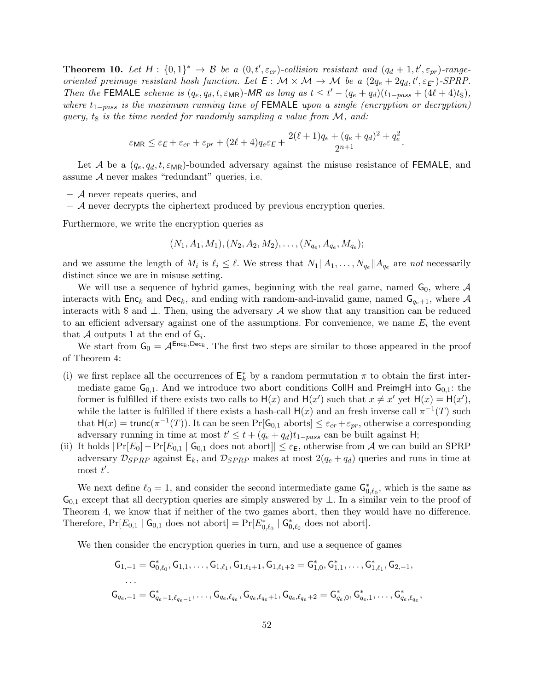**Theorem 10.** Let  $H: \{0,1\}^* \to \mathcal{B}$  be a  $(0,t',\varepsilon_{cr})$ -collision resistant and  $(q_d+1,t',\varepsilon_{pr})$ -rangeoriented preimage resistant hash function. Let  $E: \mathcal{M} \times \mathcal{M} \to \mathcal{M}$  be a  $(2q_e + 2q_d, t', \varepsilon_{E^*})$ -SPRP. Then the FEMALE scheme is  $(q_e, q_d, t, \varepsilon_{MR})$ -MR as long as  $t \leq t' - (q_e + q_d)(t_{1-pass} + (4\ell + 4)t_{\text{F}})$ , where  $t_{1-pass}$  is the maximum running time of FEMALE upon a single (encryption or decryption) query,  $t_{\$}$  is the time needed for randomly sampling a value from M, and:

$$
\varepsilon_{\mathsf{MR}} \leq \varepsilon_{\mathsf{E}} + \varepsilon_{cr} + \varepsilon_{pr} + (2\ell + 4)q_e\varepsilon_{\mathsf{E}} + \frac{2(\ell + 1)q_e + (q_e + q_d)^2 + q_e^2}{2^{n+1}}.
$$

Let A be a  $(q_e, q_d, t, \varepsilon_{MR})$ -bounded adversary against the misuse resistance of FEMALE, and assume  $A$  never makes "redundant" queries, i.e.

- A never repeats queries, and
- $-$  A never decrypts the ciphertext produced by previous encryption queries.

Furthermore, we write the encryption queries as

$$
(N_1, A_1, M_1), (N_2, A_2, M_2), \ldots, (N_{q_e}, A_{q_e}, M_{q_e});
$$

and we assume the length of  $M_i$  is  $\ell_i \leq \ell$ . We stress that  $N_1 || A_1, \ldots, N_{q_e} || A_{q_e}$  are not necessarily distinct since we are in misuse setting.

We will use a sequence of hybrid games, beginning with the real game, named  $G_0$ , where  $\mathcal A$ interacts with  $Enc_k$  and  $Dec_k$ , and ending with random-and-invalid game, named  $G_{q_e+1}$ , where A interacts with \$ and  $\perp$ . Then, using the adversary  $\mathcal A$  we show that any transition can be reduced to an efficient adversary against one of the assumptions. For convenience, we name  $E_i$  the event that A outputs 1 at the end of  $G_i$ .

We start from  $G_0 = A^{\text{Enc}_k, \text{Dec}_k}$ . The first two steps are similar to those appeared in the proof of Theorem 4:

- (i) we first replace all the occurrences of  $\mathsf{E}_k^*$  by a random permutation  $\pi$  to obtain the first intermediate game  $G_{0,1}$ . And we introduce two abort conditions CollH and PreimgH into  $G_{0,1}$ : the former is fulfilled if there exists two calls to  $H(x)$  and  $H(x')$  such that  $x \neq x'$  yet  $H(x) = H(x')$ , while the latter is fulfilled if there exists a hash-call  $H(x)$  and an fresh inverse call  $\pi^{-1}(T)$  such that  $H(x) = \text{trunc}(\pi^{-1}(T))$ . It can be seen  $Pr[\mathsf{G}_{0,1}]$  aborts  $\leq \varepsilon_{cr} + \varepsilon_{pr}$ , otherwise a corresponding adversary running in time at most  $t' \leq t + (q_e + q_d)t_{1-pass}$  can be built against H;
- (ii) It holds  $|\Pr[E_0]-\Pr[E_{0,1} | G_{0,1}]$  does not abort $|\leq \varepsilon_E$ , otherwise from A we can build an SPRP adversary  $\mathcal{D}_{SPRP}$  against  $E_k$ , and  $\mathcal{D}_{SPRP}$  makes at most  $2(q_e + q_d)$  queries and runs in time at most  $t'$ .

We next define  $\ell_0 = 1$ , and consider the second intermediate game  $\mathsf{G}_{0,\ell_0}^*$ , which is the same as  $\mathsf{G}_{0,1}$  except that all decryption queries are simply answered by  $\perp$ . In a similar vein to the proof of Theorem 4, we know that if neither of the two games abort, then they would have no difference. Therefore,  $Pr[E_{0,1} | G_{0,1}$  does not abort] =  $Pr[E_{0,\ell_0}^* | G_{0,\ell_0}^*]$  does not abort].

We then consider the encryption queries in turn, and use a sequence of games

$$
\begin{aligned} \mathsf{G}_{1,-1} &= \mathsf{G}_{0,\ell_0}^*, \mathsf{G}_{1,1}, \ldots, \mathsf{G}_{1,\ell_1}, \mathsf{G}_{1,\ell_1+1}, \mathsf{G}_{1,\ell_1+2} = \mathsf{G}_{1,0}^*, \mathsf{G}_{1,1}^*, \ldots, \mathsf{G}_{1,\ell_1}^*, \mathsf{G}_{2,-1}, \\ & \ldots \\ \mathsf{G}_{q_e,-1} &= \mathsf{G}_{q_e-1,\ell_{q_e-1}}^*, \ldots, \mathsf{G}_{q_e,\ell_{q_e}}, \mathsf{G}_{q_e,\ell_{q_e}+1}, \mathsf{G}_{q_e,\ell_{q_e}+2} = \mathsf{G}_{q_e,0}^*, \mathsf{G}_{q_e,1}^*, \ldots, \mathsf{G}_{q_e,\ell_{q_e}}^* \end{aligned}
$$

,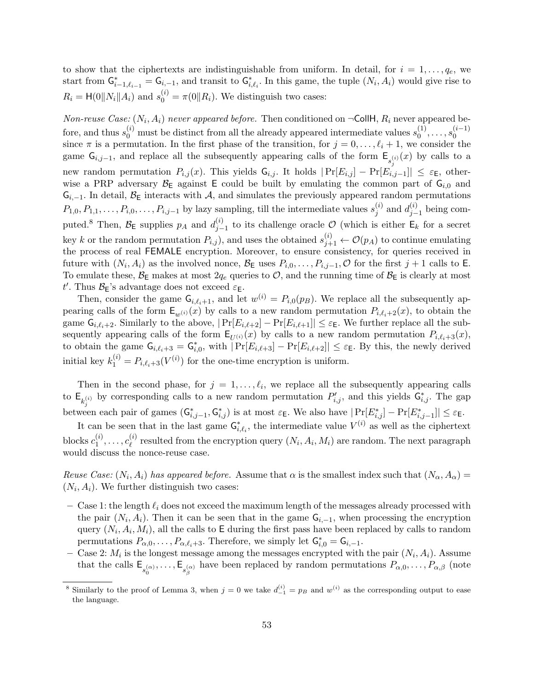to show that the ciphertexts are indistinguishable from uniform. In detail, for  $i = 1, \ldots, q_e$ , we start from  $G_{i-1,\ell_{i-1}}^* = G_{i,-1}$ , and transit to  $G_{i,\ell_i}^*$ . In this game, the tuple  $(N_i, A_i)$  would give rise to  $R_i = \mathsf{H}(0||N_i||A_i)$  and  $s_0^{(i)} = \pi(0||R_i)$ . We distinguish two cases:

Non-reuse Case:  $(N_i, A_i)$  never appeared before. Then conditioned on  $\neg$ CollH,  $R_i$  never appeared before, and thus  $s_0^{(i)}$  must be distinct from all the already appeared intermediate values  $s_0^{(1)}$  $s_0^{(1)}, \ldots, s_0^{(i-1)}$  $\boldsymbol{0}$ since  $\pi$  is a permutation. In the first phase of the transition, for  $j = 0, \ldots, \ell_i + 1$ , we consider the game  $\mathsf{G}_{i,j-1}$ , and replace all the subsequently appearing calls of the form  $\mathsf{E}_{s_j^{(i)}}(x)$  by calls to a new random permutation  $P_{i,j}(x)$ . This yields  $G_{i,j}$ . It holds  $|\Pr[E_{i,j}] - \Pr[E_{i,j-1}]| \leq \varepsilon_E$ , otherwise a PRP adversary  $\mathcal{B}_E$  against E could be built by emulating the common part of  $G_{i,0}$  and  $G_{i,-1}$ . In detail,  $\mathcal{B}_{E}$  interacts with A, and simulates the previously appeared random permutations  $P_{1,0}, P_{1,1}, \ldots, P_{i,0}, \ldots, P_{i,j-1}$  by lazy sampling, till the intermediate values  $s_j^{(i)}$  $j^{(i)}$  and  $d_{j-}^{(i)}$  $j-1$  being computed.<sup>8</sup> Then,  $\mathcal{B}_{\mathsf{E}}$  supplies  $p_A$  and  $d_{j-}^{(i)}$  $j_{j-1}^{(i)}$  to its challenge oracle  $\mathcal{O}$  (which is either  $\mathsf{E}_k$  for a secret key k or the random permutation  $P_{i,j}$ , and uses the obtained  $s_{j+1}^{(i)} \leftarrow \mathcal{O}(p_A)$  to continue emulating the process of real FEMALE encryption. Moreover, to ensure consistency, for queries received in future with  $(N_i, A_i)$  as the involved nonce,  $\mathcal{B}_{\mathsf{E}}$  uses  $P_{i,0}, \ldots, P_{i,j-1}, \mathcal{O}$  for the first  $j+1$  calls to  $\mathsf{E}$ . To emulate these,  $\mathcal{B}_E$  makes at most  $2q_e$  queries to  $\mathcal{O}$ , and the running time of  $\mathcal{B}_E$  is clearly at most t'. Thus  $\mathcal{B}_{\mathsf{E}}$ 's advantage does not exceed  $\varepsilon_{\mathsf{E}}$ .

Then, consider the game  $G_{i,\ell_i+1}$ , and let  $w^{(i)} = P_{i,0}(p_B)$ . We replace all the subsequently appearing calls of the form  $E_{w^{(i)}}(x)$  by calls to a new random permutation  $P_{i,\ell_i+2}(x)$ , to obtain the game  $G_{i,\ell_i+2}$ . Similarly to the above,  $|\Pr[E_{i,\ell+2}] - \Pr[E_{i,\ell+1}]| \leq \varepsilon_E$ . We further replace all the subsequently appearing calls of the form  $\mathsf{E}_{U^{(i)}}(x)$  by calls to a new random permutation  $P_{i,\ell_i+3}(x)$ , to obtain the game  $G_{i,\ell_i+3} = G_{i,0}^*$ , with  $|\Pr[E_{i,\ell+3}] - \Pr[E_{i,\ell+2}]| \leq \varepsilon_E$ . By this, the newly derived initial key  $k_1^{(i)} = P_{i,\ell_i+3}(V^{(i)})$  for the one-time encryption is uniform.

Then in the second phase, for  $j = 1, \ldots, \ell_i$ , we replace all the subsequently appearing calls to  $\mathsf{E}_{k_i^{(i)}}$  by corresponding calls to a new random permutation  $P'_{i,j}$ , and this yields  $\mathsf{G}_{i,j}^*$ . The gap between each pair of games  $(G^*_{i,j-1}, G^*_{i,j})$  is at most  $\varepsilon_{\mathsf{E}}$ . We also have  $|\Pr[E^*_{i,j}] - \Pr[E^*_{i,j-1}]| \leq \varepsilon_{\mathsf{E}}$ .

It can be seen that in the last game  $G_{i,\ell_i}^*$ , the intermediate value  $V^{(i)}$  as well as the ciphertext blocks  $c_1^{(i)}$  $c^{(i)}_1,\ldots,c^{(i)}_\ell$  $\ell^{(i)}$  resulted from the encryption query  $(N_i, A_i, M_i)$  are random. The next paragraph would discuss the nonce-reuse case.

Reuse Case:  $(N_i, A_i)$  has appeared before. Assume that  $\alpha$  is the smallest index such that  $(N_\alpha, A_\alpha)$  $(N_i, A_i)$ . We further distinguish two cases:

- Case 1: the length  $\ell_i$  does not exceed the maximum length of the messages already processed with the pair  $(N_i, A_i)$ . Then it can be seen that in the game  $G_{i,-1}$ , when processing the encryption query  $(N_i, A_i, M_i)$ , all the calls to E during the first pass have been replaced by calls to random permutations  $P_{\alpha,0}, \ldots, P_{\alpha,\ell_i+3}$ . Therefore, we simply let  $G_{i,0}^* = G_{i,-1}$ .
- Case 2:  $M_i$  is the longest message among the messages encrypted with the pair  $(N_i, A_i)$ . Assume that the calls  $\mathsf{E}_{s_0^{(\alpha)}}, \ldots, \mathsf{E}_{s_\beta^{(\alpha)}}$  have been replaced by random permutations  $P_{\alpha,0}, \ldots, P_{\alpha,\beta}$  (note

<sup>&</sup>lt;sup>8</sup> Similarly to the proof of Lemma 3, when  $j = 0$  we take  $d_{-1}^{(i)} = p_B$  and  $w^{(i)}$  as the corresponding output to ease the language.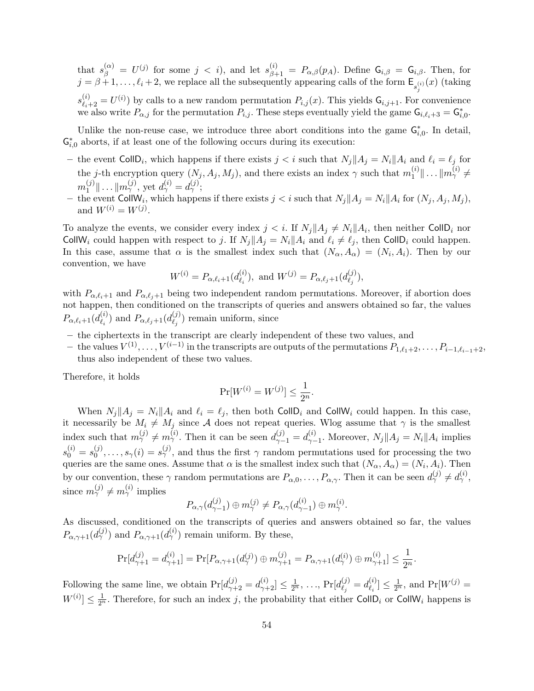that  $s_{\beta}^{(\alpha)} = U^{(j)}$  for some  $j \langle i \rangle$ , and let  $s_{\beta+1}^{(i)} = P_{\alpha,\beta}(p_A)$ . Define  $G_{i,\beta} = G_{i,\beta}$ . Then, for  $j = \beta + 1, \ldots, \ell_i + 2$ , we replace all the subsequently appearing calls of the form  $\mathsf{E}_{s_j^{(i)}}(x)$  (taking  $s_{\ell_i+2}^{(i)} = U^{(i)}$  by calls to a new random permutation  $P_{i,j}(x)$ . This yields  $G_{i,j+1}$ . For convenience we also write  $P_{\alpha,j}$  for the permutation  $P_{i,j}$ . These steps eventually yield the game  $G_{i,\ell_i+3} = G_{i,0}^*$ .

Unlike the non-reuse case, we introduce three abort conditions into the game  $\mathsf{G}_{i,0}^*$ . In detail,  $G_{i,0}^*$  aborts, if at least one of the following occurs during its execution:

- the event CollD<sub>i</sub>, which happens if there exists  $j < i$  such that  $N_j || A_j = N_i || A_i$  and  $\ell_i = \ell_j$  for the j-th encryption query  $(N_j, A_j, M_j)$ , and there exists an index  $\gamma$  such that  $m_1^{(i)}$  $\mathbb{E}^{(i)}_1 \| \ldots \| m_\gamma^{(i)} \neq 0$  $m_1^{(j)}$  $\|f_1^{(j)}\| \ldots \|m_\gamma^{(j)}$ , yet  $d_\gamma^{(i)} = d_\gamma^{(j)}$ ;
- the event CollW<sub>i</sub>, which happens if there exists  $j < i$  such that  $N_j || A_j = N_i || A_i$  for  $(N_j, A_j, M_j)$ , and  $W^{(i)} = W^{(j)}$ .

To analyze the events, we consider every index  $j < i$ . If  $N_j || A_j \neq N_i || A_i$ , then neither CollD<sub>i</sub> nor CollW<sub>i</sub> could happen with respect to j. If  $N_j||A_j = N_i||A_i$  and  $\ell_i \neq \ell_j$ , then CollD<sub>i</sub> could happen. In this case, assume that  $\alpha$  is the smallest index such that  $(N_{\alpha}, A_{\alpha}) = (N_i, A_i)$ . Then by our convention, we have

$$
W^{(i)} = P_{\alpha,\ell_i+1}(d_{\ell_i}^{(i)}), \text{ and } W^{(j)} = P_{\alpha,\ell_j+1}(d_{\ell_j}^{(j)}),
$$

with  $P_{\alpha,\ell_i+1}$  and  $P_{\alpha,\ell_j+1}$  being two independent random permutations. Moreover, if abortion does not happen, then conditioned on the transcripts of queries and answers obtained so far, the values  $P_{\alpha,\ell_i+1}(d^{(i)}_{\ell_i}$  $\binom{i}{\ell_i}$  and  $P_{\alpha,\ell_j+1}(d_{\ell_j}^{(j)})$  $\binom{y}{\ell_j}$  remain uniform, since

- the ciphertexts in the transcript are clearly independent of these two values, and
- $-$  the values  $V^{(1)}, \ldots, V^{(i-1)}$  in the transcripts are outputs of the permutations  $P_{1,\ell_1+2}, \ldots, P_{i-1,\ell_{i-1}+2}$ , thus also independent of these two values.

Therefore, it holds

$$
\Pr[W^{(i)} = W^{(j)}] \le \frac{1}{2^n}.
$$

When  $N_j||A_j = N_i||A_i$  and  $\ell_i = \ell_j$ , then both CollD<sub>i</sub> and CollW<sub>i</sub> could happen. In this case, it necessarily be  $M_i \neq M_j$  since A does not repeat queries. Wlog assume that  $\gamma$  is the smallest index such that  $m_{\gamma}^{(j)} \neq m_{\gamma}^{(i)}$ . Then it can be seen  $d_{\gamma-1}^{(j)} = d_{\gamma-1}^{(i)}$  $\chi_{\gamma-1}^{(i)}$ . Moreover,  $N_j||A_j = N_i||A_i$  implies  $s_0^{(i)} = s_0^{(j)}$  $S_0^{(j)},\ldots,S_\gamma(i)=s_\gamma^{(j)}$ , and thus the first  $\gamma$  random permutations used for processing the two queries are the same ones. Assume that  $\alpha$  is the smallest index such that  $(N_{\alpha}, A_{\alpha}) = (N_i, A_i)$ . Then by our convention, these  $\gamma$  random permutations are  $P_{\alpha,0},\ldots,P_{\alpha,\gamma}$ . Then it can be seen  $d_{\gamma}^{(j)} \neq d_{\gamma}^{(i)}$ , since  $m_{\gamma}^{(j)} \neq m_{\gamma}^{(i)}$  implies

$$
P_{\alpha,\gamma}(d_{\gamma-1}^{(j)})\oplus m_{\gamma}^{(j)} \neq P_{\alpha,\gamma}(d_{\gamma-1}^{(i)})\oplus m_{\gamma}^{(i)}.
$$

As discussed, conditioned on the transcripts of queries and answers obtained so far, the values  $P_{\alpha,\gamma+1}(d_{\gamma}^{(j)})$  and  $P_{\alpha,\gamma+1}(d_{\gamma}^{(i)})$  remain uniform. By these,

$$
\Pr[d_{\gamma+1}^{(j)}=d_{\gamma+1}^{(i)}]=\Pr[P_{\alpha,\gamma+1}(d_{\gamma}^{(j)})\oplus m_{\gamma+1}^{(j)}=P_{\alpha,\gamma+1}(d_{\gamma}^{(i)})\oplus m_{\gamma+1}^{(i)}]\leq\frac{1}{2^n}.
$$

Following the same line, we obtain  $Pr[d_{\gamma+2}^{(j)} = d_{\gamma+2}^{(i)}] \leq \frac{1}{2^n}, \ldots, Pr[d_{\ell_j}^{(j)}]$  $\genfrac{(}{)}{0pt}{}{\binom{j}{j}}{ \ell_i} = d_{\ell_i}^{(i)}$  $\binom{i}{\ell_i} \leq \frac{1}{2^n}$ , and  $\Pr[W^{(j)}]$  $W^{(i)} \leq \frac{1}{2^n}$ . Therefore, for such an index j, the probability that either CollD<sub>i</sub> or CollW<sub>i</sub> happens is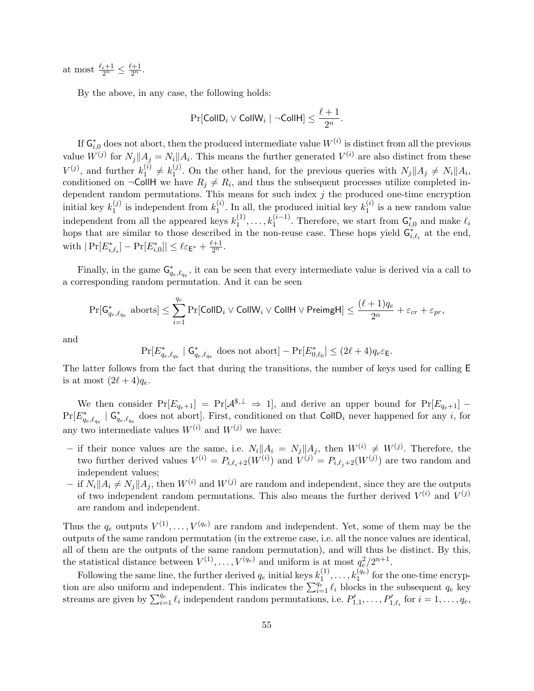at most  $\frac{\ell_i+1}{2^n} \leq \frac{\ell+1}{2^n}$ .

By the above, in any case, the following holds:

$$
\Pr[\mathsf{CollD}_i \vee \mathsf{CollW}_i \mid \neg \mathsf{CollH}] \leq \frac{\ell+1}{2^n}.
$$

If  $\mathsf{G}_{i,0}^*$  does not abort, then the produced intermediate value  $W^{(i)}$  is distinct from all the previous value  $W^{(j)}$  for  $N_j || A_j = N_i || A_i$ . This means the further generated  $V^{(i)}$  are also distinct from these  $V^{(j)}$ , and further  $k_1^{(i)}$  $k_1^{(i)} \neq k_1^{(j)}$ <sup>(j)</sup>. On the other hand, for the previous queries with  $N_j||A_j \neq N_i||A_i$ , conditioned on  $\neg$ CollH we have  $R_j \neq R_i$ , and thus the subsequent processes utilize completed independent random permutations. This means for such index  $j$  the produced one-time encryption initial key  $k_1^{(j)}$  $i_1^{(j)}$  is independent from  $k_1^{(i)}$  $1 \choose 1$ . In all, the produced initial key  $k_1^{(i)}$ .  $i^{(i)}_1$  is a new random value independent from all the appeared keys  $k_1^{(1)}$  $t_1^{(1)}, \ldots, t_1^{(i-1)}$ . Therefore, we start from  $\mathsf{G}^*_{i,0}$  and make  $\ell_i$ hops that are similar to those described in the non-reuse case. These hops yield  $G_{i,\ell_i}^*$  at the end, with  $|\Pr[E^*_{i,\ell_i}] - \Pr[E^*_{i,0}]| \leq \ell \varepsilon_{\mathsf{E}^*} + \frac{\ell+1}{2^n}.$ 

Finally, in the game  $\mathsf{G}^*_{q_e,\ell_{q_e}}$ , it can be seen that every intermediate value is derived via a call to a corresponding random permutation. And it can be seen

$$
\Pr[\mathsf{G}_{q_e,\ell_{q_e}}^*~\text{aborts}]\leq \sum_{i=1}^{q_e}\Pr[\mathsf{CollD}_i\vee \mathsf{CollW}_i\vee \mathsf{CollH}\vee \mathsf{Preimg}\mathsf{H}]\leq \frac{(\ell+1)q_e}{2^n}+\varepsilon_{cr}+\varepsilon_{pr},
$$

and

$$
\Pr[E^*_{q_e, \ell_{q_e}} \mid \mathsf{G}^*_{q_e, \ell_{q_e}} \text{ does not abort}] - \Pr[E^*_{0, \ell_0}] \leq (2\ell+4) q_e \varepsilon_{\mathsf{E}}.
$$

The latter follows from the fact that during the transitions, the number of keys used for calling E is at most  $(2\ell + 4)q_e$ .

We then consider  $Pr[E_{q_e+1}] = Pr[A^{s,\perp} \Rightarrow 1]$ , and derive an upper bound for  $Pr[E_{q_e+1}]$  –  $Pr[E^*_{q_e,\ell_{q_e}} \mid G^*_{q_e,\ell_{q_e}}]$  does not abort]. First, conditioned on that  $CollD_i$  never happened for any i, for any two intermediate values  $W^{(i)}$  and  $W^{(j)}$  we have:

- if their nonce values are the same, i.e.  $N_i||A_i = N_j||A_j$ , then  $W^{(i)} \neq W^{(j)}$ . Therefore, the two further derived values  $V^{(i)} = P_{i,\ell_i+2}(W^{(i)})$  and  $V^{(j)} = P_{i,\ell_j+2}(W^{(j)})$  are two random and independent values;
- if  $N_i||A_i \neq N_j||A_j$ , then  $W^{(i)}$  and  $W^{(j)}$  are random and independent, since they are the outputs of two independent random permutations. This also means the further derived  $V^{(i)}$  and  $V^{(j)}$ are random and independent.

Thus the  $q_e$  outputs  $V^{(1)}, \ldots, V^{(q_e)}$  are random and independent. Yet, some of them may be the outputs of the same random permutation (in the extreme case, i.e. all the nonce values are identical, all of them are the outputs of the same random permutation), and will thus be distinct. By this, the statistical distance between  $V^{(1)}, \ldots, V^{(q_e)}$  and uniform is at most  $q_e^2/2^{n+1}$ .

Following the same line, the further derived  $q_e$  initial keys  $k_1^{(1)}$  $t_1^{(1)}, \ldots, t_1^{(q_e)}$  for the one-time encryption are also uniform and independent. This indicates the  $\sum_{i=1}^{q_e} \ell_i$  blocks in the subsequent  $q_e$  key streams are given by  $\sum_{i=1}^{q_e} \ell_i$  independent random permutations, i.e.  $P'_{1,1}, \ldots, P'_{1,\ell_i}$  for  $i = 1, \ldots, q_e$ ,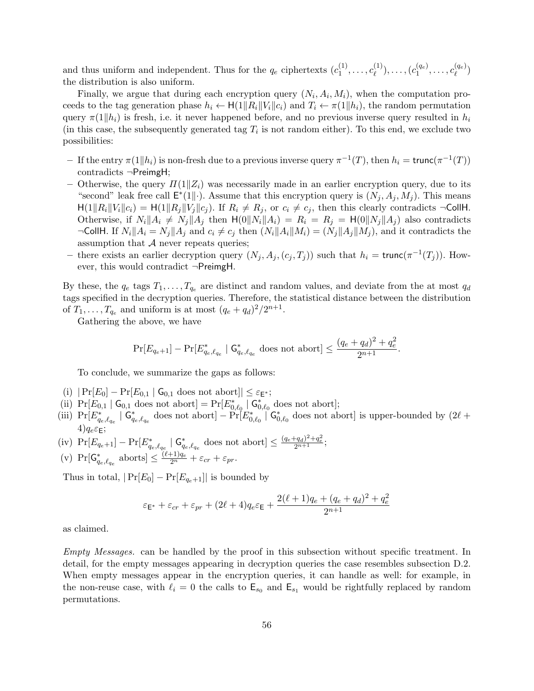and thus uniform and independent. Thus for the  $q_e$  ciphertexts  $(c_1^{(1)}$  $c_{\ell}^{(1)}, \ldots, c_{\ell}^{(1)}$  $\binom{1}{\ell}, \ldots, (c_1^{(q_e)}$  $\binom{(q_e)}{1},\ldots,c_\ell^{(q_e)}$  $\binom{(q_e)}{\ell}$ the distribution is also uniform.

Finally, we argue that during each encryption query  $(N_i, A_i, M_i)$ , when the computation proceeds to the tag generation phase  $h_i \leftarrow H(1||R_i||V_i||c_i)$  and  $T_i \leftarrow \pi(1||h_i)$ , the random permutation query  $\pi(1|h_i)$  is fresh, i.e. it never happened before, and no previous inverse query resulted in  $h_i$ (in this case, the subsequently generated tag  $T_i$  is not random either). To this end, we exclude two possibilities:

- $-$  If the entry  $\pi(1||h_i)$  is non-fresh due to a previous inverse query  $\pi^{-1}(T)$ , then  $h_i = \text{trunc}(\pi^{-1}(T))$ contradicts ¬PreimgH;
- Otherwise, the query  $\Pi(1||Z_i)$  was necessarily made in an earlier encryption query, due to its "second" leak free call  $\mathsf{E}^*(1||\cdot)$ . Assume that this encryption query is  $(N_j, A_j, M_j)$ . This means  $H(1||R_i||V_i||c_i) = H(1||R_j||V_j||c_j)$ . If  $R_i \neq R_j$ , or  $c_i \neq c_j$ , then this clearly contradicts  $\neg$ CollH. Otherwise, if  $N_i||A_i \neq N_j||A_j$  then  $H(0||N_i||A_i) = R_i = R_j = H(0||N_j||A_j)$  also contradicts  $\neg$ CollH. If  $N_i||A_i = N_j||A_j$  and  $c_i \neq c_j$  then  $(N_i||A_i||M_i) = (N_j||A_j||M_j)$ , and it contradicts the assumption that  $A$  never repeats queries;
- there exists an earlier decryption query  $(N_j, A_j, (c_j, T_j))$  such that  $h_i = \text{trunc}(\pi^{-1}(T_j))$ . However, this would contradict ¬PreimgH.

By these, the  $q_e$  tags  $T_1, \ldots, T_{q_e}$  are distinct and random values, and deviate from the at most  $q_d$ tags specified in the decryption queries. Therefore, the statistical distance between the distribution of  $T_1, \ldots, T_{q_e}$  and uniform is at most  $(q_e + q_d)^2/2^{n+1}$ .

Gathering the above, we have

$$
\Pr[E_{q_e+1}] - \Pr[E_{q_e,\ell_{q_e}}^* \mid \mathsf{G}_{q_e,\ell_{q_e}}^* \text{ does not abort}] \le \frac{(q_e+q_d)^2 + q_e^2}{2^{n+1}}.
$$

To conclude, we summarize the gaps as follows:

- (i)  $|\Pr[E_0] \Pr[E_{0,1} | \mathsf{G}_{0,1} \text{ does not abort}]| \leq \varepsilon_{\mathsf{E}^*};$
- (ii)  $Pr[E_{0,1} | G_{0,1}]$  does not abort] =  $Pr[E_{0,\ell_0}^* | G_{0,\ell_0}^*]$  does not abort];
- (iii)  $Pr[E^*_{q_e,\ell_{q_e}} \mid G^*_{q_e,\ell_{q_e}}]$  does not abort]  $-Pr[E^*_{0,\ell_0} \mid G^*_{0,\ell_0}]$  does not abort] is upper-bounded by  $(2\ell +$  $4)q_e \varepsilon_F;$
- (iv)  $Pr[E_{q_e+1}] Pr[E_{q_e,\ell_{q_e}}^* | G_{q_e,\ell_{q_e}}^* \text{ does not abort}] \leq \frac{(q_e+q_d)^2+q_e^2}{2^{n+1}};$
- (v)  $Pr[G_{q_e,\ell_{q_e}}^*$  aborts]  $\leq \frac{(\ell+1)q_e}{2^n} + \varepsilon_{cr} + \varepsilon_{pr}.$

Thus in total,  $|\Pr[E_0] - \Pr[E_{q_e+1}]|$  is bounded by

$$
\varepsilon_{\mathsf{E}^*} + \varepsilon_{cr} + \varepsilon_{pr} + (2\ell+4)q_e\varepsilon_{\mathsf{E}} + \frac{2(\ell+1)q_e + (q_e+q_d)^2 + q_e^2}{2^{n+1}}
$$

as claimed.

Empty Messages. can be handled by the proof in this subsection without specific treatment. In detail, for the empty messages appearing in decryption queries the case resembles subsection D.2. When empty messages appear in the encryption queries, it can handle as well: for example, in the non-reuse case, with  $\ell_i = 0$  the calls to  $\mathsf{E}_{s_0}$  and  $\mathsf{E}_{s_1}$  would be rightfully replaced by random permutations.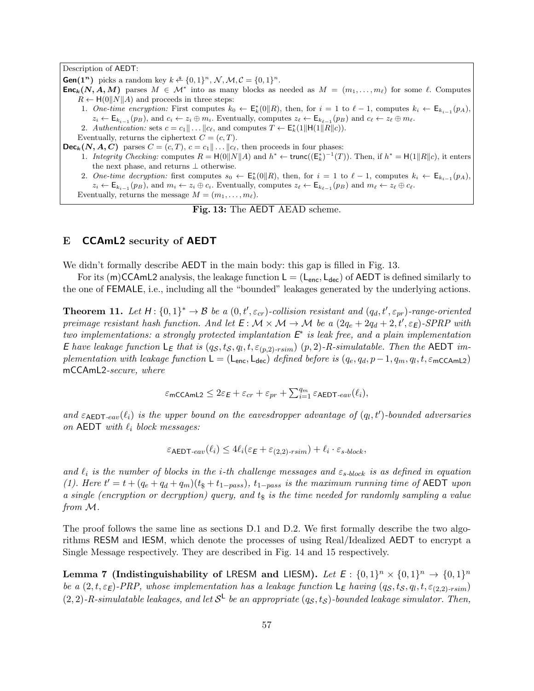Description of AEDT: **Gen(1<sup>n</sup>)** picks a random key  $k \triangleq \{0, 1\}^n$ ,  $\mathcal{N}, \mathcal{M}, \mathcal{C} = \{0, 1\}^n$ . **Enc**<sub>k</sub>(N, A, M) parses  $M \in \mathcal{M}^*$  into as many blocks as needed as  $M = (m_1, \ldots, m_\ell)$  for some  $\ell$ . Computes  $R \leftarrow H(0||N||A)$  and proceeds in three steps: 1. One-time encryption: First computes  $k_0 \leftarrow \mathsf{E}_k^*(0||R)$ , then, for  $i = 1$  to  $\ell - 1$ , computes  $k_i \leftarrow \mathsf{E}_{k_{i-1}}(p_A)$ ,  $z_i \leftarrow \mathsf{E}_{k_{i-1}}(p_B)$ , and  $c_i \leftarrow z_i \oplus m_i$ . Eventually, computes  $z_{\ell} \leftarrow \mathsf{E}_{k_{\ell-1}}(p_B)$  and  $c_{\ell} \leftarrow z_{\ell} \oplus m_{\ell}$ . 2. Authentication: sets  $c = c_1 || \dots || c_\ell$ , and computes  $T \leftarrow \mathsf{E}_k^*(1 || \mathsf{H}(1 || R || c)).$ Eventually, returns the ciphertext  $C = (c, T)$ .  $\textsf{Dec}_k(N, A, C)$  parses  $C = (c, T), c = c_1 || \dots || c_\ell$ , then proceeds in four phases: 1. Integrity Checking: computes  $R = H(0||N||A)$  and  $h^* \leftarrow \text{trunc}((\mathsf{E}_k^*)^{-1}(T))$ . Then, if  $h^* = H(1||R||c)$ , it enters the next phase, and returns ⊥ otherwise. 2. One-time decryption: first computes  $s_0 \leftarrow \mathsf{E}_k^*(0||R)$ , then, for  $i = 1$  to  $\ell - 1$ , computes  $k_i \leftarrow \mathsf{E}_{k_{i-1}}(p_A)$ ,  $z_i \leftarrow \mathsf{E}_{k_{i-1}}(p_B)$ , and  $m_i \leftarrow z_i \oplus c_i$ . Eventually, computes  $z_{\ell} \leftarrow \mathsf{E}_{k_{\ell-1}}(p_B)$  and  $m_{\ell} \leftarrow z_{\ell} \oplus c_{\ell}$ . Eventually, returns the message  $M = (m_1, \ldots, m_\ell)$ .

Fig. 13: The AEDT AEAD scheme.

## E CCAmL2 security of AEDT

We didn't formally describe **AEDT** in the main body: this gap is filled in Fig. 13.

For its (m)CCAmL2 analysis, the leakage function  $L = (L_{enc}, L_{dec})$  of AEDT is defined similarly to the one of FEMALE, i.e., including all the "bounded" leakages generated by the underlying actions.

**Theorem 11.** Let  $H: \{0,1\}^* \to \mathcal{B}$  be a  $(0,t',\varepsilon_{cr})$ -collision resistant and  $(q_d,t',\varepsilon_{pr})$ -range-oriented preimage resistant hash function. And let  $E: \mathcal{M} \times \mathcal{M} \to \mathcal{M}$  be a  $(2q_e + 2q_d + 2, t', \varepsilon_E)$ -SPRP with two implementations: a strongly protected implantation  $E^*$  is leak free, and a plain implementation E have leakage function  $\mathsf{L}_\mathsf{E}$  that is  $(q_\mathcal{S}, t_\mathcal{S}, q_l, t, \varepsilon_{(p,2)\text{-}rsim})$   $(p, 2)$ -R-simulatable. Then the AEDT implementation with leakage function  $\mathsf{L} = (\mathsf{L}_{\mathsf{enc}}, \mathsf{L}_{\mathsf{dec}})$  defined before is  $(q_e, q_d, p-1, q_m, q_l, t, \varepsilon_{\mathsf{mcCAmL2}})$ mCCAmL2-secure, where

$$
\varepsilon_{\text{mCCAmL2}} \leq 2\varepsilon_E + \varepsilon_{cr} + \varepsilon_{pr} + \sum_{i=1}^{q_m} \varepsilon_{\text{AEDT-eav}}(\ell_i),
$$

and  $\varepsilon_{\sf AEDT-eav}(\ell_i)$  is the upper bound on the eavesdropper advantage of  $(q_l, t')$ -bounded adversaries on AEDT with  $\ell_i$  block messages:

$$
\varepsilon_{\text{AEDT-eav}}(\ell_i) \le 4\ell_i(\varepsilon_{\text{E}} + \varepsilon_{(2,2)\text{-rsim}}) + \ell_i \cdot \varepsilon_{s\text{-block}},
$$

and  $\ell_i$  is the number of blocks in the i-th challenge messages and  $\varepsilon_{s\text{-block}}$  is as defined in equation (1). Here  $t' = t + (q_e + q_d + q_m)(t_{s} + t_{1-pass})$ ,  $t_{1-pass}$  is the maximum running time of AEDT upon a single (encryption or decryption) query, and  $t<sub>s</sub>$  is the time needed for randomly sampling a value from M.

The proof follows the same line as sections D.1 and D.2. We first formally describe the two algorithms RESM and IESM, which denote the processes of using Real/Idealized AEDT to encrypt a Single Message respectively. They are described in Fig. 14 and 15 respectively.

Lemma 7 (Indistinguishability of LRESM and LIESM). Let  $E: \{0,1\}^n \times \{0,1\}^n \rightarrow \{0,1\}^n$ be a  $(2,t,\varepsilon_E)$ -PRP, whose implementation has a leakage function  $\mathsf{L}_E$  having  $(q_S,t_S,q_l,t,\varepsilon_{(2,2) \text{-}rsim})$  $(2,2)$ -R-simulatable leakages, and let  $S^{\mathsf{L}}$  be an appropriate  $(q_S,t_S)$ -bounded leakage simulator. Then,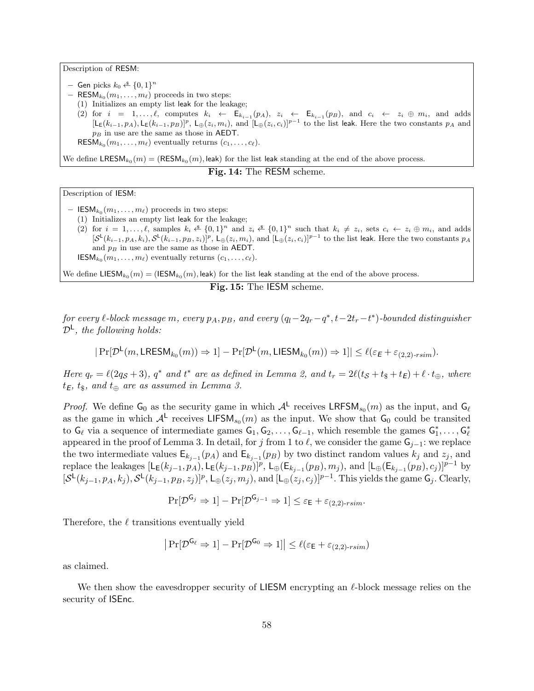Description of RESM:

- $-$  Gen picks  $k_0 \overset{\hspace{0.1em}\mathsf{\scriptscriptstyle\$}}{\leftarrow} \{0,1\}^n$
- $-$  RESM<sub>k<sub>0</sub></sub> $(m_1, \ldots, m_\ell)$  proceeds in two steps:
	- (1) Initializes an empty list leak for the leakage;
	- (2) for  $i = 1, \ldots, \ell$ , computes  $k_i \leftarrow \mathsf{E}_{k_{i-1}}(p_A), \ z_i \leftarrow \mathsf{E}_{k_{i-1}}(p_B)$ , and  $c_i \leftarrow z_i \oplus m_i$ , and adds  $[L_E(k_{i-1}, p_A), L_E(k_{i-1}, p_B)]^p$ ,  $L_{\oplus}(z_i, m_i)$ , and  $[L_{\oplus}(z_i, c_i)]^{p-1}$  to the list leak. Here the two constants  $p_A$  and  $p_B$  in use are the same as those in AEDT.

RESM $_{k_0}(m_1, \ldots, m_\ell)$  eventually returns  $(c_1, \ldots, c_\ell)$ .

We define  $\tt LRESM_{k_0}(m) = (RESM_{k_0}(m),$  leak) for the list leak standing at the end of the above process.

Fig. 14: The RESM scheme.

Description of IESM:

- $\mathsf{IESM}_{k_0}(m_1, \ldots, m_\ell)$  proceeds in two steps:
- (1) Initializes an empty list leak for the leakage; (2) for  $i = 1, \ldots, \ell$ , samples  $k_i \leq \{0,1\}^n$  and  $z_i \leq \{0,1\}^n$  such that  $k_i \neq z_i$ , sets  $c_i \leftarrow z_i \oplus m_i$ , and adds  $[\mathcal{S}^{\mathsf{L}}(k_{i-1},p_A,k_i),\mathcal{S}^{\mathsf{L}}(k_{i-1},p_B,z_i)]^p$ ,  $\mathsf{L}_{\oplus}(z_i,m_i)$ , and  $[\mathsf{L}_{\oplus}(z_i,c_i)]^{p-1}$  to the list leak. Here the two constants  $p_A$ and  $p_B$  in use are the same as those in AEDT.
- **IESM**<sub> $k_0$ </sub> $(m_1, \ldots, m_\ell)$  eventually returns  $(c_1, \ldots, c_\ell)$ .

We define  $\mathsf{LIESM}_{k_0}(m) = (\mathsf{IESM}_{k_0}(m), \mathsf{leak})$  for the list leak standing at the end of the above process.

Fig. 15: The IESM scheme.

 $for\ every\ \ell\text{-}block\ message\ m,\ every\ p_A, p_B,\ and\ every\ (q_l-2q_r-q^*, t-2t_r-t^*)\text{-}bounded\ distinguisher$  $\mathcal{D}^{\mathsf{L}}$ , the following holds:

$$
|\Pr[\mathcal{D}^{\mathsf{L}}(m,\mathsf{LRESM}_{k_0}(m))\Rightarrow 1]-\Pr[\mathcal{D}^{\mathsf{L}}(m,\mathsf{LIESM}_{k_0}(m))\Rightarrow 1]|\leq \ell(\varepsilon_E+\varepsilon_{(2,2)\text{-rsim}}).
$$

Here  $q_r = \ell(2q_S + 3)$ ,  $q^*$  and  $t^*$  are as defined in Lemma 2, and  $t_r = 2\ell(t_S + t_{\$} + t_E) + \ell \cdot t_{\oplus}$ , where  $t_{\textsf{E}},\,t_{\textsf{\$}},\,$  and  $t_{\oplus}$  are as assumed in Lemma 3.

*Proof.* We define  $G_0$  as the security game in which  $A^L$  receives LRFSM<sub>s<sub>0</sub></sub> $(m)$  as the input, and  $G_\ell$ as the game in which  $\mathcal{A}^{\mathsf{L}}$  receives LIFSM<sub>s<sub>0</sub></sub> $(m)$  as the input. We show that  $\mathsf{G}_0$  could be transited to  $G_\ell$  via a sequence of intermediate games  $G_1, G_2, \ldots, G_{\ell-1}$ , which resemble the games  $G_1^*, \ldots, G_\ell^*$ appeared in the proof of Lemma 3. In detail, for j from 1 to  $\ell$ , we consider the game  $G_{j-1}$ : we replace the two intermediate values  $\mathsf{E}_{k_{j-1}}(p_A)$  and  $\mathsf{E}_{k_{j-1}}(p_B)$  by two distinct random values  $k_j$  and  $z_j$ , and replace the leakages  $[L_E(k_{j-1}, p_A), L_E(k_{j-1}, p_B)]^p$ ,  $L_{\oplus}(\mathsf{E}_{k_{j-1}}(p_B), m_j)$ , and  $[L_{\oplus}(\mathsf{E}_{k_{j-1}}(p_B), c_j)]^{p-1}$  by  $[\mathcal{S}^{\mathsf{L}}(k_{j-1},p_A,k_j),\mathcal{S}^{\mathsf{L}}(k_{j-1},p_B,z_j)]^p$ ,  $\mathsf{L}_{\oplus}(z_j,m_j)$ , and  $[\mathsf{L}_{\oplus}(z_j,c_j)]^{p-1}$ . This yields the game  $\mathsf{G}_j$ . Clearly,

$$
\Pr[\mathcal{D}^{\mathsf{G}_j} \Rightarrow 1] - \Pr[\mathcal{D}^{\mathsf{G}_{j-1}} \Rightarrow 1] \le \varepsilon_{\mathsf{E}} + \varepsilon_{(2,2)\text{-}\mathit{rsim}}.
$$

Therefore, the  $\ell$  transitions eventually yield

$$
\left|\Pr[\mathcal{D}^{\mathsf{G}_{\ell}} \Rightarrow 1] - \Pr[\mathcal{D}^{\mathsf{G}_{0}} \Rightarrow 1]\right| \leq \ell(\varepsilon_{\mathsf{E}} + \varepsilon_{(2,2)\text{-rsim}})
$$

as claimed.

We then show the eavesdropper security of LIESM encrypting an  $\ell$ -block message relies on the security of ISEnc.